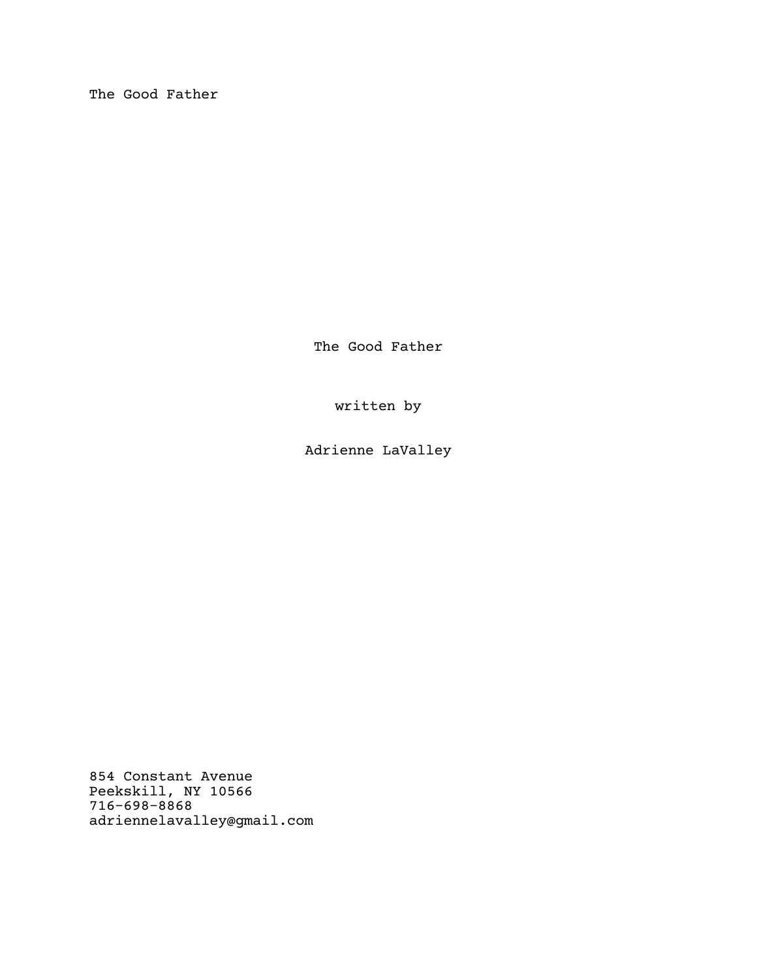The Good Father

The Good Father

written by

Adrienne LaValley

854 Constant Avenue Peekskill, NY 10566 716-698-8868 adriennelavalley@gmail.com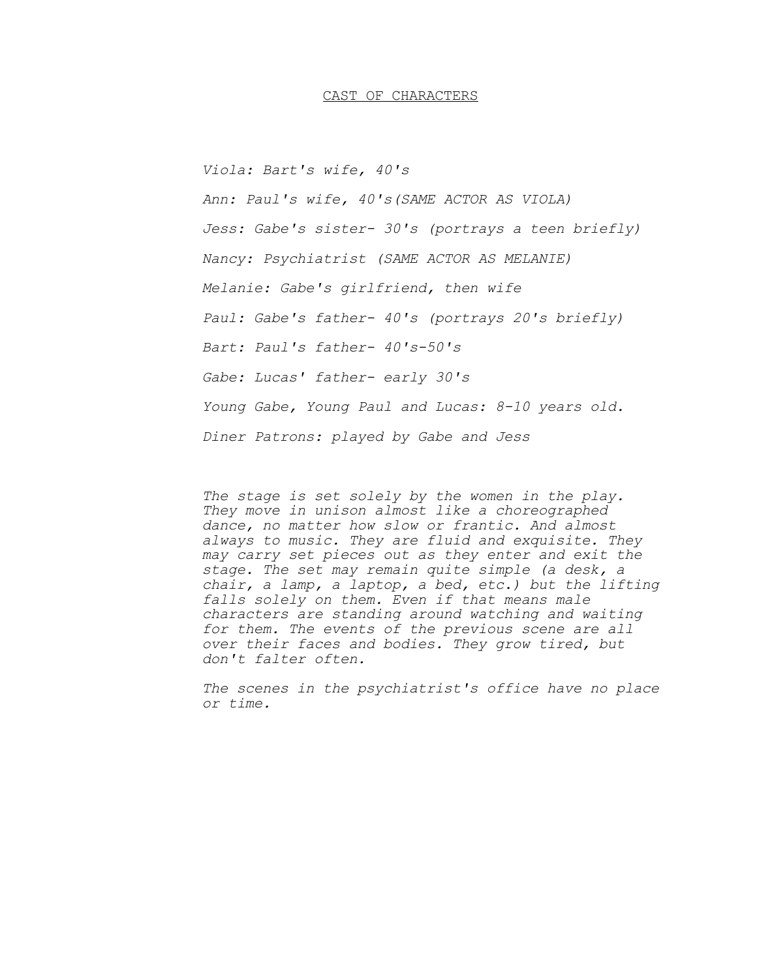## CAST OF CHARACTERS

*Viola: Bart's wife, 40's*

*Ann: Paul's wife, 40's(SAME ACTOR AS VIOLA) Jess: Gabe's sister- 30's (portrays a teen briefly) Nancy: Psychiatrist (SAME ACTOR AS MELANIE) Melanie: Gabe's girlfriend, then wife Paul: Gabe's father- 40's (portrays 20's briefly) Bart: Paul's father- 40's-50's Gabe: Lucas' father- early 30's Young Gabe, Young Paul and Lucas: 8-10 years old. Diner Patrons: played by Gabe and Jess*

*The stage is set solely by the women in the play. They move in unison almost like a choreographed dance, no matter how slow or frantic. And almost always to music. They are fluid and exquisite. They may carry set pieces out as they enter and exit the stage. The set may remain quite simple (a desk, a chair, a lamp, a laptop, a bed, etc.) but the lifting falls solely on them. Even if that means male characters are standing around watching and waiting for them. The events of the previous scene are all over their faces and bodies. They grow tired, but don't falter often.*

*The scenes in the psychiatrist's office have no place or time.*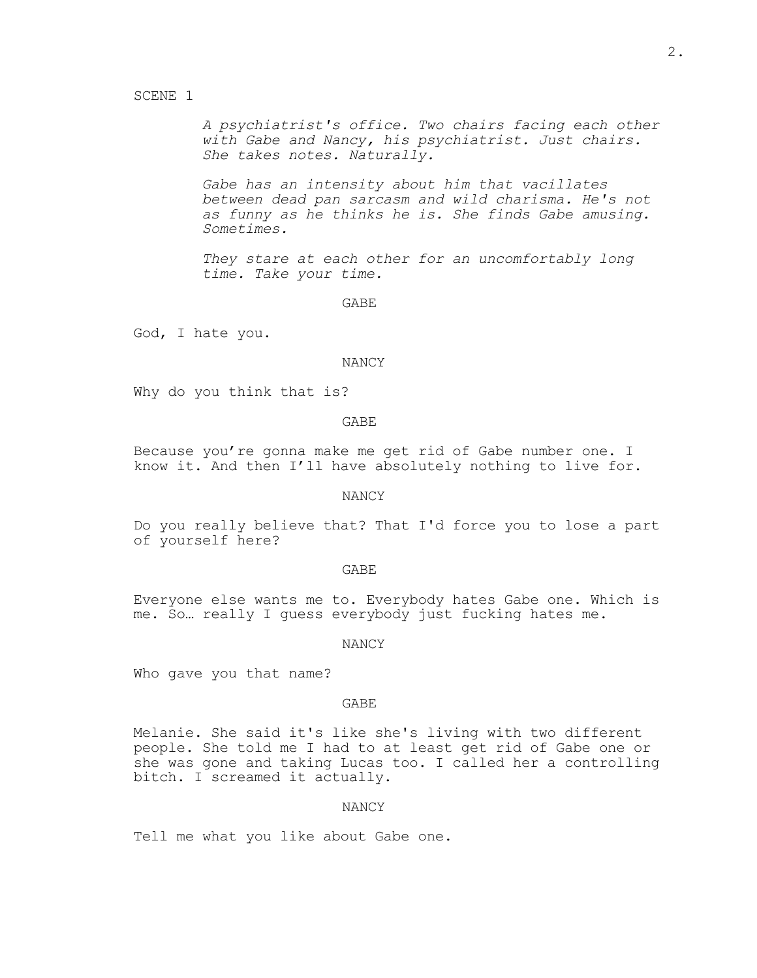SCENE 1

*A psychiatrist's office. Two chairs facing each other with Gabe and Nancy, his psychiatrist. Just chairs. She takes notes. Naturally.*

*Gabe has an intensity about him that vacillates between dead pan sarcasm and wild charisma. He's not as funny as he thinks he is. She finds Gabe amusing. Sometimes.*

*They stare at each other for an uncomfortably long time. Take your time.*

GABE

God, I hate you.

#### NANCY

Why do you think that is?

GABE

Because you're gonna make me get rid of Gabe number one. I know it. And then I'll have absolutely nothing to live for.

NANCY

Do you really believe that? That I'd force you to lose a part of yourself here?

#### GABE

Everyone else wants me to. Everybody hates Gabe one. Which is me. So… really I guess everybody just fucking hates me.

**NANCY** 

Who gave you that name?

#### GABE

Melanie. She said it's like she's living with two different people. She told me I had to at least get rid of Gabe one or she was gone and taking Lucas too. I called her a controlling bitch. I screamed it actually.

### NANCY

Tell me what you like about Gabe one.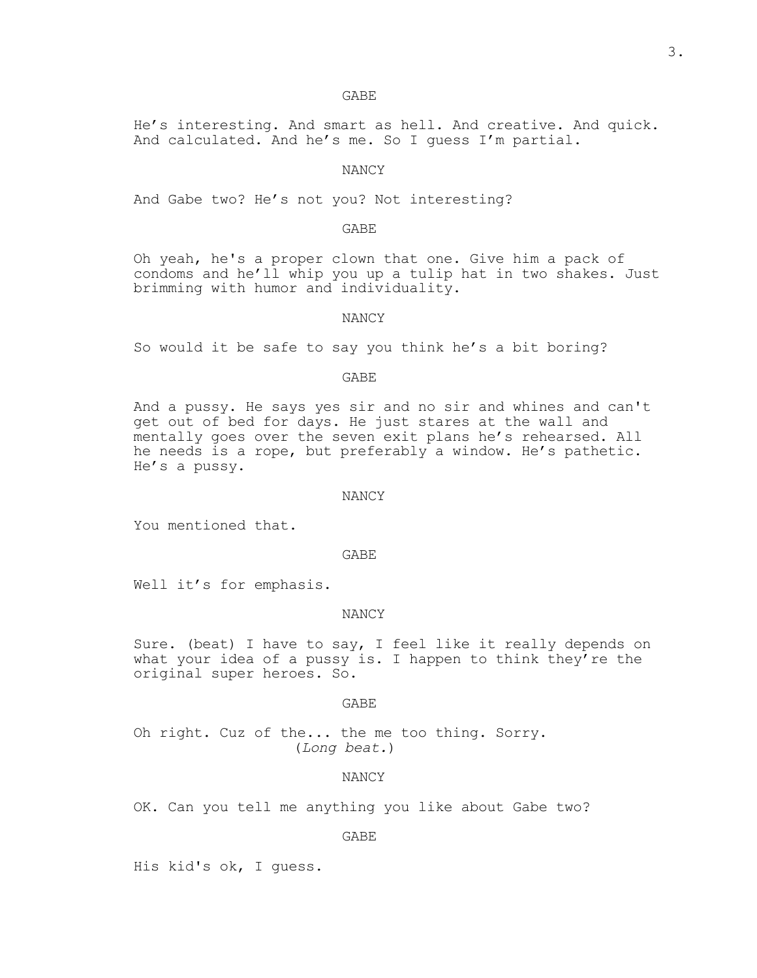## GABE

He's interesting. And smart as hell. And creative. And quick. And calculated. And he's me. So I guess I'm partial.

## NANCY

And Gabe two? He's not you? Not interesting?

### GABE

Oh yeah, he's a proper clown that one. Give him a pack of condoms and he'll whip you up a tulip hat in two shakes. Just brimming with humor and individuality.

NANCY

So would it be safe to say you think he's a bit boring?

GABE

And a pussy. He says yes sir and no sir and whines and can't get out of bed for days. He just stares at the wall and mentally goes over the seven exit plans he's rehearsed. All he needs is a rope, but preferably a window. He's pathetic. He's a pussy.

#### NANCY

You mentioned that.

#### GABE

Well it's for emphasis.

### NANCY

Sure. (beat) I have to say, I feel like it really depends on what your idea of a pussy is. I happen to think they're the original super heroes. So.

#### GABE

Oh right. Cuz of the... the me too thing. Sorry. (*Long beat.*)

#### NANCY

OK. Can you tell me anything you like about Gabe two?

### GABE

His kid's ok, I guess.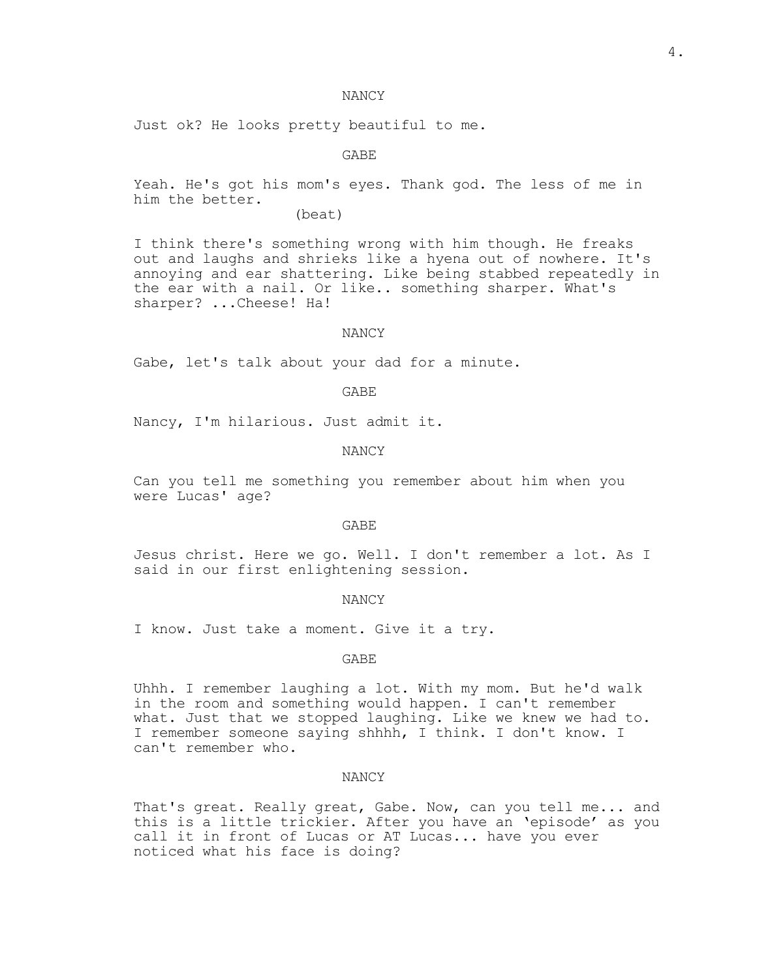## NANCY

Just ok? He looks pretty beautiful to me.

GABE

Yeah. He's got his mom's eyes. Thank god. The less of me in him the better.

(beat)

I think there's something wrong with him though. He freaks out and laughs and shrieks like a hyena out of nowhere. It's annoying and ear shattering. Like being stabbed repeatedly in the ear with a nail. Or like.. something sharper. What's sharper? ...Cheese! Ha!

## NANCY

Gabe, let's talk about your dad for a minute.

GABE

Nancy, I'm hilarious. Just admit it.

NANCY

Can you tell me something you remember about him when you were Lucas' age?

#### GABE

Jesus christ. Here we go. Well. I don't remember a lot. As I said in our first enlightening session.

#### NANCY

I know. Just take a moment. Give it a try.

## GABE

Uhhh. I remember laughing a lot. With my mom. But he'd walk in the room and something would happen. I can't remember what. Just that we stopped laughing. Like we knew we had to. I remember someone saying shhhh, I think. I don't know. I can't remember who.

### NANCY

That's great. Really great, Gabe. Now, can you tell me... and this is a little trickier. After you have an 'episode' as you call it in front of Lucas or AT Lucas... have you ever noticed what his face is doing?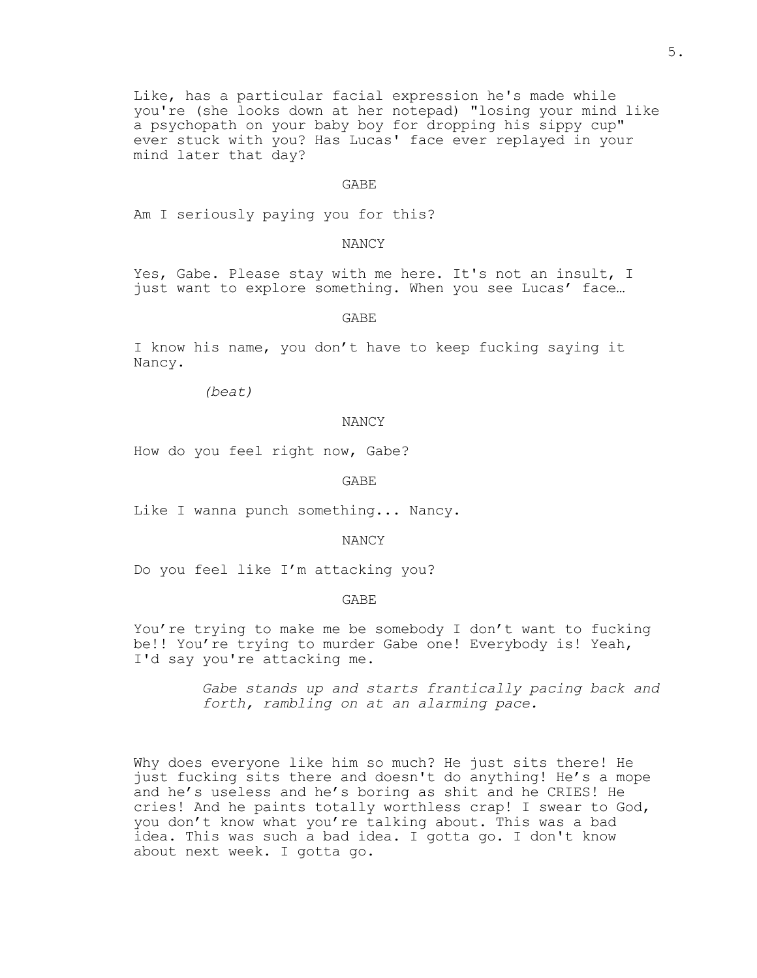Like, has a particular facial expression he's made while you're (she looks down at her notepad) "losing your mind like a psychopath on your baby boy for dropping his sippy cup" ever stuck with you? Has Lucas' face ever replayed in your mind later that day?

### GABE

Am I seriously paying you for this?

NANCY

Yes, Gabe. Please stay with me here. It's not an insult, I just want to explore something. When you see Lucas' face…

GABE

I know his name, you don't have to keep fucking saying it Nancy.

*(beat)*

**NANCY** 

How do you feel right now, Gabe?

GABE

Like I wanna punch something... Nancy.

NANCY

Do you feel like I'm attacking you?

GABE

You're trying to make me be somebody I don't want to fucking be!! You're trying to murder Gabe one! Everybody is! Yeah, I'd say you're attacking me.

> *Gabe stands up and starts frantically pacing back and forth, rambling on at an alarming pace.*

Why does everyone like him so much? He just sits there! He just fucking sits there and doesn't do anything! He's a mope and he's useless and he's boring as shit and he CRIES! He cries! And he paints totally worthless crap! I swear to God, you don't know what you're talking about. This was a bad idea. This was such a bad idea. I gotta go. I don't know about next week. I gotta go.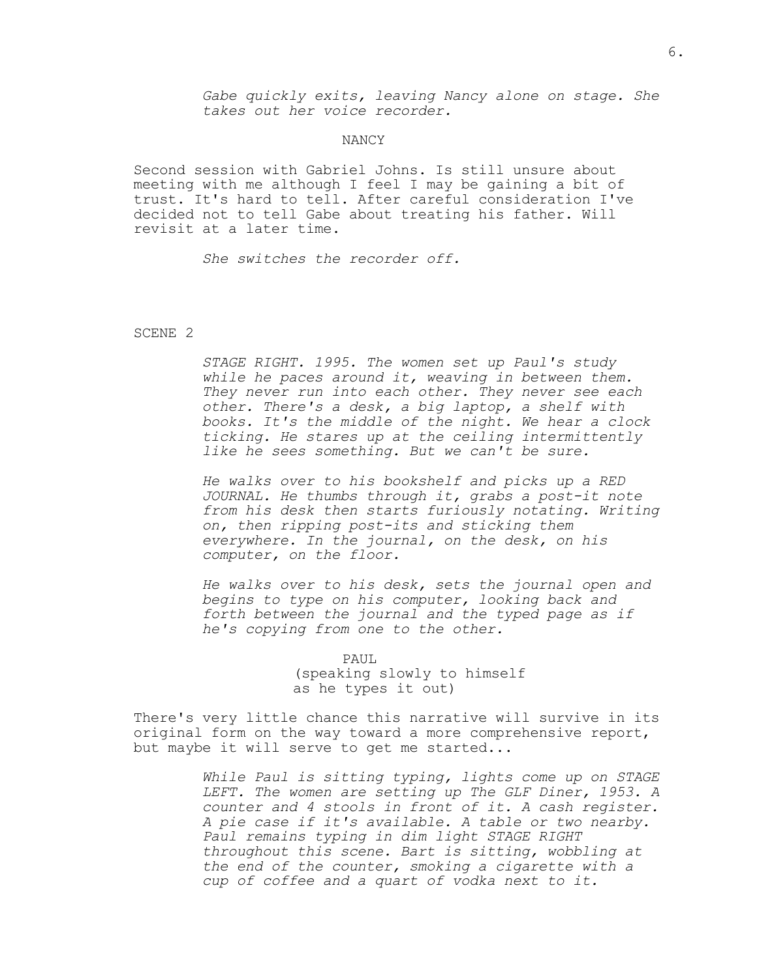*Gabe quickly exits, leaving Nancy alone on stage. She takes out her voice recorder.*

#### NANCY

Second session with Gabriel Johns. Is still unsure about meeting with me although I feel I may be gaining a bit of trust. It's hard to tell. After careful consideration I've decided not to tell Gabe about treating his father. Will revisit at a later time.

*She switches the recorder off.*

# SCENE 2

*STAGE RIGHT. 1995. The women set up Paul's study while he paces around it, weaving in between them. They never run into each other. They never see each other. There's a desk, a big laptop, a shelf with books. It's the middle of the night. We hear a clock ticking. He stares up at the ceiling intermittently like he sees something. But we can't be sure.*

*He walks over to his bookshelf and picks up a RED JOURNAL. He thumbs through it, grabs a post-it note from his desk then starts furiously notating. Writing on, then ripping post-its and sticking them everywhere. In the journal, on the desk, on his computer, on the floor.*

*He walks over to his desk, sets the journal open and begins to type on his computer, looking back and forth between the journal and the typed page as if he's copying from one to the other.*

> PAUL (speaking slowly to himself as he types it out)

There's very little chance this narrative will survive in its original form on the way toward a more comprehensive report, but maybe it will serve to get me started...

> *While Paul is sitting typing, lights come up on STAGE LEFT. The women are setting up The GLF Diner, 1953. A counter and 4 stools in front of it. A cash register. A pie case if it's available. A table or two nearby. Paul remains typing in dim light STAGE RIGHT throughout this scene. Bart is sitting, wobbling at the end of the counter, smoking a cigarette with a cup of coffee and a quart of vodka next to it.*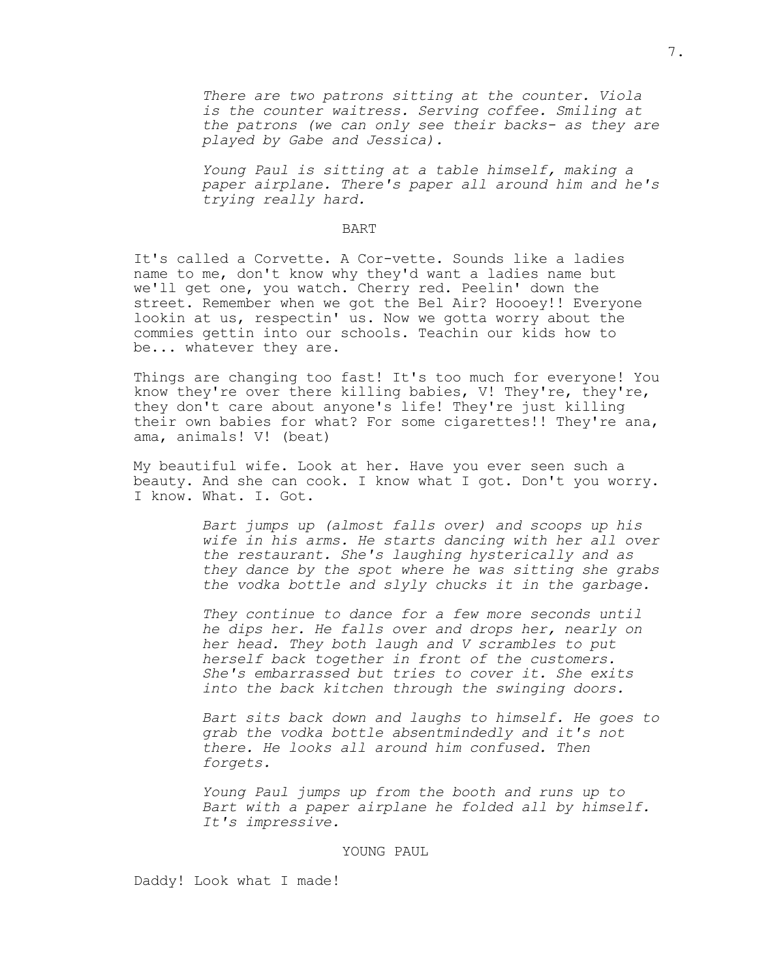*There are two patrons sitting at the counter. Viola is the counter waitress. Serving coffee. Smiling at the patrons (we can only see their backs- as they are played by Gabe and Jessica).*

*Young Paul is sitting at a table himself, making a paper airplane. There's paper all around him and he's trying really hard.*

#### BART

It's called a Corvette. A Cor-vette. Sounds like a ladies name to me, don't know why they'd want a ladies name but we'll get one, you watch. Cherry red. Peelin' down the street. Remember when we got the Bel Air? Hoooey!! Everyone lookin at us, respectin' us. Now we gotta worry about the commies gettin into our schools. Teachin our kids how to be... whatever they are.

Things are changing too fast! It's too much for everyone! You know they're over there killing babies, V! They're, they're, they don't care about anyone's life! They're just killing their own babies for what? For some cigarettes!! They're ana, ama, animals! V! (beat)

My beautiful wife. Look at her. Have you ever seen such a beauty. And she can cook. I know what I got. Don't you worry. I know. What. I. Got.

> *Bart jumps up (almost falls over) and scoops up his wife in his arms. He starts dancing with her all over the restaurant. She's laughing hysterically and as they dance by the spot where he was sitting she grabs the vodka bottle and slyly chucks it in the garbage.*

*They continue to dance for a few more seconds until he dips her. He falls over and drops her, nearly on her head. They both laugh and V scrambles to put herself back together in front of the customers. She's embarrassed but tries to cover it. She exits into the back kitchen through the swinging doors.*

*Bart sits back down and laughs to himself. He goes to grab the vodka bottle absentmindedly and it's not there. He looks all around him confused. Then forgets.*

*Young Paul jumps up from the booth and runs up to Bart with a paper airplane he folded all by himself. It's impressive.*

YOUNG PAUL

Daddy! Look what I made!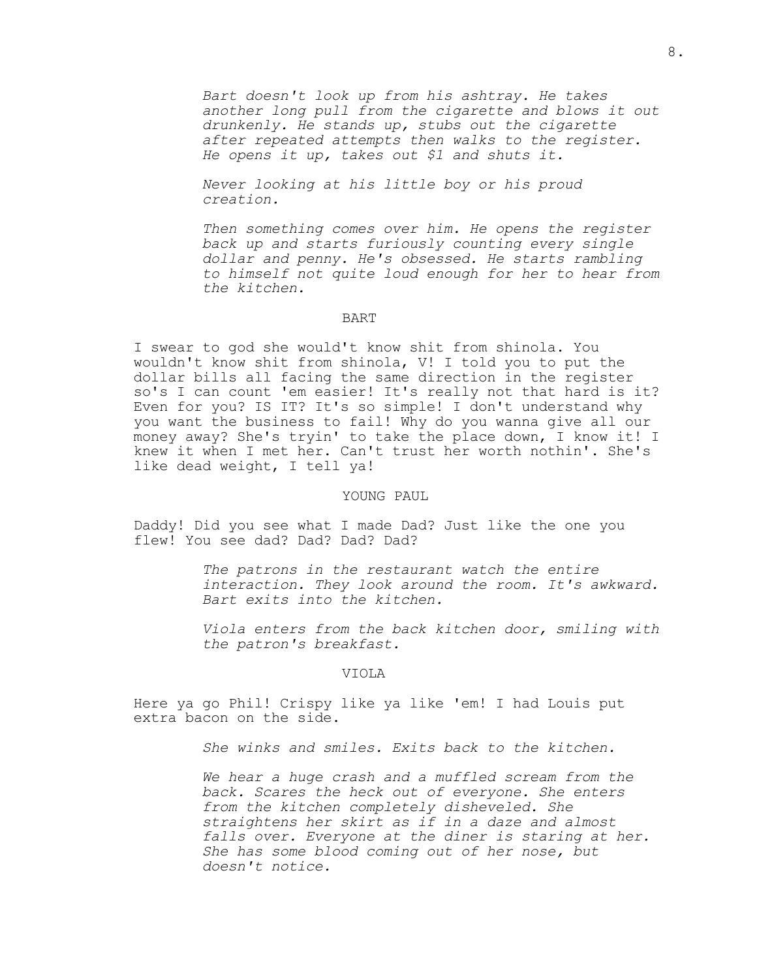*Bart doesn't look up from his ashtray. He takes another long pull from the cigarette and blows it out drunkenly. He stands up, stubs out the cigarette after repeated attempts then walks to the register. He opens it up, takes out \$1 and shuts it.*

*Never looking at his little boy or his proud creation.*

*Then something comes over him. He opens the register back up and starts furiously counting every single dollar and penny. He's obsessed. He starts rambling to himself not quite loud enough for her to hear from the kitchen.*

#### BART

I swear to god she would't know shit from shinola. You wouldn't know shit from shinola, V! I told you to put the dollar bills all facing the same direction in the register so's I can count 'em easier! It's really not that hard is it? Even for you? IS IT? It's so simple! I don't understand why you want the business to fail! Why do you wanna give all our money away? She's tryin' to take the place down, I know it! I knew it when I met her. Can't trust her worth nothin'. She's like dead weight, I tell ya!

### YOUNG PAUL

Daddy! Did you see what I made Dad? Just like the one you flew! You see dad? Dad? Dad? Dad?

> *The patrons in the restaurant watch the entire interaction. They look around the room. It's awkward. Bart exits into the kitchen.*

> *Viola enters from the back kitchen door, smiling with the patron's breakfast.*

### VIOLA

Here ya go Phil! Crispy like ya like 'em! I had Louis put extra bacon on the side.

*She winks and smiles. Exits back to the kitchen.*

*We hear a huge crash and a muffled scream from the back. Scares the heck out of everyone. She enters from the kitchen completely disheveled. She straightens her skirt as if in a daze and almost falls over. Everyone at the diner is staring at her. She has some blood coming out of her nose, but doesn't notice.*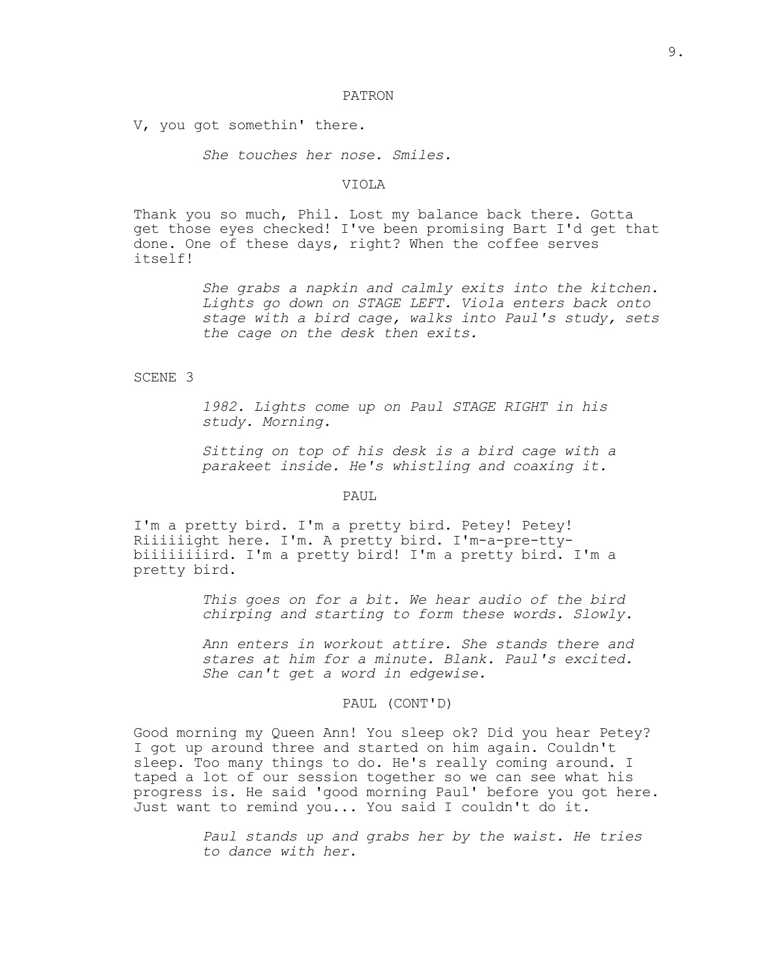## PATRON

V, you got somethin' there.

*She touches her nose. Smiles.*

### VIOLA

Thank you so much, Phil. Lost my balance back there. Gotta get those eyes checked! I've been promising Bart I'd get that done. One of these days, right? When the coffee serves itself!

> *She grabs a napkin and calmly exits into the kitchen. Lights go down on STAGE LEFT. Viola enters back onto stage with a bird cage, walks into Paul's study, sets the cage on the desk then exits.*

## SCENE 3

*1982. Lights come up on Paul STAGE RIGHT in his study. Morning.*

*Sitting on top of his desk is a bird cage with a parakeet inside. He's whistling and coaxing it.*

PAUL

I'm a pretty bird. I'm a pretty bird. Petey! Petey! Riiiiiight here. I'm. A pretty bird. I'm-a-pre-ttybiiiiiiiird. I'm a pretty bird! I'm a pretty bird. I'm a pretty bird.

> *This goes on for a bit. We hear audio of the bird chirping and starting to form these words. Slowly.*

> *Ann enters in workout attire. She stands there and stares at him for a minute. Blank. Paul's excited. She can't get a word in edgewise.*

## PAUL (CONT'D)

Good morning my Queen Ann! You sleep ok? Did you hear Petey? I got up around three and started on him again. Couldn't sleep. Too many things to do. He's really coming around. I taped a lot of our session together so we can see what his progress is. He said 'good morning Paul' before you got here. Just want to remind you... You said I couldn't do it.

> *Paul stands up and grabs her by the waist. He tries to dance with her.*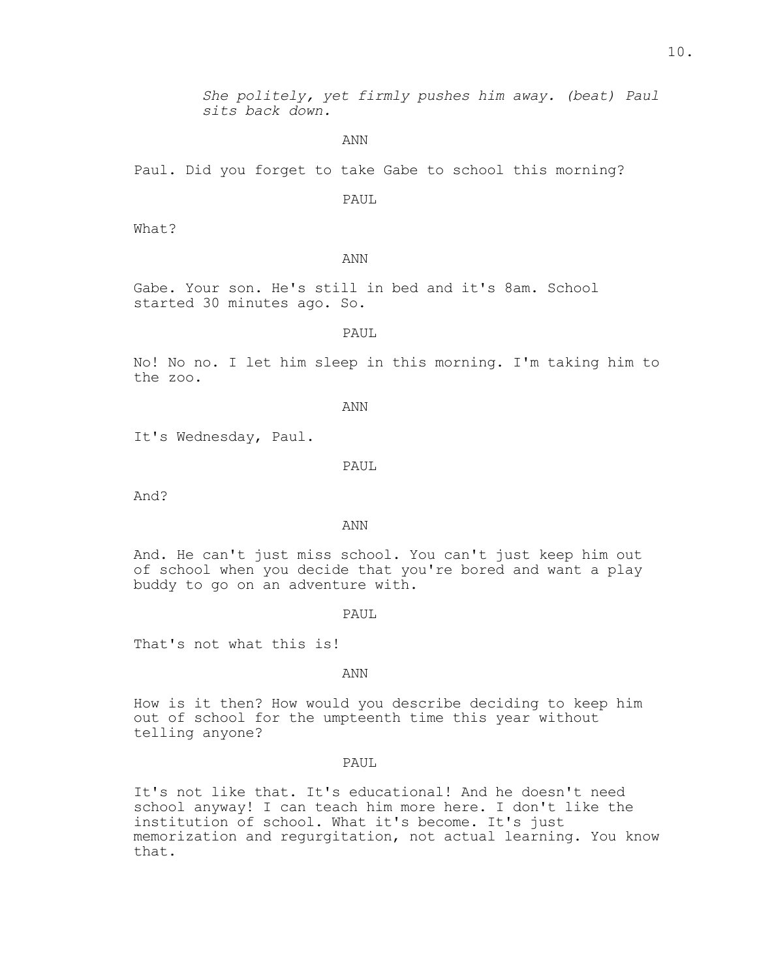*She politely, yet firmly pushes him away. (beat) Paul sits back down.*

ANN

Paul. Did you forget to take Gabe to school this morning?

PAUL

What?

ANN

Gabe. Your son. He's still in bed and it's 8am. School started 30 minutes ago. So.

PAUL

No! No no. I let him sleep in this morning. I'm taking him to the zoo.

ANN

It's Wednesday, Paul.

PAUL

And?

ANN

And. He can't just miss school. You can't just keep him out of school when you decide that you're bored and want a play buddy to go on an adventure with.

PAUL.

That's not what this is!

ANN

How is it then? How would you describe deciding to keep him out of school for the umpteenth time this year without telling anyone?

PAUL

It's not like that. It's educational! And he doesn't need school anyway! I can teach him more here. I don't like the institution of school. What it's become. It's just memorization and regurgitation, not actual learning. You know that.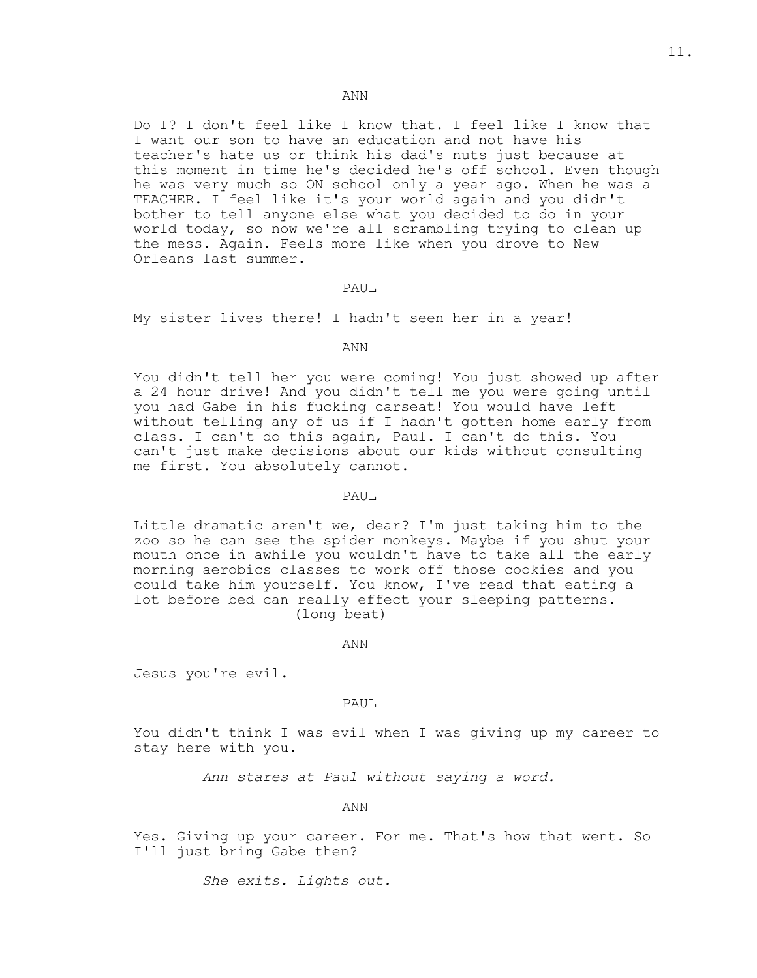## ANN

Do I? I don't feel like I know that. I feel like I know that I want our son to have an education and not have his teacher's hate us or think his dad's nuts just because at this moment in time he's decided he's off school. Even though he was very much so ON school only a year ago. When he was a TEACHER. I feel like it's your world again and you didn't bother to tell anyone else what you decided to do in your world today, so now we're all scrambling trying to clean up the mess. Again. Feels more like when you drove to New Orleans last summer.

## PAUL.

My sister lives there! I hadn't seen her in a year!

### ANN

You didn't tell her you were coming! You just showed up after a 24 hour drive! And you didn't tell me you were going until you had Gabe in his fucking carseat! You would have left without telling any of us if I hadn't gotten home early from class. I can't do this again, Paul. I can't do this. You can't just make decisions about our kids without consulting me first. You absolutely cannot.

## PAUL

Little dramatic aren't we, dear? I'm just taking him to the zoo so he can see the spider monkeys. Maybe if you shut your mouth once in awhile you wouldn't have to take all the early morning aerobics classes to work off those cookies and you could take him yourself. You know, I've read that eating a lot before bed can really effect your sleeping patterns. (long beat)

#### ANN

Jesus you're evil.

### PAUL

You didn't think I was evil when I was giving up my career to stay here with you.

*Ann stares at Paul without saying a word.*

ANN

Yes. Giving up your career. For me. That's how that went. So I'll just bring Gabe then?

*She exits. Lights out.*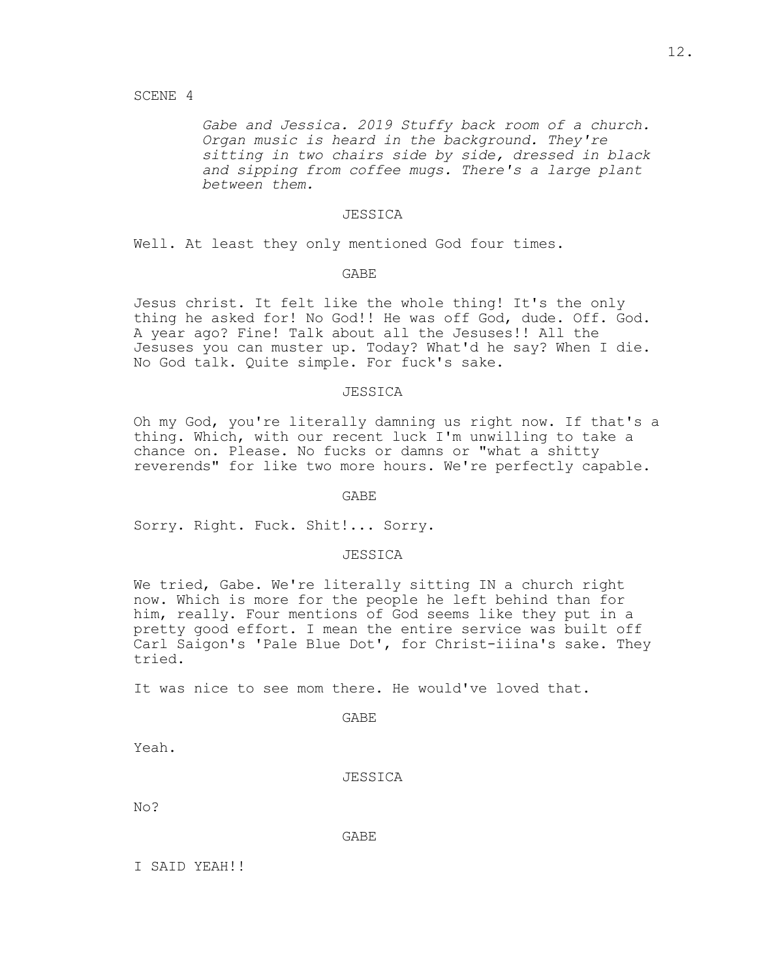*Gabe and Jessica. 2019 Stuffy back room of a church. Organ music is heard in the background. They're sitting in two chairs side by side, dressed in black and sipping from coffee mugs. There's a large plant between them.*

### JESSICA

Well. At least they only mentioned God four times.

GABE

Jesus christ. It felt like the whole thing! It's the only thing he asked for! No God!! He was off God, dude. Off. God. A year ago? Fine! Talk about all the Jesuses!! All the Jesuses you can muster up. Today? What'd he say? When I die. No God talk. Quite simple. For fuck's sake.

#### JESSICA

Oh my God, you're literally damning us right now. If that's a thing. Which, with our recent luck I'm unwilling to take a chance on. Please. No fucks or damns or "what a shitty reverends" for like two more hours. We're perfectly capable.

GABE

Sorry. Right. Fuck. Shit!... Sorry.

#### JESSICA

We tried, Gabe. We're literally sitting IN a church right now. Which is more for the people he left behind than for him, really. Four mentions of God seems like they put in a pretty good effort. I mean the entire service was built off Carl Saigon's 'Pale Blue Dot', for Christ-iiina's sake. They tried.

It was nice to see mom there. He would've loved that.

GABE

Yeah.

JESSICA

No?

GABE

I SAID YEAH!!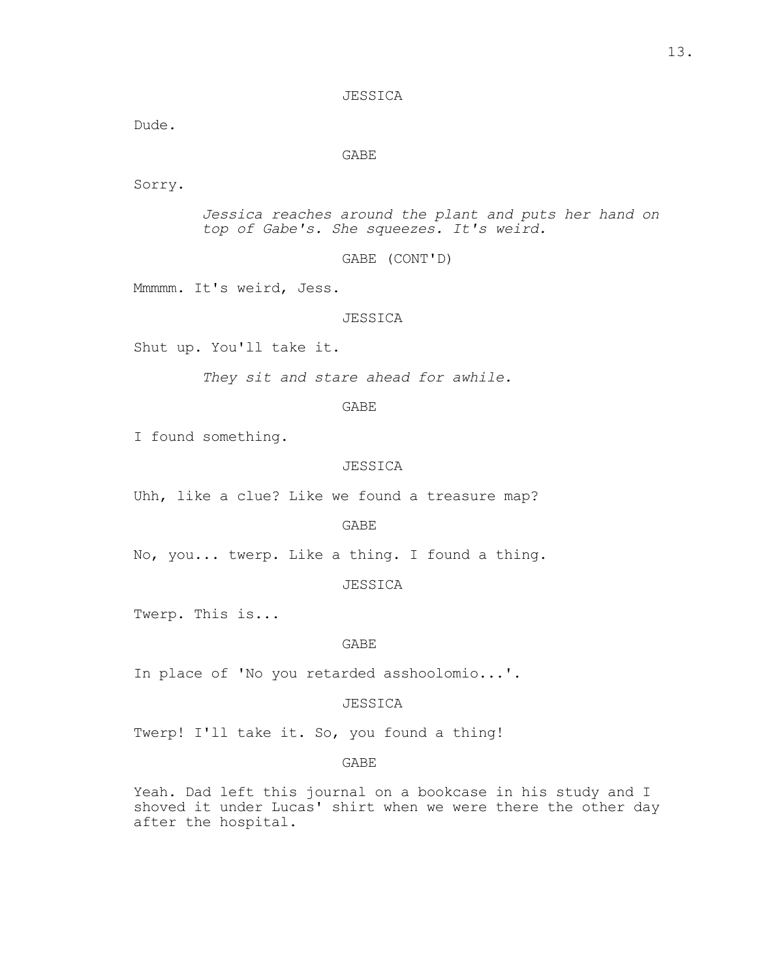Dude.

## GABE

Sorry.

*Jessica reaches around the plant and puts her hand on top of Gabe's. She squeezes. It's weird.*

GABE (CONT'D)

Mmmmm. It's weird, Jess.

## JESSICA

Shut up. You'll take it.

*They sit and stare ahead for awhile.*

GABE

I found something.

#### JESSICA

Uhh, like a clue? Like we found a treasure map?

GABE

No, you... twerp. Like a thing. I found a thing.

JESSICA

Twerp. This is...

## GABE

In place of 'No you retarded asshoolomio...'.

JESSICA

Twerp! I'll take it. So, you found a thing!

GABE

Yeah. Dad left this journal on a bookcase in his study and I shoved it under Lucas' shirt when we were there the other day after the hospital.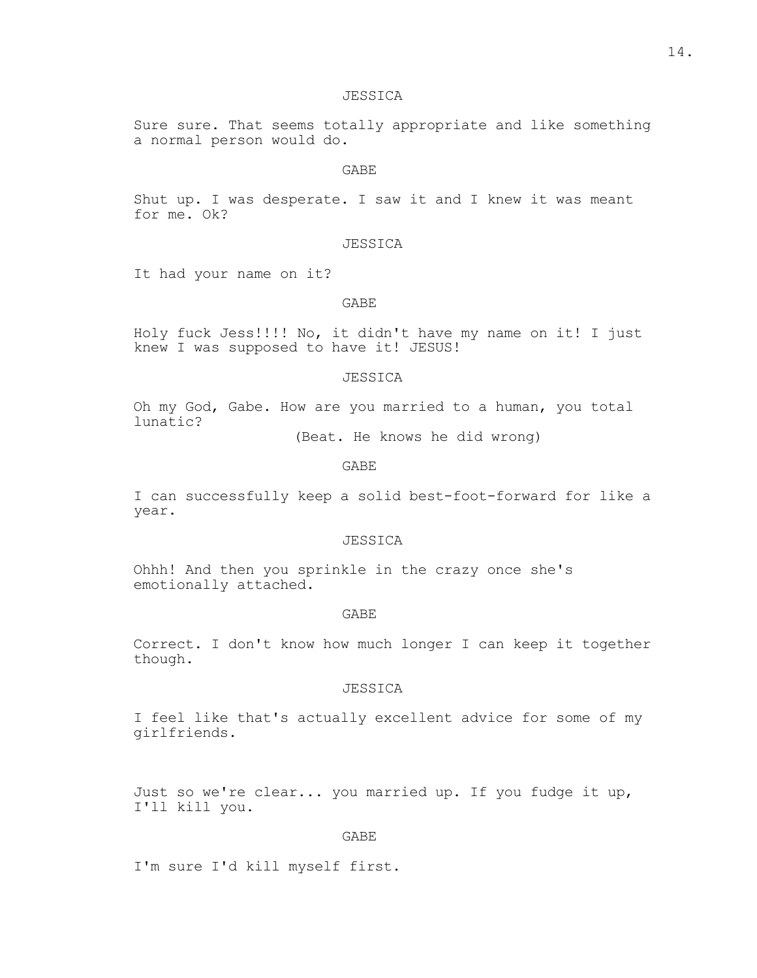Sure sure. That seems totally appropriate and like something a normal person would do.

## GABE

Shut up. I was desperate. I saw it and I knew it was meant for me. Ok?

### JESSICA

It had your name on it?

#### GABE

Holy fuck Jess!!!! No, it didn't have my name on it! I just knew I was supposed to have it! JESUS!

### JESSICA

Oh my God, Gabe. How are you married to a human, you total lunatic?

(Beat. He knows he did wrong)

#### GABE

I can successfully keep a solid best-foot-forward for like a year.

## JESSICA

Ohhh! And then you sprinkle in the crazy once she's emotionally attached.

### GABE

Correct. I don't know how much longer I can keep it together though.

### JESSICA

I feel like that's actually excellent advice for some of my girlfriends.

Just so we're clear... you married up. If you fudge it up, I'll kill you.

# GABE

I'm sure I'd kill myself first.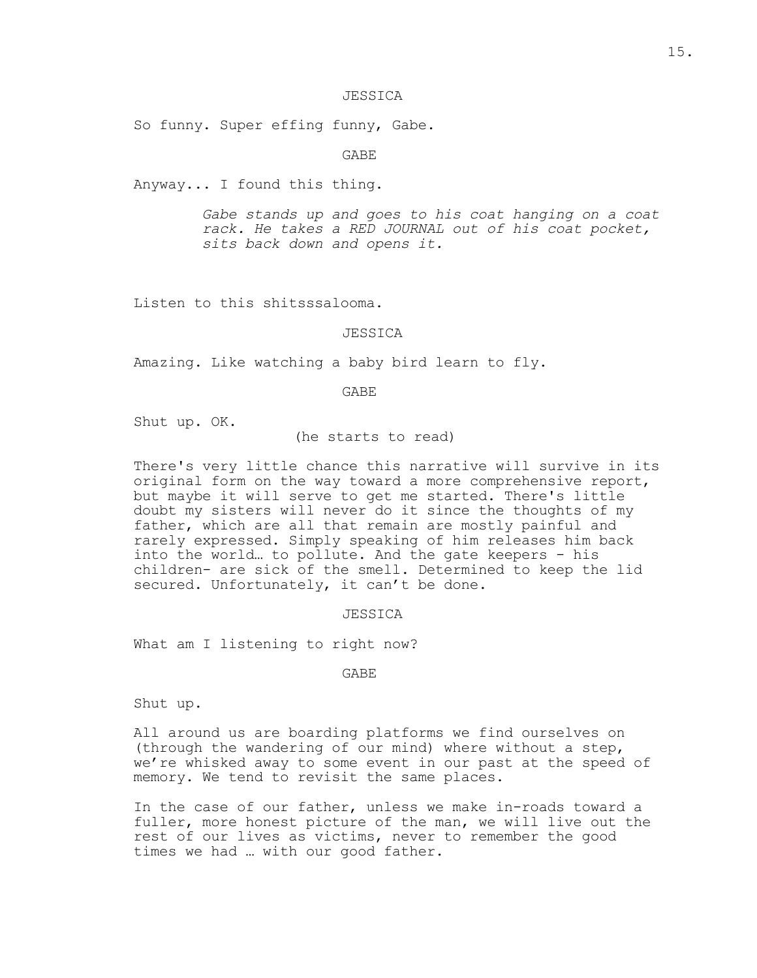So funny. Super effing funny, Gabe.

GABE

Anyway... I found this thing.

*Gabe stands up and goes to his coat hanging on a coat rack. He takes a RED JOURNAL out of his coat pocket, sits back down and opens it.*

Listen to this shitsssalooma.

## JESSICA

Amazing. Like watching a baby bird learn to fly.

GABE

Shut up. OK.

### (he starts to read)

There's very little chance this narrative will survive in its original form on the way toward a more comprehensive report, but maybe it will serve to get me started. There's little doubt my sisters will never do it since the thoughts of my father, which are all that remain are mostly painful and rarely expressed. Simply speaking of him releases him back into the world… to pollute. And the gate keepers - his children- are sick of the smell. Determined to keep the lid secured. Unfortunately, it can't be done.

#### **JESSICA**

What am I listening to right now?

GABE

Shut up.

All around us are boarding platforms we find ourselves on (through the wandering of our mind) where without a step, we're whisked away to some event in our past at the speed of memory. We tend to revisit the same places.

In the case of our father, unless we make in-roads toward a fuller, more honest picture of the man, we will live out the rest of our lives as victims, never to remember the good times we had … with our good father.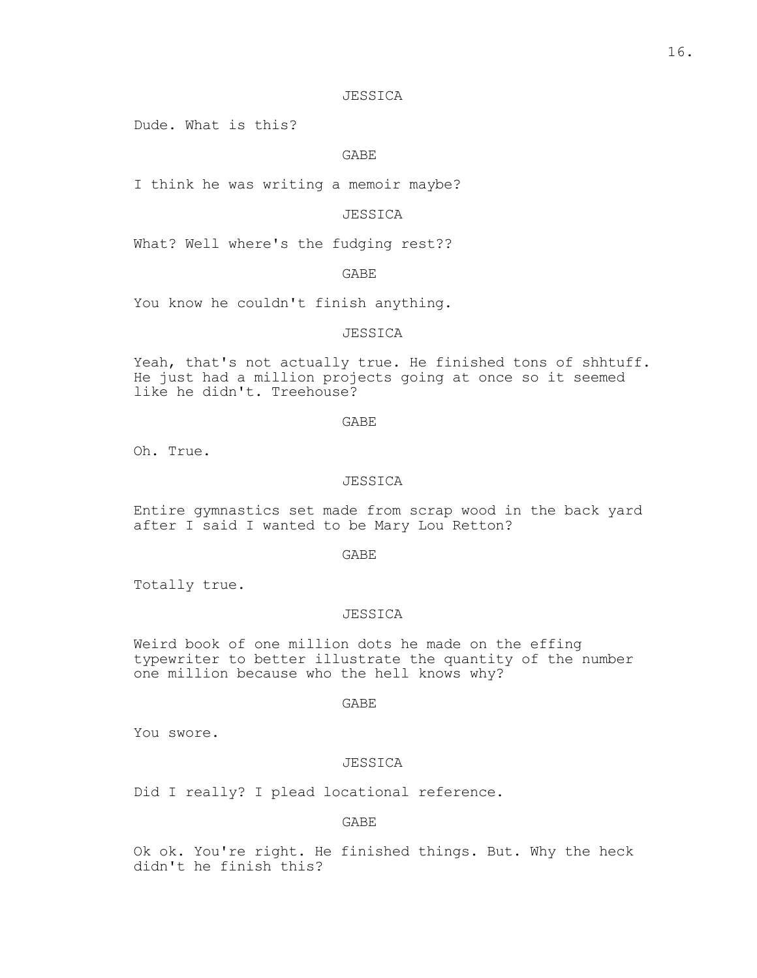Dude. What is this?

# GABE

I think he was writing a memoir maybe?

## JESSICA

What? Well where's the fudging rest??

GABE

You know he couldn't finish anything.

## JESSICA

Yeah, that's not actually true. He finished tons of shhtuff. He just had a million projects going at once so it seemed like he didn't. Treehouse?

GABE

Oh. True.

### JESSICA

Entire gymnastics set made from scrap wood in the back yard after I said I wanted to be Mary Lou Retton?

### GABE

Totally true.

## JESSICA

Weird book of one million dots he made on the effing typewriter to better illustrate the quantity of the number one million because who the hell knows why?

#### GABE

You swore.

### JESSICA

Did I really? I plead locational reference.

## GABE

Ok ok. You're right. He finished things. But. Why the heck didn't he finish this?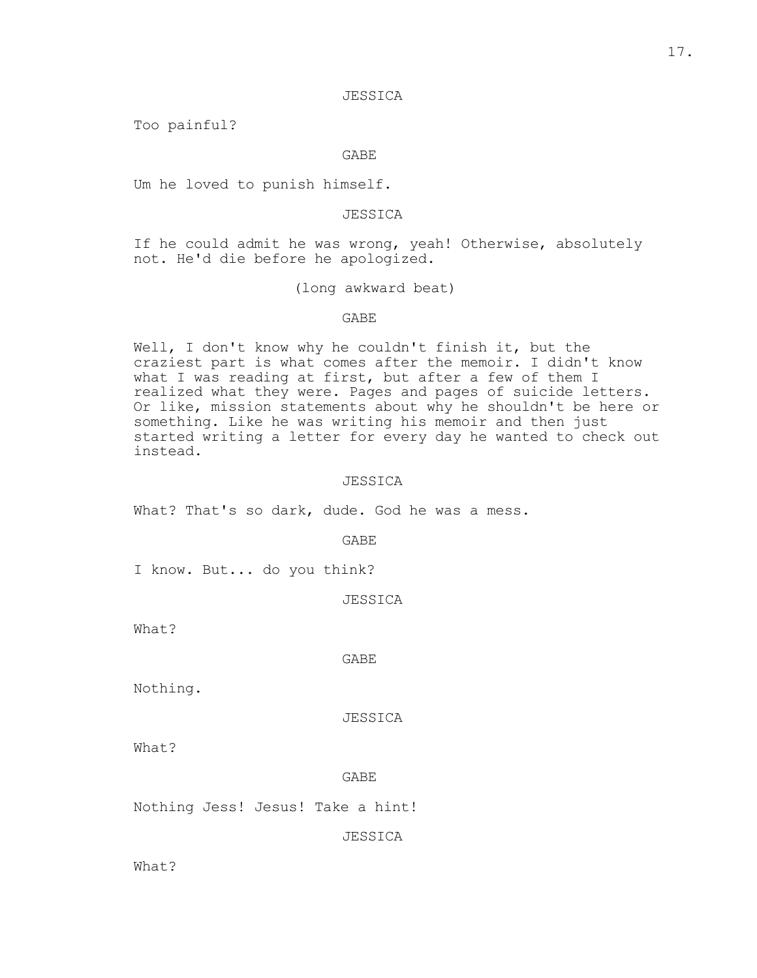Too painful?

## GABE

Um he loved to punish himself.

### JESSICA

If he could admit he was wrong, yeah! Otherwise, absolutely not. He'd die before he apologized.

(long awkward beat)

GABE

Well, I don't know why he couldn't finish it, but the craziest part is what comes after the memoir. I didn't know what I was reading at first, but after a few of them I realized what they were. Pages and pages of suicide letters. Or like, mission statements about why he shouldn't be here or something. Like he was writing his memoir and then just started writing a letter for every day he wanted to check out instead.

### JESSICA

What? That's so dark, dude. God he was a mess.

GABE

I know. But... do you think?

JESSICA

What?

GABE

Nothing.

JESSICA

What?

GABE

Nothing Jess! Jesus! Take a hint!

JESSICA

What?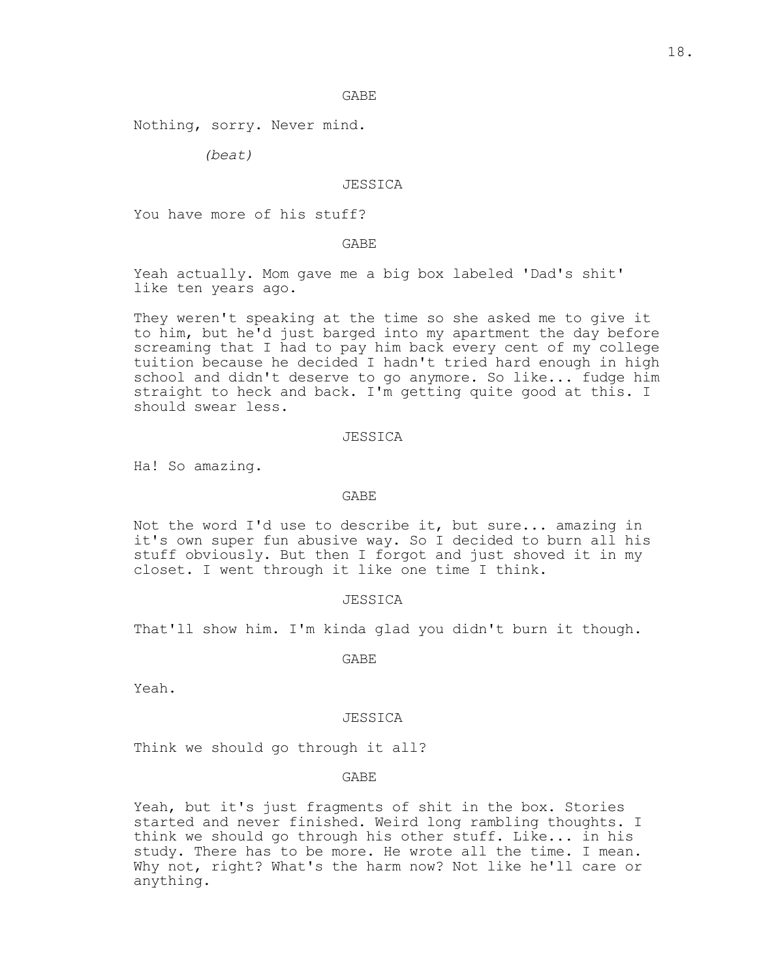Nothing, sorry. Never mind.

*(beat)*

#### JESSICA

You have more of his stuff?

## GABE

Yeah actually. Mom gave me a big box labeled 'Dad's shit' like ten years ago.

They weren't speaking at the time so she asked me to give it to him, but he'd just barged into my apartment the day before screaming that I had to pay him back every cent of my college tuition because he decided I hadn't tried hard enough in high school and didn't deserve to go anymore. So like... fudge him straight to heck and back. I'm getting quite good at this. I should swear less.

#### JESSICA

Ha! So amazing.

### GABE

Not the word I'd use to describe it, but sure... amazing in it's own super fun abusive way. So I decided to burn all his stuff obviously. But then I forgot and just shoved it in my closet. I went through it like one time I think.

#### JESSICA

That'll show him. I'm kinda glad you didn't burn it though.

## GABE

Yeah.

#### JESSICA

Think we should go through it all?

GABE

Yeah, but it's just fragments of shit in the box. Stories started and never finished. Weird long rambling thoughts. I think we should go through his other stuff. Like... in his study. There has to be more. He wrote all the time. I mean. Why not, right? What's the harm now? Not like he'll care or anything.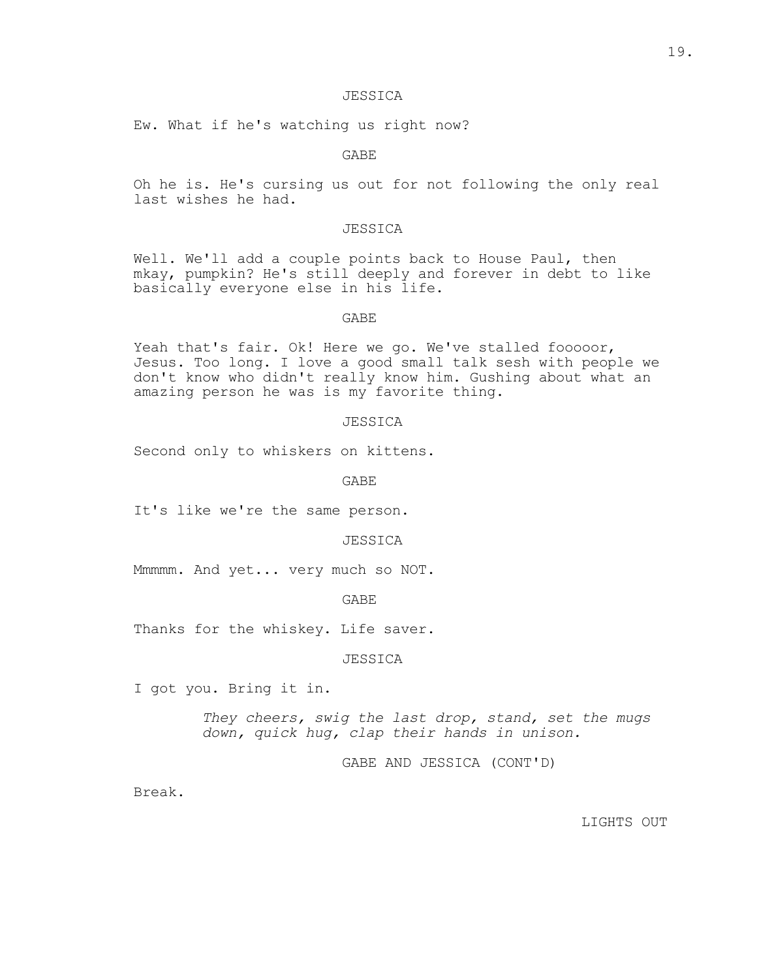Ew. What if he's watching us right now?

GABE

Oh he is. He's cursing us out for not following the only real last wishes he had.

### JESSICA

Well. We'll add a couple points back to House Paul, then mkay, pumpkin? He's still deeply and forever in debt to like basically everyone else in his life.

GABE

Yeah that's fair. Ok! Here we go. We've stalled fooooor, Jesus. Too long. I love a good small talk sesh with people we don't know who didn't really know him. Gushing about what an amazing person he was is my favorite thing.

JESSICA

Second only to whiskers on kittens.

GABE

It's like we're the same person.

JESSICA

Mmmmm. And yet... very much so NOT.

GABE

Thanks for the whiskey. Life saver.

JESSICA

I got you. Bring it in.

*They cheers, swig the last drop, stand, set the mugs down, quick hug, clap their hands in unison.*

GABE AND JESSICA (CONT'D)

Break.

LIGHTS OUT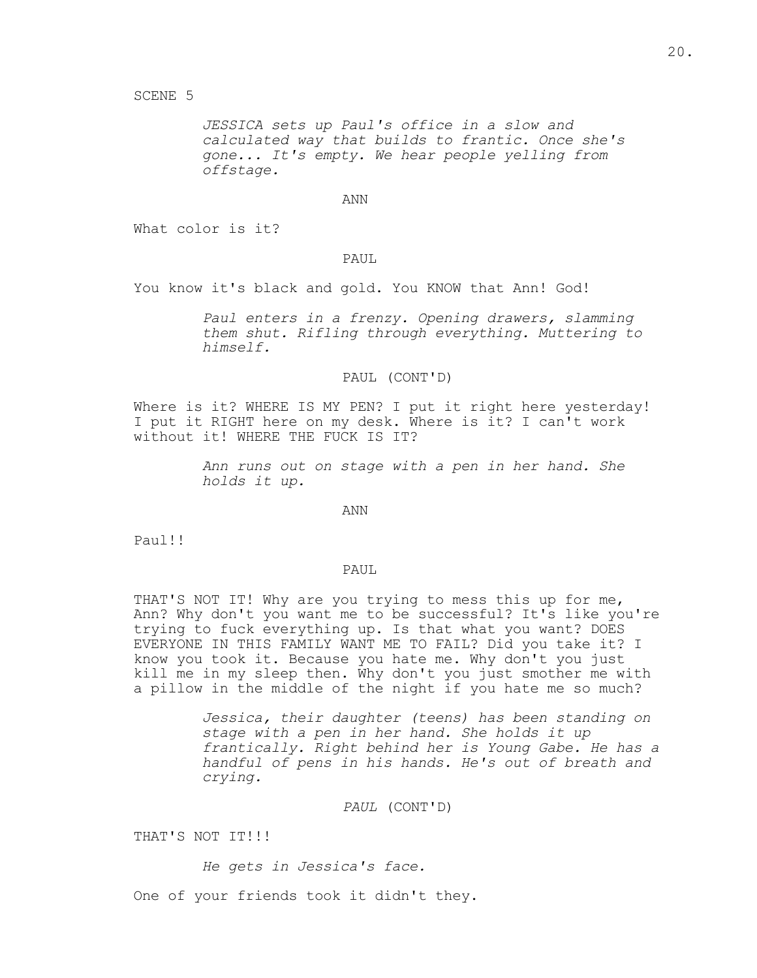SCENE 5

*JESSICA sets up Paul's office in a slow and calculated way that builds to frantic. Once she's gone... It's empty. We hear people yelling from offstage.*

ANN

What color is it?

## PAUL

You know it's black and gold. You KNOW that Ann! God!

*Paul enters in a frenzy. Opening drawers, slamming them shut. Rifling through everything. Muttering to himself.*

## PAUL (CONT'D)

Where is it? WHERE IS MY PEN? I put it right here yesterday! I put it RIGHT here on my desk. Where is it? I can't work without it! WHERE THE FUCK IS IT?

> *Ann runs out on stage with a pen in her hand. She holds it up.*

> > ANN

Paul!!

### PAUL

THAT'S NOT IT! Why are you trying to mess this up for me, Ann? Why don't you want me to be successful? It's like you're trying to fuck everything up. Is that what you want? DOES EVERYONE IN THIS FAMILY WANT ME TO FAIL? Did you take it? I know you took it. Because you hate me. Why don't you just kill me in my sleep then. Why don't you just smother me with a pillow in the middle of the night if you hate me so much?

> *Jessica, their daughter (teens) has been standing on stage with a pen in her hand. She holds it up frantically. Right behind her is Young Gabe. He has a handful of pens in his hands. He's out of breath and crying.*

> > *PAUL* (CONT'D)

THAT'S NOT IT!!!

*He gets in Jessica's face.*

One of your friends took it didn't they.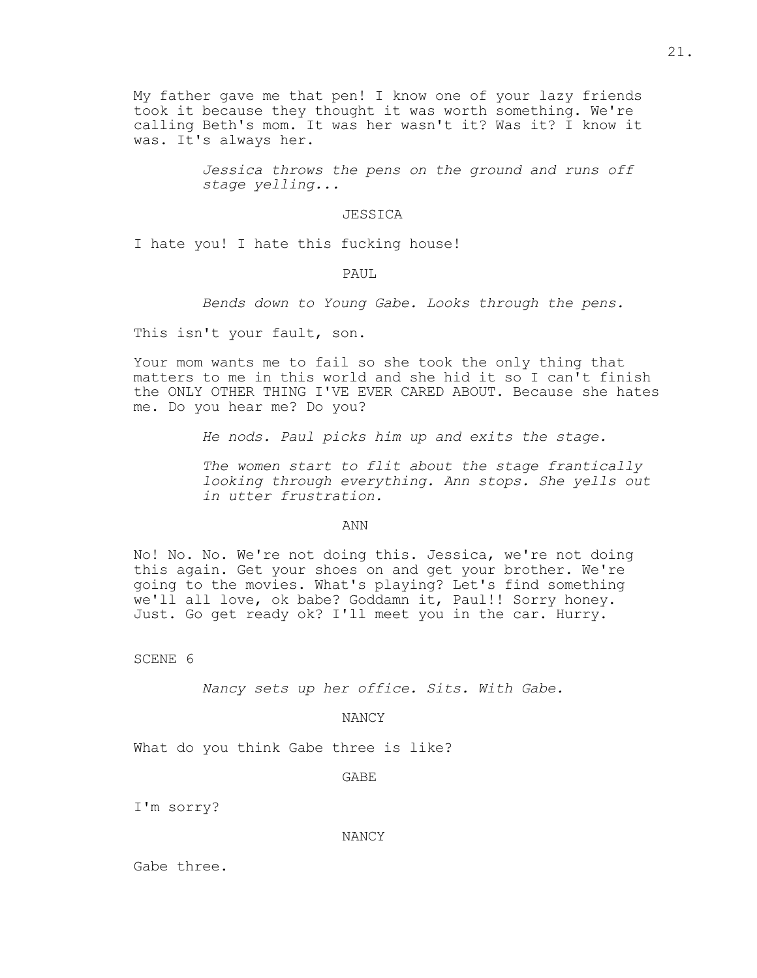My father gave me that pen! I know one of your lazy friends took it because they thought it was worth something. We're calling Beth's mom. It was her wasn't it? Was it? I know it was. It's always her.

> *Jessica throws the pens on the ground and runs off stage yelling...*

#### JESSICA

I hate you! I hate this fucking house!

PAUL

*Bends down to Young Gabe. Looks through the pens.*

This isn't your fault, son.

Your mom wants me to fail so she took the only thing that matters to me in this world and she hid it so I can't finish the ONLY OTHER THING I'VE EVER CARED ABOUT. Because she hates me. Do you hear me? Do you?

*He nods. Paul picks him up and exits the stage.*

*The women start to flit about the stage frantically looking through everything. Ann stops. She yells out in utter frustration.*

ANN

No! No. No. We're not doing this. Jessica, we're not doing this again. Get your shoes on and get your brother. We're going to the movies. What's playing? Let's find something we'll all love, ok babe? Goddamn it, Paul!! Sorry honey. Just. Go get ready ok? I'll meet you in the car. Hurry.

SCENE 6

*Nancy sets up her office. Sits. With Gabe.*

NANCY

What do you think Gabe three is like?

GABE

I'm sorry?

NANCY

Gabe three.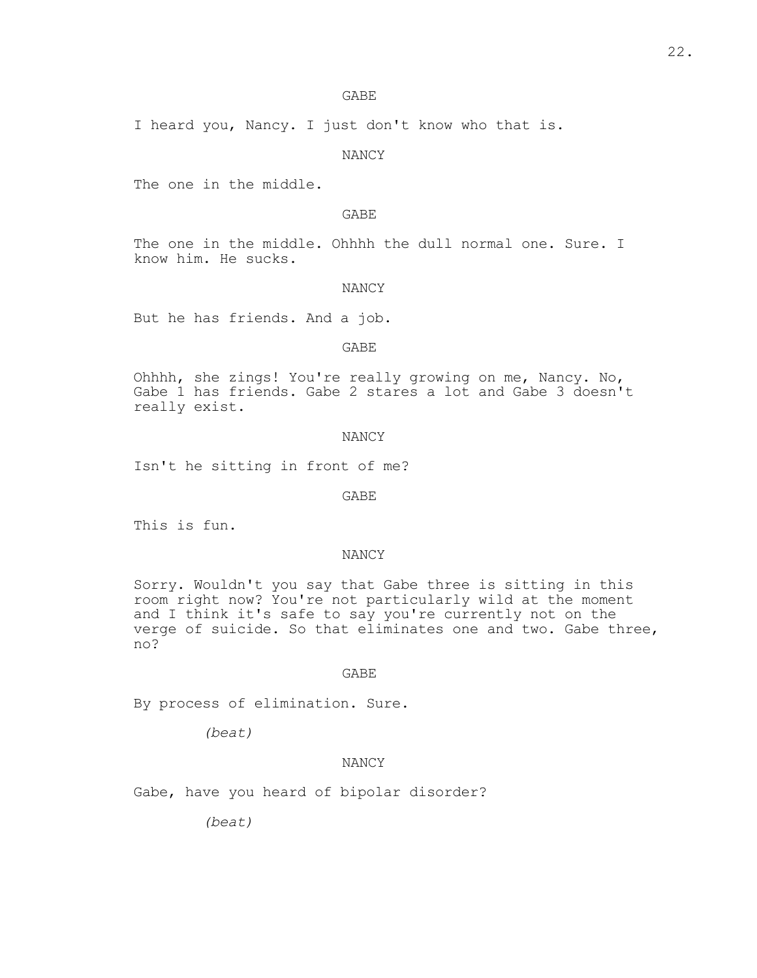# GABE

I heard you, Nancy. I just don't know who that is.

NANCY

The one in the middle.

## GABE

The one in the middle. Ohhhh the dull normal one. Sure. I know him. He sucks.

### NANCY

But he has friends. And a job.

## GABE

Ohhhh, she zings! You're really growing on me, Nancy. No, Gabe 1 has friends. Gabe 2 stares a lot and Gabe 3 doesn't really exist.

### NANCY

Isn't he sitting in front of me?

GABE

This is fun.

### NANCY

Sorry. Wouldn't you say that Gabe three is sitting in this room right now? You're not particularly wild at the moment and I think it's safe to say you're currently not on the verge of suicide. So that eliminates one and two. Gabe three, no?

#### GABE

By process of elimination. Sure.

*(beat)*

## NANCY

Gabe, have you heard of bipolar disorder?

*(beat)*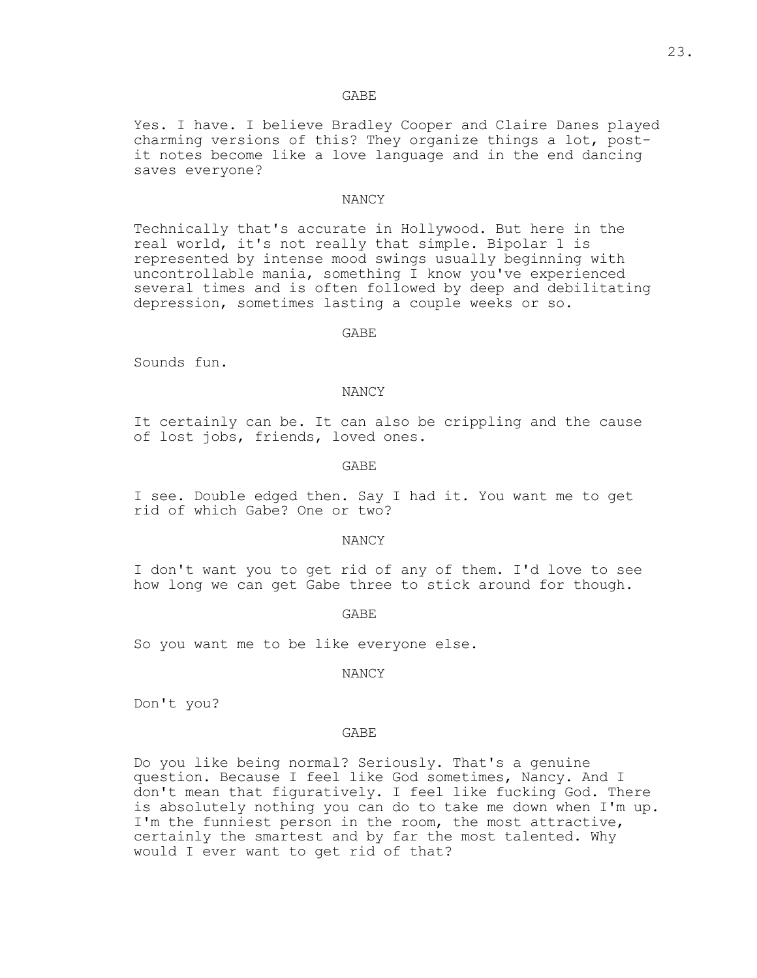## GABE

Yes. I have. I believe Bradley Cooper and Claire Danes played charming versions of this? They organize things a lot, postit notes become like a love language and in the end dancing saves everyone?

#### NANCY

Technically that's accurate in Hollywood. But here in the real world, it's not really that simple. Bipolar 1 is represented by intense mood swings usually beginning with uncontrollable mania, something I know you've experienced several times and is often followed by deep and debilitating depression, sometimes lasting a couple weeks or so.

GABE

Sounds fun.

#### NANCY

It certainly can be. It can also be crippling and the cause of lost jobs, friends, loved ones.

GABE

I see. Double edged then. Say I had it. You want me to get rid of which Gabe? One or two?

#### NANCY

I don't want you to get rid of any of them. I'd love to see how long we can get Gabe three to stick around for though.

GABE

So you want me to be like everyone else.

NANCY

Don't you?

#### GABE

Do you like being normal? Seriously. That's a genuine question. Because I feel like God sometimes, Nancy. And I don't mean that figuratively. I feel like fucking God. There is absolutely nothing you can do to take me down when I'm up. I'm the funniest person in the room, the most attractive, certainly the smartest and by far the most talented. Why would I ever want to get rid of that?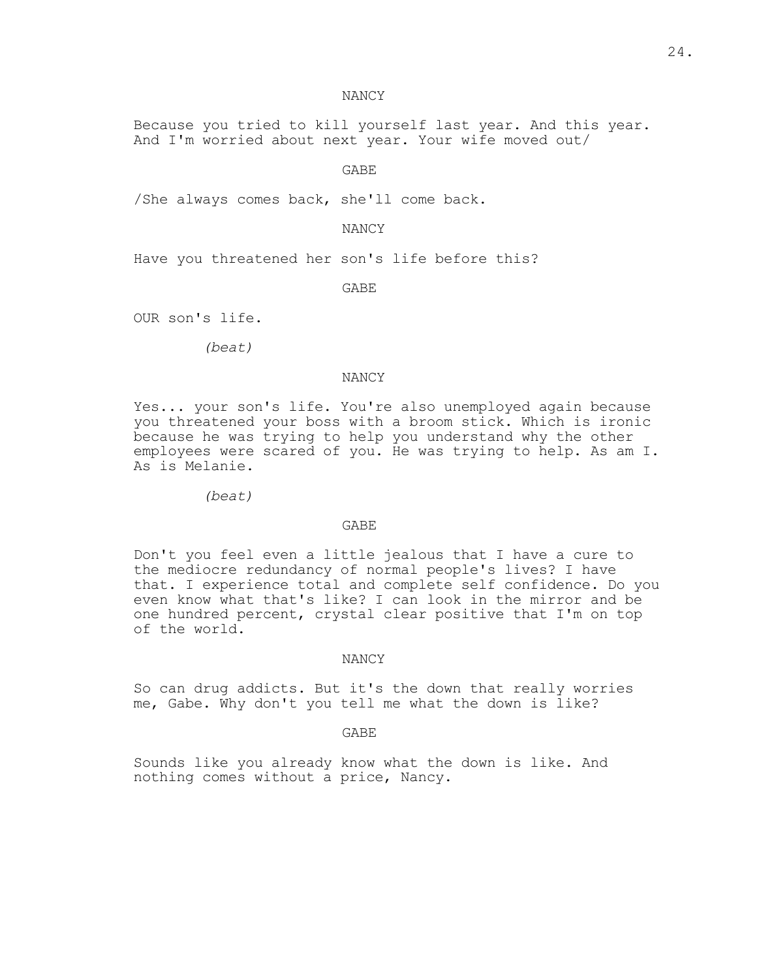## NANCY

Because you tried to kill yourself last year. And this year. And I'm worried about next year. Your wife moved out/

GABE

/She always comes back, she'll come back.

NANCY

Have you threatened her son's life before this?

GABE

OUR son's life.

*(beat)*

#### NANCY

Yes... your son's life. You're also unemployed again because you threatened your boss with a broom stick. Which is ironic because he was trying to help you understand why the other employees were scared of you. He was trying to help. As am I. As is Melanie.

*(beat)*

#### GABE

Don't you feel even a little jealous that I have a cure to the mediocre redundancy of normal people's lives? I have that. I experience total and complete self confidence. Do you even know what that's like? I can look in the mirror and be one hundred percent, crystal clear positive that I'm on top of the world.

## NANCY

So can drug addicts. But it's the down that really worries me, Gabe. Why don't you tell me what the down is like?

GABE

Sounds like you already know what the down is like. And nothing comes without a price, Nancy.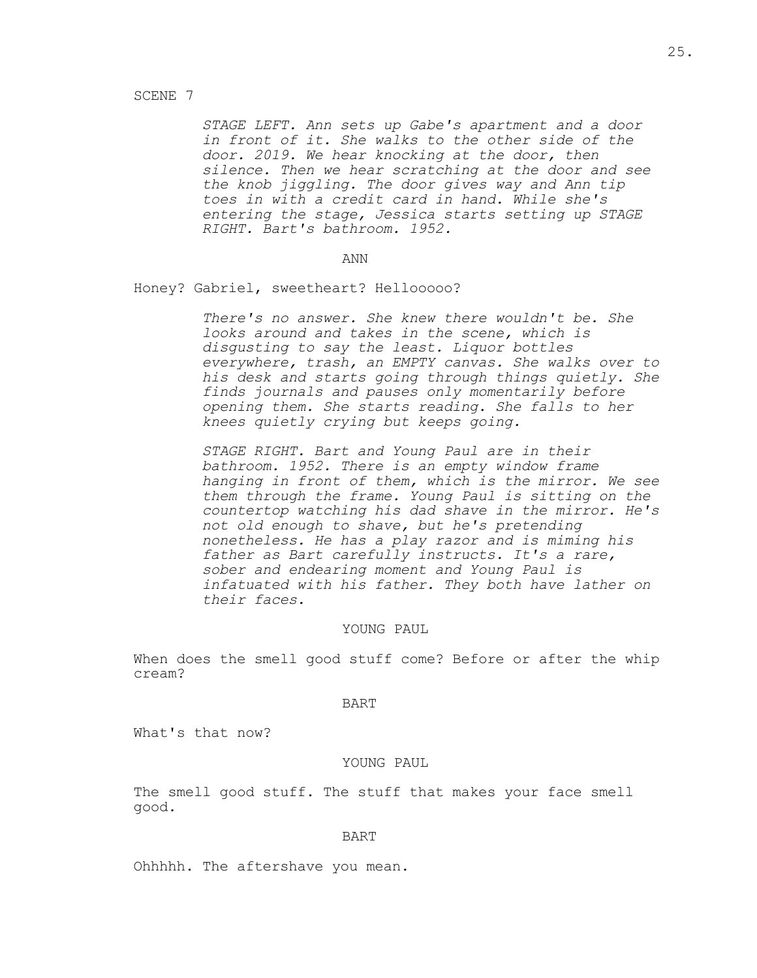## SCENE 7

*STAGE LEFT. Ann sets up Gabe's apartment and a door in front of it. She walks to the other side of the door. 2019. We hear knocking at the door, then silence. Then we hear scratching at the door and see the knob jiggling. The door gives way and Ann tip toes in with a credit card in hand. While she's entering the stage, Jessica starts setting up STAGE RIGHT. Bart's bathroom. 1952.*

### ANN

Honey? Gabriel, sweetheart? Hellooooo?

*There's no answer. She knew there wouldn't be. She looks around and takes in the scene, which is disgusting to say the least. Liquor bottles everywhere, trash, an EMPTY canvas. She walks over to his desk and starts going through things quietly. She finds journals and pauses only momentarily before opening them. She starts reading. She falls to her knees quietly crying but keeps going.*

*STAGE RIGHT. Bart and Young Paul are in their bathroom. 1952. There is an empty window frame hanging in front of them, which is the mirror. We see them through the frame. Young Paul is sitting on the countertop watching his dad shave in the mirror. He's not old enough to shave, but he's pretending nonetheless. He has a play razor and is miming his father as Bart carefully instructs. It's a rare, sober and endearing moment and Young Paul is infatuated with his father. They both have lather on their faces.*

#### YOUNG PAUL

When does the smell good stuff come? Before or after the whip cream?

#### BART

What's that now?

YOUNG PAUL

The smell good stuff. The stuff that makes your face smell good.

#### BART

Ohhhhh. The aftershave you mean.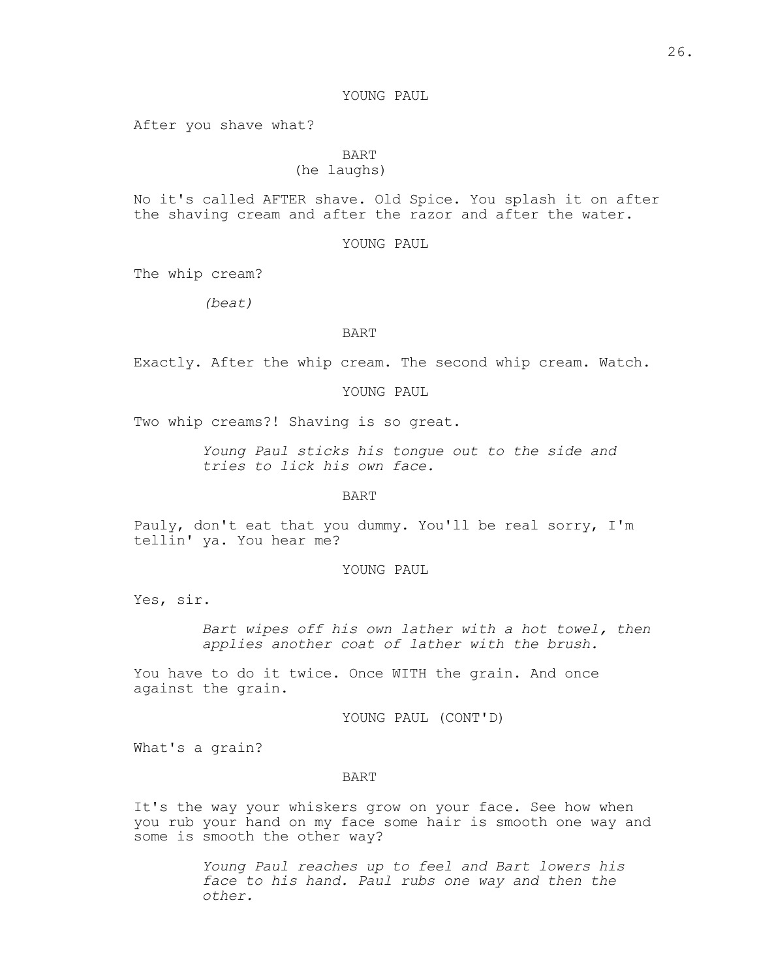## YOUNG PAUL

After you shave what?

## BART (he laughs)

No it's called AFTER shave. Old Spice. You splash it on after the shaving cream and after the razor and after the water.

### YOUNG PAUL

The whip cream?

*(beat)*

## BART

Exactly. After the whip cream. The second whip cream. Watch.

YOUNG PAUL

Two whip creams?! Shaving is so great.

*Young Paul sticks his tongue out to the side and tries to lick his own face.*

### BART

Pauly, don't eat that you dummy. You'll be real sorry, I'm tellin' ya. You hear me?

### YOUNG PAUL

Yes, sir.

*Bart wipes off his own lather with a hot towel, then applies another coat of lather with the brush.*

You have to do it twice. Once WITH the grain. And once against the grain.

YOUNG PAUL (CONT'D)

What's a grain?

### BART

It's the way your whiskers grow on your face. See how when you rub your hand on my face some hair is smooth one way and some is smooth the other way?

> *Young Paul reaches up to feel and Bart lowers his face to his hand. Paul rubs one way and then the other.*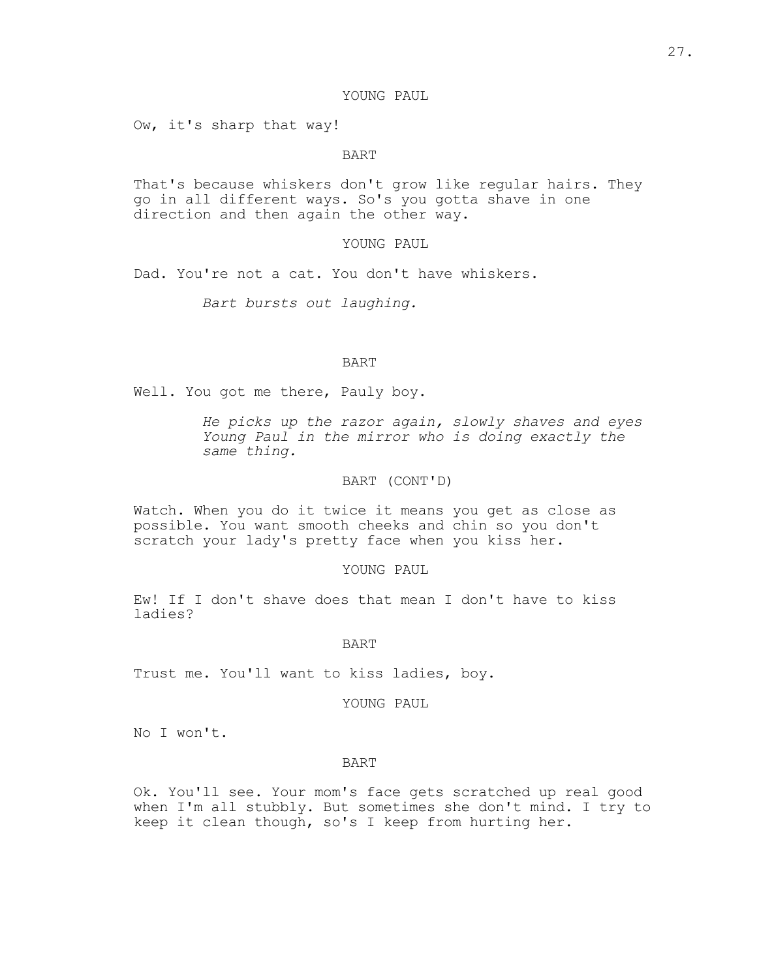## YOUNG PAUL

Ow, it's sharp that way!

### BART

That's because whiskers don't grow like regular hairs. They go in all different ways. So's you gotta shave in one direction and then again the other way.

## YOUNG PAUL

Dad. You're not a cat. You don't have whiskers.

*Bart bursts out laughing.*

#### BART

Well. You got me there, Pauly boy.

*He picks up the razor again, slowly shaves and eyes Young Paul in the mirror who is doing exactly the same thing.*

### BART (CONT'D)

Watch. When you do it twice it means you get as close as possible. You want smooth cheeks and chin so you don't scratch your lady's pretty face when you kiss her.

### YOUNG PAUL

Ew! If I don't shave does that mean I don't have to kiss ladies?

#### BART

Trust me. You'll want to kiss ladies, boy.

YOUNG PAUL

No I won't.

### BART

Ok. You'll see. Your mom's face gets scratched up real good when I'm all stubbly. But sometimes she don't mind. I try to keep it clean though, so's I keep from hurting her.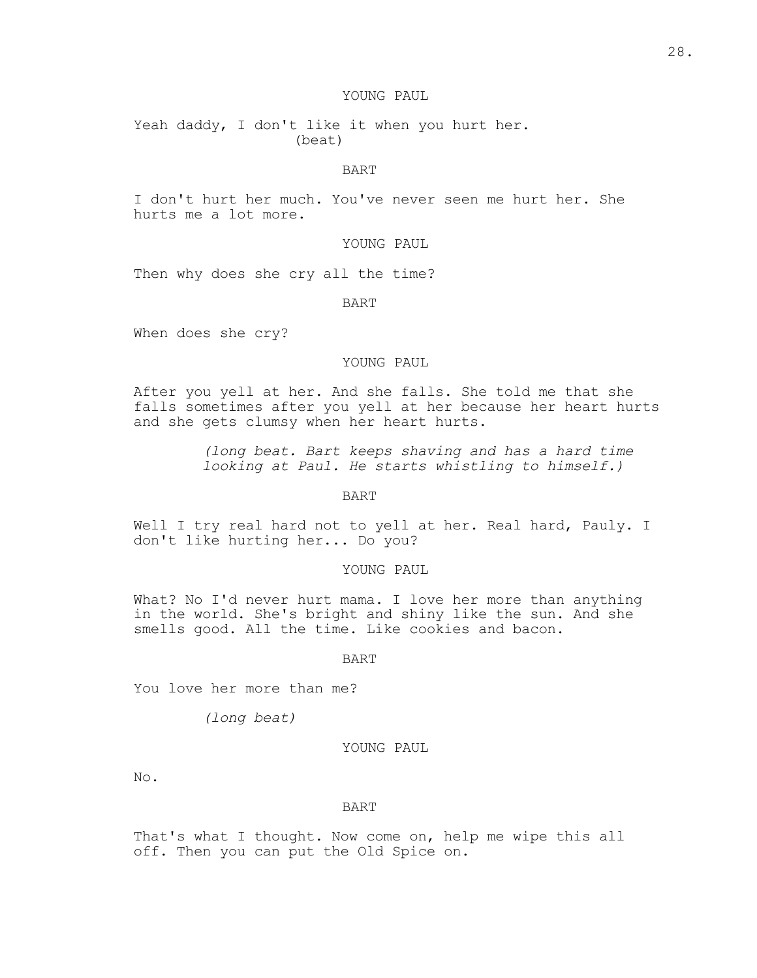## YOUNG PAUL

Yeah daddy, I don't like it when you hurt her. (beat)

## BART

I don't hurt her much. You've never seen me hurt her. She hurts me a lot more.

## YOUNG PAUL

Then why does she cry all the time?

BART

When does she cry?

### YOUNG PAUL

After you yell at her. And she falls. She told me that she falls sometimes after you yell at her because her heart hurts and she gets clumsy when her heart hurts.

> *(long beat. Bart keeps shaving and has a hard time looking at Paul. He starts whistling to himself.)*

## BART

Well I try real hard not to yell at her. Real hard, Pauly. I don't like hurting her... Do you?

## YOUNG PAUL

What? No I'd never hurt mama. I love her more than anything in the world. She's bright and shiny like the sun. And she smells good. All the time. Like cookies and bacon.

## BART

You love her more than me?

*(long beat)*

YOUNG PAUL

No.

#### BART

That's what I thought. Now come on, help me wipe this all off. Then you can put the Old Spice on.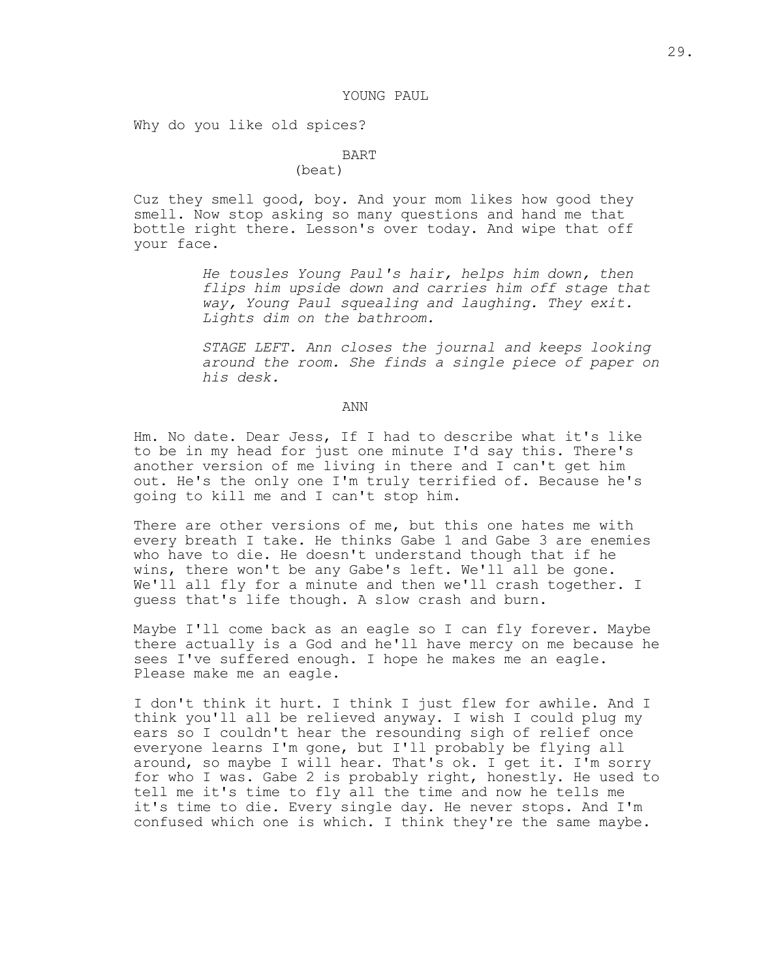# 29.

## YOUNG PAUL

Why do you like old spices?

#### BART

(beat)

Cuz they smell good, boy. And your mom likes how good they smell. Now stop asking so many questions and hand me that bottle right there. Lesson's over today. And wipe that off your face.

> *He tousles Young Paul's hair, helps him down, then flips him upside down and carries him off stage that way, Young Paul squealing and laughing. They exit. Lights dim on the bathroom.*

*STAGE LEFT. Ann closes the journal and keeps looking around the room. She finds a single piece of paper on his desk.*

#### ANN

Hm. No date. Dear Jess, If I had to describe what it's like to be in my head for just one minute I'd say this. There's another version of me living in there and I can't get him out. He's the only one I'm truly terrified of. Because he's going to kill me and I can't stop him.

There are other versions of me, but this one hates me with every breath I take. He thinks Gabe 1 and Gabe 3 are enemies who have to die. He doesn't understand though that if he wins, there won't be any Gabe's left. We'll all be gone. We'll all fly for a minute and then we'll crash together. I guess that's life though. A slow crash and burn.

Maybe I'll come back as an eagle so I can fly forever. Maybe there actually is a God and he'll have mercy on me because he sees I've suffered enough. I hope he makes me an eagle. Please make me an eagle.

I don't think it hurt. I think I just flew for awhile. And I think you'll all be relieved anyway. I wish I could plug my ears so I couldn't hear the resounding sigh of relief once everyone learns I'm gone, but I'll probably be flying all around, so maybe I will hear. That's ok. I get it. I'm sorry for who I was. Gabe 2 is probably right, honestly. He used to tell me it's time to fly all the time and now he tells me it's time to die. Every single day. He never stops. And I'm confused which one is which. I think they're the same maybe.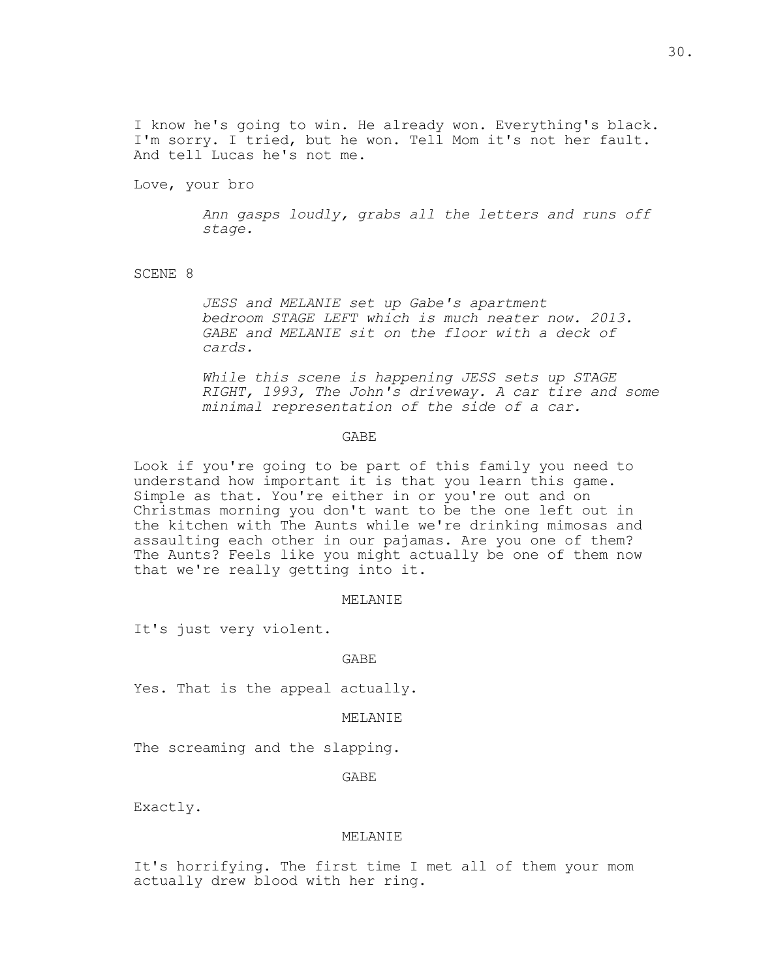I know he's going to win. He already won. Everything's black. I'm sorry. I tried, but he won. Tell Mom it's not her fault. And tell Lucas he's not me.

Love, your bro

*Ann gasps loudly, grabs all the letters and runs off stage.*

SCENE 8

*JESS and MELANIE set up Gabe's apartment bedroom STAGE LEFT which is much neater now. 2013. GABE and MELANIE sit on the floor with a deck of cards.*

*While this scene is happening JESS sets up STAGE RIGHT, 1993, The John's driveway. A car tire and some minimal representation of the side of a car.*

### GABE

Look if you're going to be part of this family you need to understand how important it is that you learn this game. Simple as that. You're either in or you're out and on Christmas morning you don't want to be the one left out in the kitchen with The Aunts while we're drinking mimosas and assaulting each other in our pajamas. Are you one of them? The Aunts? Feels like you might actually be one of them now that we're really getting into it.

#### MELANIE

It's just very violent.

### GABE

Yes. That is the appeal actually.

MELANIE

The screaming and the slapping.

GABE

Exactly.

#### MELANIE

It's horrifying. The first time I met all of them your mom actually drew blood with her ring.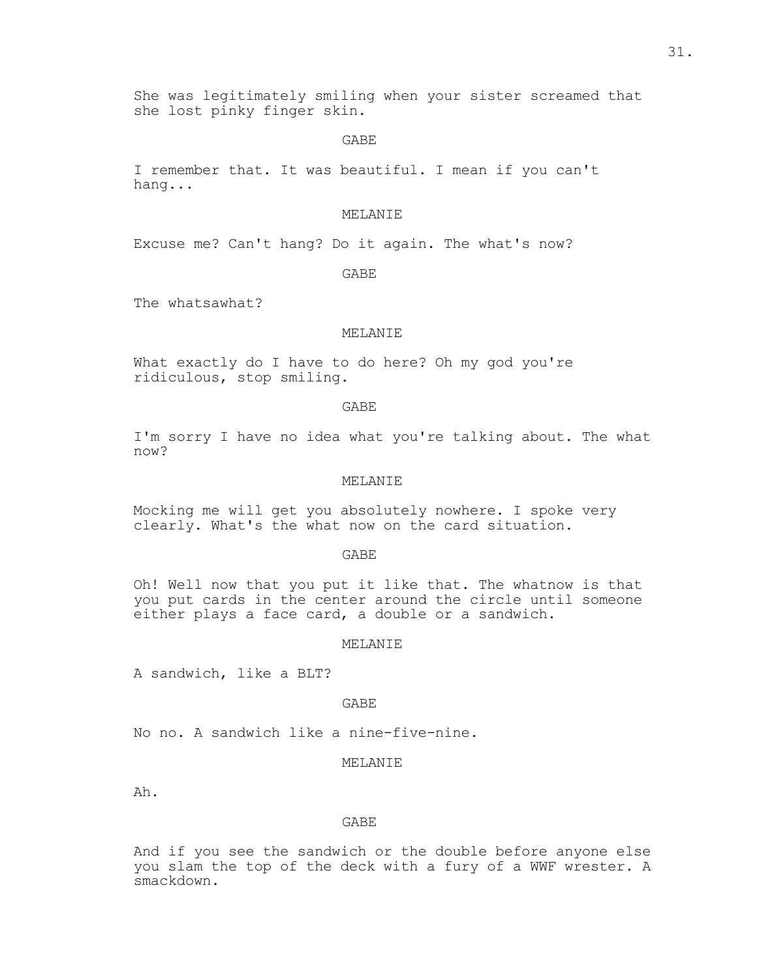She was legitimately smiling when your sister screamed that she lost pinky finger skin.

### GABE

I remember that. It was beautiful. I mean if you can't hang...

### MELANIE

Excuse me? Can't hang? Do it again. The what's now?

GABE

The whatsawhat?

## MELANIE

What exactly do I have to do here? Oh my god you're ridiculous, stop smiling.

GABE

I'm sorry I have no idea what you're talking about. The what now?

### MELANIE

Mocking me will get you absolutely nowhere. I spoke very clearly. What's the what now on the card situation.

#### GABE

Oh! Well now that you put it like that. The whatnow is that you put cards in the center around the circle until someone either plays a face card, a double or a sandwich.

## MELANIE

A sandwich, like a BLT?

#### GABE

No no. A sandwich like a nine-five-nine.

## MELANIE

Ah.

#### GABE

And if you see the sandwich or the double before anyone else you slam the top of the deck with a fury of a WWF wrester. A smackdown.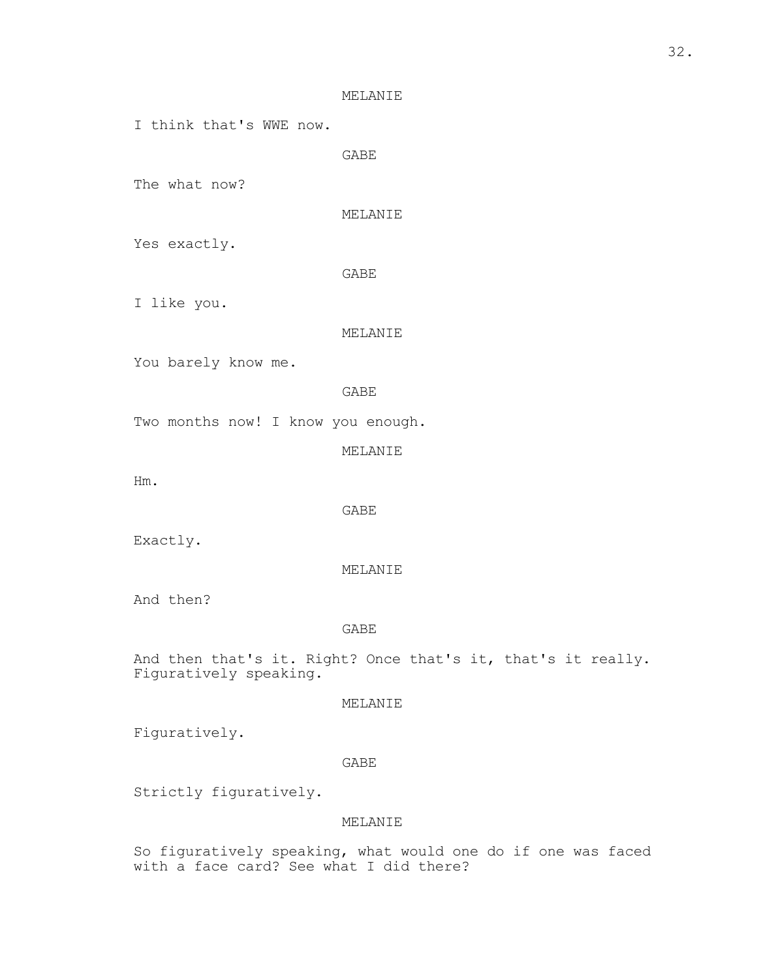# MELANIE

I think that's WWE now.

GABE

The what now?

MELANIE

Yes exactly.

GABE

I like you.

# MELANIE

You barely know me.

GABE

Two months now! I know you enough.

MELANIE

Hm.

GABE

Exactly.

### MELANIE

And then?

#### GABE

And then that's it. Right? Once that's it, that's it really. Figuratively speaking.

## MELANIE

Figuratively.

## GABE

Strictly figuratively.

## MELANIE

So figuratively speaking, what would one do if one was faced with a face card? See what I did there?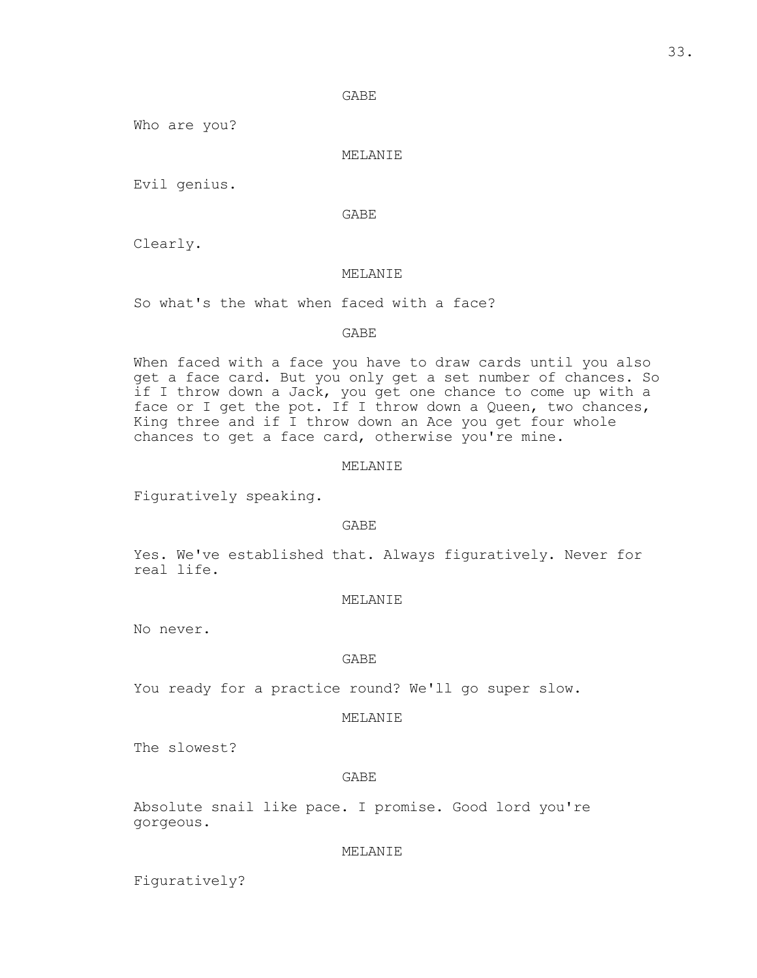GABE

Who are you?

MELANIE

Evil genius.

GABE

Clearly.

## MELANIE

So what's the what when faced with a face?

GABE

When faced with a face you have to draw cards until you also get a face card. But you only get a set number of chances. So if I throw down a Jack, you get one chance to come up with a face or I get the pot. If I throw down a Queen, two chances, King three and if I throw down an Ace you get four whole chances to get a face card, otherwise you're mine.

### MELANIE

Figuratively speaking.

GABE

Yes. We've established that. Always figuratively. Never for real life.

MELANIE

No never.

### GABE

You ready for a practice round? We'll go super slow.

#### MELANIE

The slowest?

## GABE

Absolute snail like pace. I promise. Good lord you're gorgeous.

## MELANIE

Figuratively?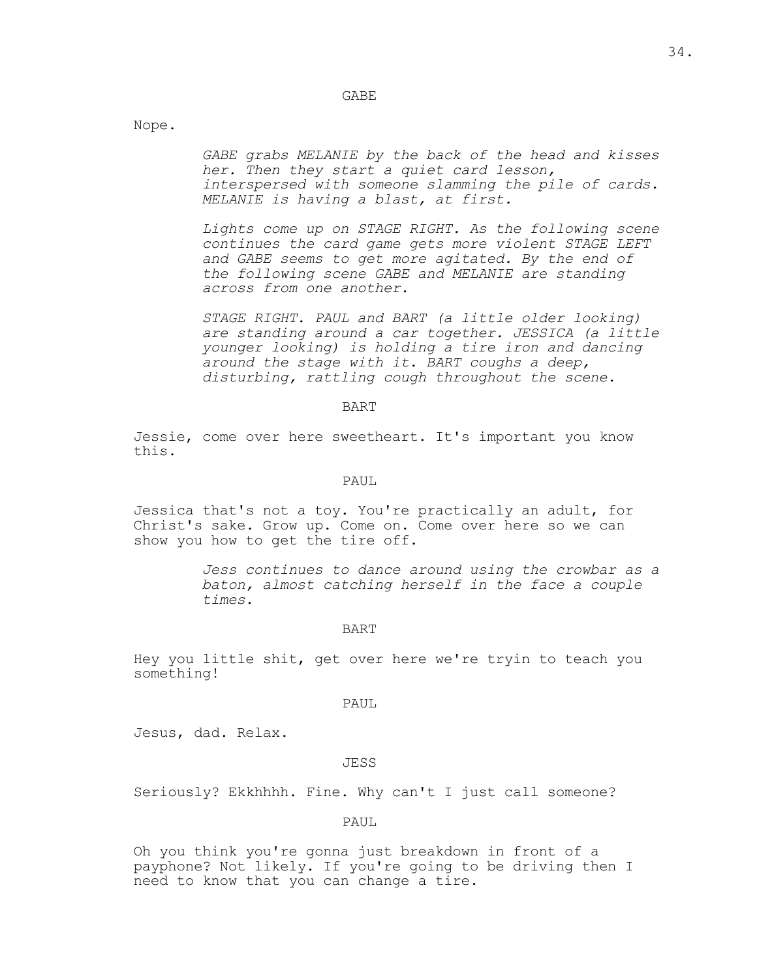GABE

Nope.

*GABE grabs MELANIE by the back of the head and kisses her. Then they start a quiet card lesson, interspersed with someone slamming the pile of cards. MELANIE is having a blast, at first.*

*Lights come up on STAGE RIGHT. As the following scene continues the card game gets more violent STAGE LEFT and GABE seems to get more agitated. By the end of the following scene GABE and MELANIE are standing across from one another.*

*STAGE RIGHT. PAUL and BART (a little older looking) are standing around a car together. JESSICA (a little younger looking) is holding a tire iron and dancing around the stage with it. BART coughs a deep, disturbing, rattling cough throughout the scene.*

BART

Jessie, come over here sweetheart. It's important you know this.

PAUL

Jessica that's not a toy. You're practically an adult, for Christ's sake. Grow up. Come on. Come over here so we can show you how to get the tire off.

> *Jess continues to dance around using the crowbar as a baton, almost catching herself in the face a couple times.*

#### BART

Hey you little shit, get over here we're tryin to teach you something!

PAUL

Jesus, dad. Relax.

# JESS

Seriously? Ekkhhhh. Fine. Why can't I just call someone?

PAUL

Oh you think you're gonna just breakdown in front of a payphone? Not likely. If you're going to be driving then I need to know that you can change a tire.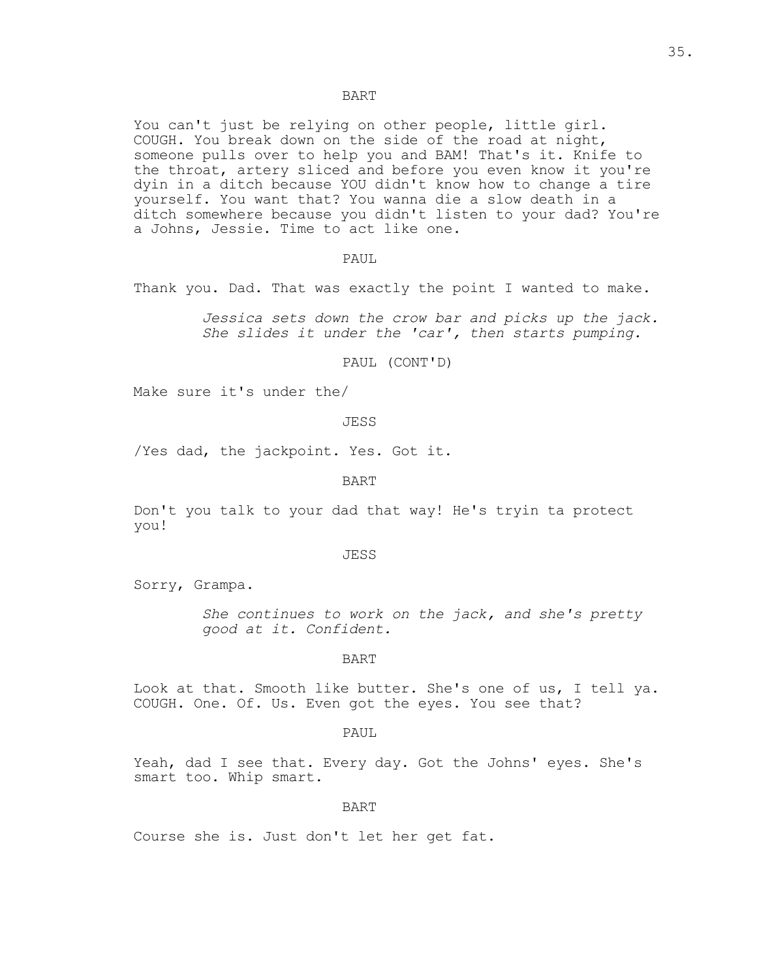## BART

You can't just be relying on other people, little girl. COUGH. You break down on the side of the road at night, someone pulls over to help you and BAM! That's it. Knife to the throat, artery sliced and before you even know it you're dyin in a ditch because YOU didn't know how to change a tire yourself. You want that? You wanna die a slow death in a ditch somewhere because you didn't listen to your dad? You're a Johns, Jessie. Time to act like one.

PAUL

Thank you. Dad. That was exactly the point I wanted to make.

*Jessica sets down the crow bar and picks up the jack. She slides it under the 'car', then starts pumping.*

PAUL (CONT'D)

Make sure it's under the/

JESS

/Yes dad, the jackpoint. Yes. Got it.

BART

Don't you talk to your dad that way! He's tryin ta protect you!

JESS

Sorry, Grampa.

*She continues to work on the jack, and she's pretty good at it. Confident.*

## BART

Look at that. Smooth like butter. She's one of us, I tell ya. COUGH. One. Of. Us. Even got the eyes. You see that?

#### PAUL

Yeah, dad I see that. Every day. Got the Johns' eyes. She's smart too. Whip smart.

### BART

Course she is. Just don't let her get fat.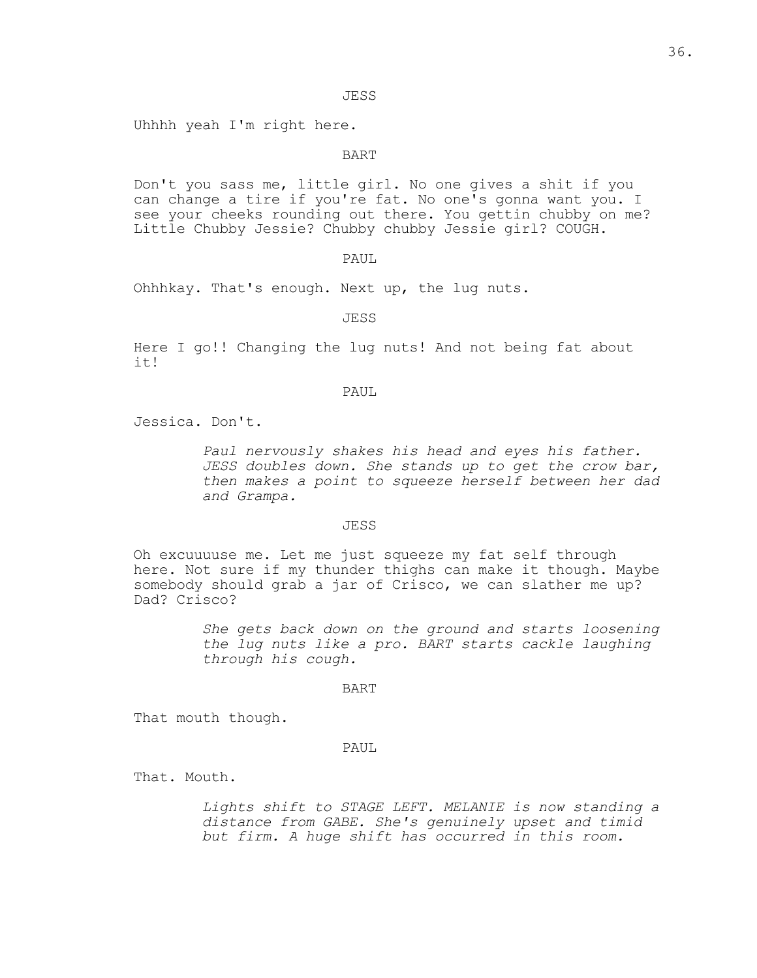JESS

Uhhhh yeah I'm right here.

## BART

Don't you sass me, little girl. No one gives a shit if you can change a tire if you're fat. No one's gonna want you. I see your cheeks rounding out there. You gettin chubby on me? Little Chubby Jessie? Chubby chubby Jessie girl? COUGH.

# PAUL

Ohhhkay. That's enough. Next up, the lug nuts.

JESS

Here I go!! Changing the lug nuts! And not being fat about it!

#### PAUL

Jessica. Don't.

*Paul nervously shakes his head and eyes his father. JESS doubles down. She stands up to get the crow bar, then makes a point to squeeze herself between her dad and Grampa.*

### JESS

Oh excuuuuse me. Let me just squeeze my fat self through here. Not sure if my thunder thighs can make it though. Maybe somebody should grab a jar of Crisco, we can slather me up? Dad? Crisco?

> *She gets back down on the ground and starts loosening the lug nuts like a pro. BART starts cackle laughing through his cough.*

> > BART

That mouth though.

# PAUL

That. Mouth.

*Lights shift to STAGE LEFT. MELANIE is now standing a distance from GABE. She's genuinely upset and timid but firm. A huge shift has occurred in this room.*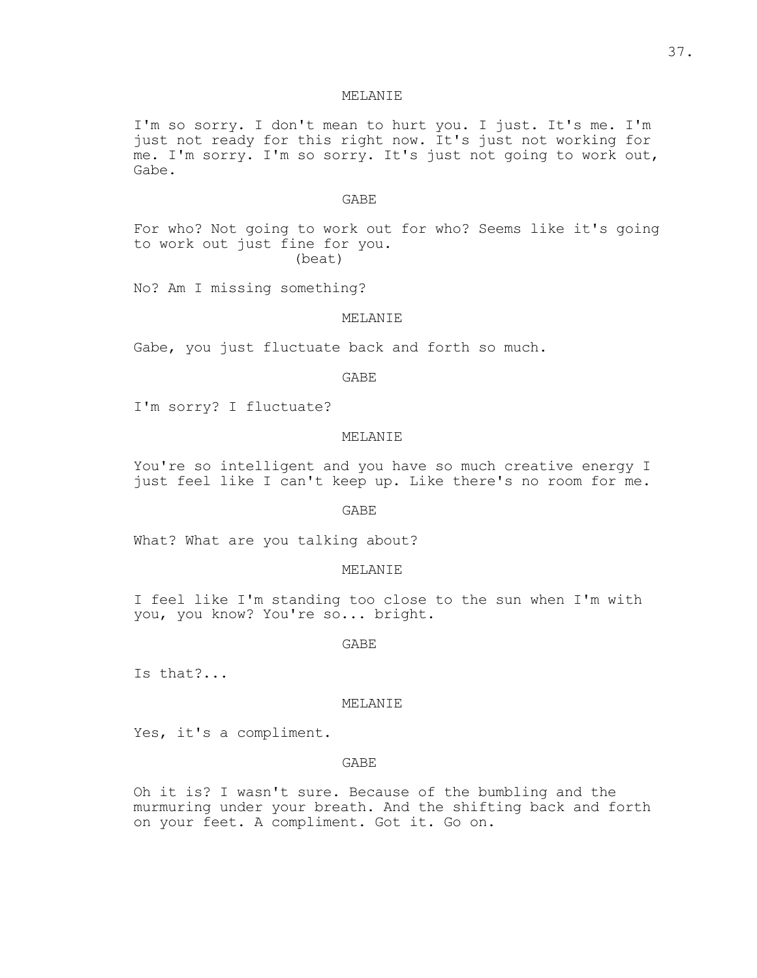# MELANIE

I'm so sorry. I don't mean to hurt you. I just. It's me. I'm just not ready for this right now. It's just not working for me. I'm sorry. I'm so sorry. It's just not going to work out, Gabe.

### GABE

For who? Not going to work out for who? Seems like it's going to work out just fine for you. (beat)

No? Am I missing something?

## MELANIE

Gabe, you just fluctuate back and forth so much.

GABE

I'm sorry? I fluctuate?

## MELANIE

You're so intelligent and you have so much creative energy I just feel like I can't keep up. Like there's no room for me.

GABE

What? What are you talking about?

## MELANIE

I feel like I'm standing too close to the sun when I'm with you, you know? You're so... bright.

GABE

Is that?...

#### MELANIE

Yes, it's a compliment.

## GABE

Oh it is? I wasn't sure. Because of the bumbling and the murmuring under your breath. And the shifting back and forth on your feet. A compliment. Got it. Go on.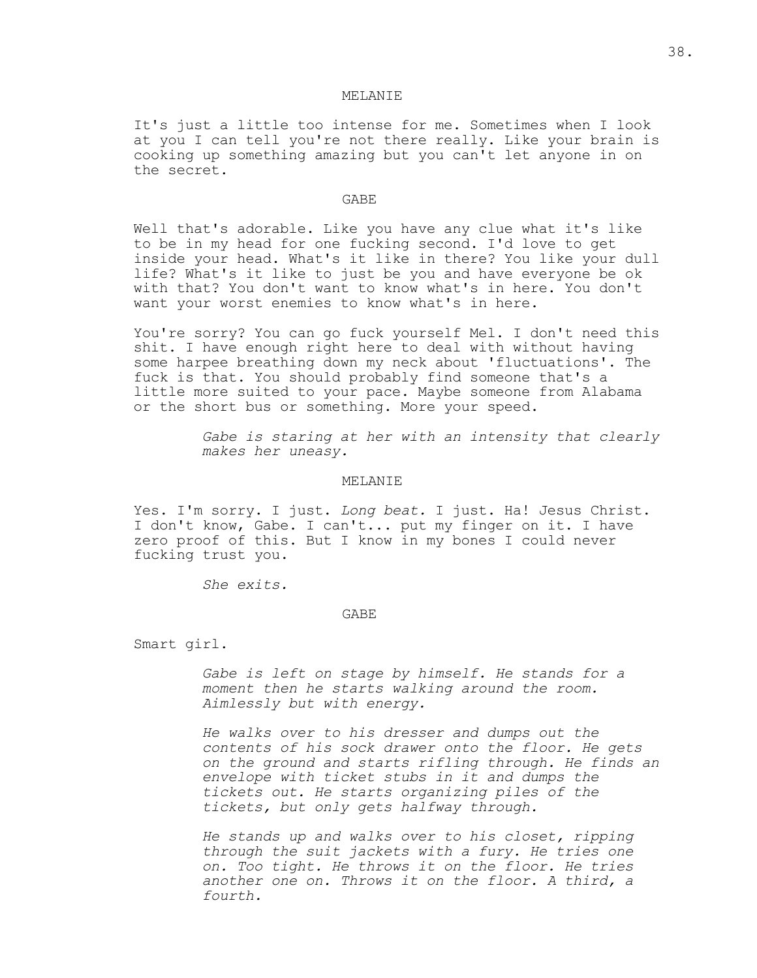## MELANIE

It's just a little too intense for me. Sometimes when I look at you I can tell you're not there really. Like your brain is cooking up something amazing but you can't let anyone in on the secret.

#### GABE

Well that's adorable. Like you have any clue what it's like to be in my head for one fucking second. I'd love to get inside your head. What's it like in there? You like your dull life? What's it like to just be you and have everyone be ok with that? You don't want to know what's in here. You don't want your worst enemies to know what's in here.

You're sorry? You can go fuck yourself Mel. I don't need this shit. I have enough right here to deal with without having some harpee breathing down my neck about 'fluctuations'. The fuck is that. You should probably find someone that's a little more suited to your pace. Maybe someone from Alabama or the short bus or something. More your speed.

> *Gabe is staring at her with an intensity that clearly makes her uneasy.*

## MELANIE

Yes. I'm sorry. I just. *Long beat.* I just. Ha! Jesus Christ. I don't know, Gabe. I can't... put my finger on it. I have zero proof of this. But I know in my bones I could never fucking trust you.

*She exits.*

### GABE

Smart girl.

*Gabe is left on stage by himself. He stands for a moment then he starts walking around the room. Aimlessly but with energy.*

*He walks over to his dresser and dumps out the contents of his sock drawer onto the floor. He gets on the ground and starts rifling through. He finds an envelope with ticket stubs in it and dumps the tickets out. He starts organizing piles of the tickets, but only gets halfway through.*

*He stands up and walks over to his closet, ripping through the suit jackets with a fury. He tries one on. Too tight. He throws it on the floor. He tries another one on. Throws it on the floor. A third, a fourth.*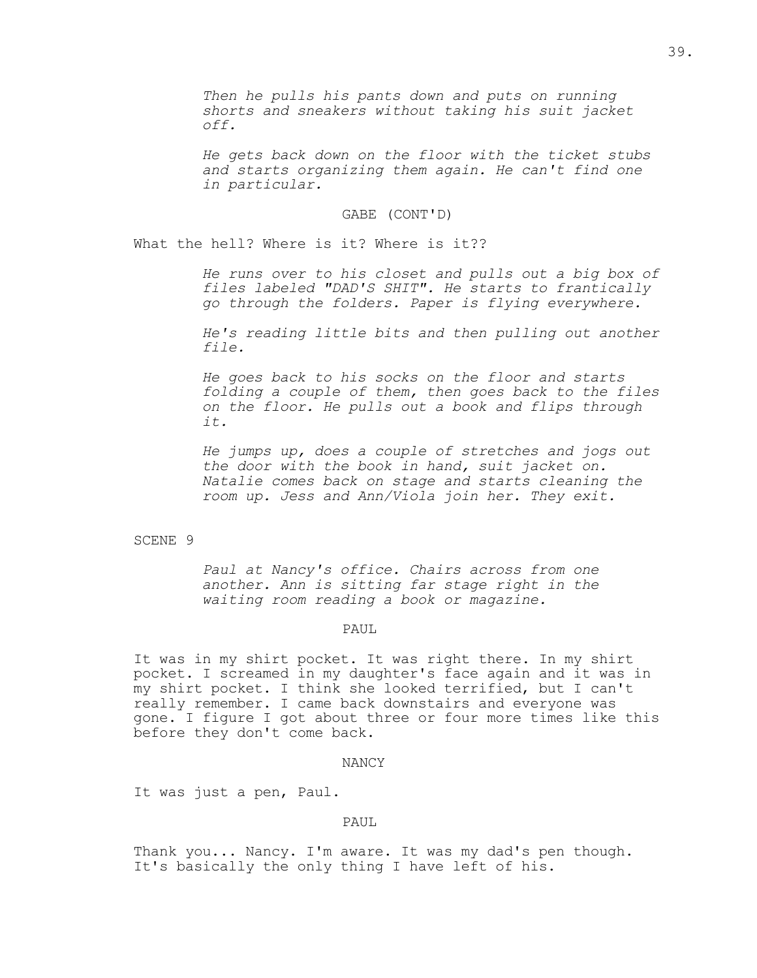*Then he pulls his pants down and puts on running shorts and sneakers without taking his suit jacket off.*

*He gets back down on the floor with the ticket stubs and starts organizing them again. He can't find one in particular.*

## GABE (CONT'D)

What the hell? Where is it? Where is it??

*He runs over to his closet and pulls out a big box of files labeled "DAD'S SHIT". He starts to frantically go through the folders. Paper is flying everywhere.*

*He's reading little bits and then pulling out another file.*

*He goes back to his socks on the floor and starts folding a couple of them, then goes back to the files on the floor. He pulls out a book and flips through it.*

*He jumps up, does a couple of stretches and jogs out the door with the book in hand, suit jacket on. Natalie comes back on stage and starts cleaning the room up. Jess and Ann/Viola join her. They exit.*

## SCENE 9

*Paul at Nancy's office. Chairs across from one another. Ann is sitting far stage right in the waiting room reading a book or magazine.*

### PAUL

It was in my shirt pocket. It was right there. In my shirt pocket. I screamed in my daughter's face again and it was in my shirt pocket. I think she looked terrified, but I can't really remember. I came back downstairs and everyone was gone. I figure I got about three or four more times like this before they don't come back.

#### NANCY

It was just a pen, Paul.

## PAUL

Thank you... Nancy. I'm aware. It was my dad's pen though. It's basically the only thing I have left of his.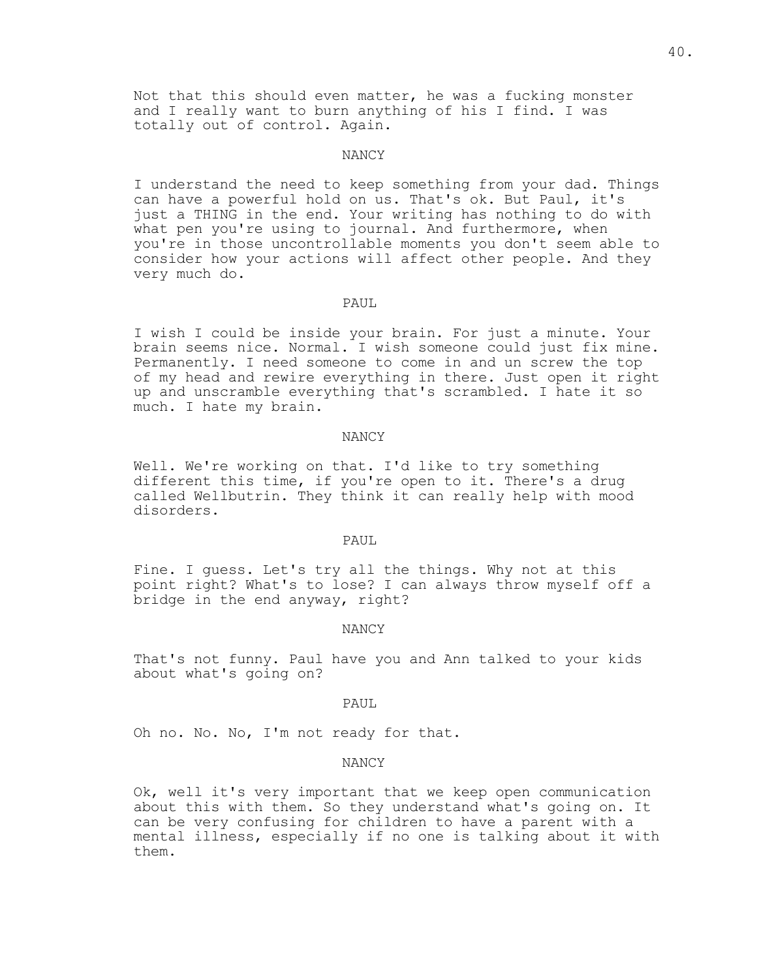Not that this should even matter, he was a fucking monster and I really want to burn anything of his I find. I was totally out of control. Again.

## NANCY

I understand the need to keep something from your dad. Things can have a powerful hold on us. That's ok. But Paul, it's just a THING in the end. Your writing has nothing to do with what pen you're using to journal. And furthermore, when you're in those uncontrollable moments you don't seem able to consider how your actions will affect other people. And they very much do.

### PAUL.

I wish I could be inside your brain. For just a minute. Your brain seems nice. Normal. I wish someone could just fix mine. Permanently. I need someone to come in and un screw the top of my head and rewire everything in there. Just open it right up and unscramble everything that's scrambled. I hate it so much. I hate my brain.

#### NANCY

Well. We're working on that. I'd like to try something different this time, if you're open to it. There's a drug called Wellbutrin. They think it can really help with mood disorders.

### PAUL

Fine. I guess. Let's try all the things. Why not at this point right? What's to lose? I can always throw myself off a bridge in the end anyway, right?

#### NANCY

That's not funny. Paul have you and Ann talked to your kids about what's going on?

### PAUL

Oh no. No. No, I'm not ready for that.

### NANCY

Ok, well it's very important that we keep open communication about this with them. So they understand what's going on. It can be very confusing for children to have a parent with a mental illness, especially if no one is talking about it with them.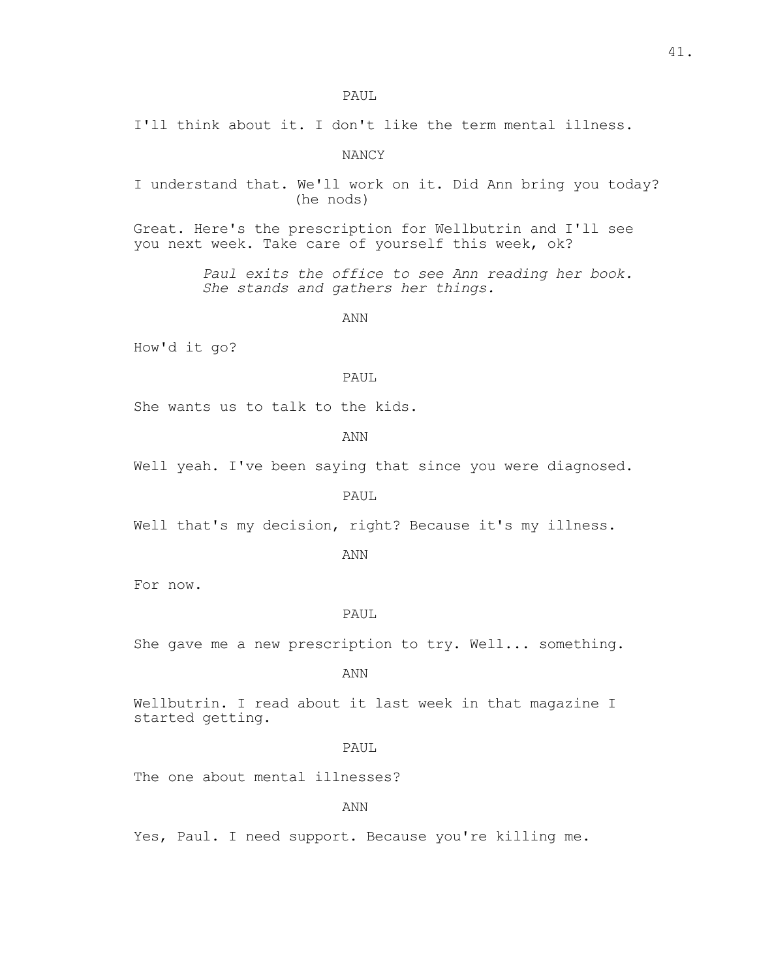# PAUL

I'll think about it. I don't like the term mental illness.

NANCY

I understand that. We'll work on it. Did Ann bring you today? (he nods)

Great. Here's the prescription for Wellbutrin and I'll see you next week. Take care of yourself this week, ok?

> *Paul exits the office to see Ann reading her book. She stands and gathers her things.*

> > ANN

How'd it go?

#### PAUL

She wants us to talk to the kids.

ANN

Well yeah. I've been saying that since you were diagnosed.

PAUL

Well that's my decision, right? Because it's my illness.

ANN

For now.

### PAUL

She gave me a new prescription to try. Well... something.

ANN

Wellbutrin. I read about it last week in that magazine I started getting.

## PAUL.

The one about mental illnesses?

ANN

Yes, Paul. I need support. Because you're killing me.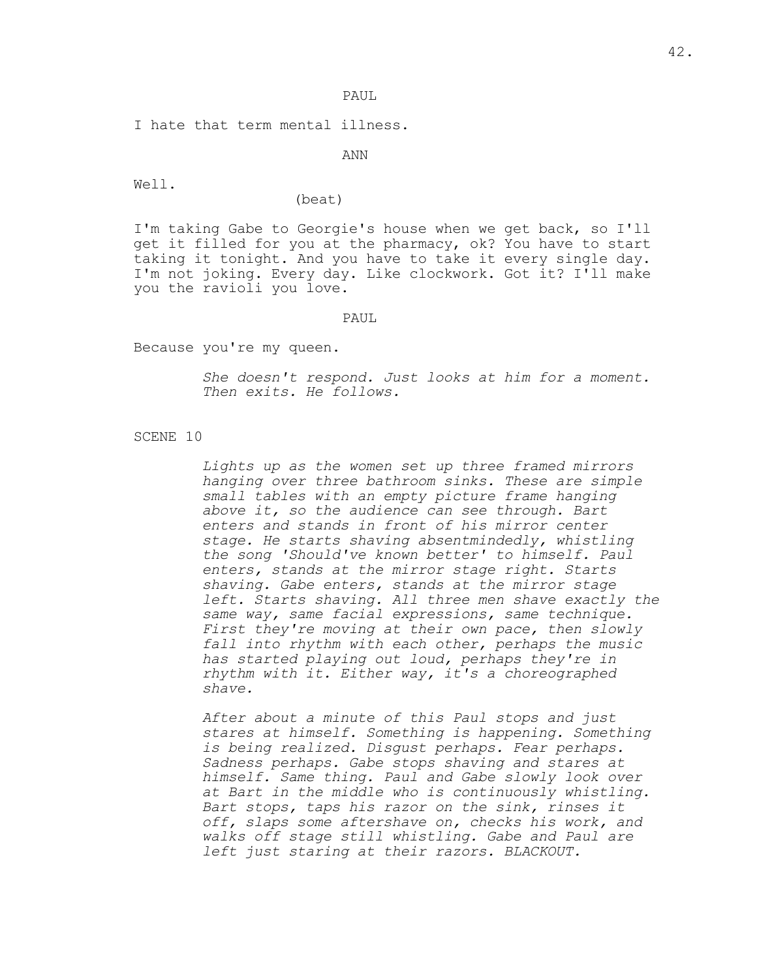# PAUL

I hate that term mental illness.

ANN

Well.

(beat)

I'm taking Gabe to Georgie's house when we get back, so I'll get it filled for you at the pharmacy, ok? You have to start taking it tonight. And you have to take it every single day. I'm not joking. Every day. Like clockwork. Got it? I'll make you the ravioli you love.

PAUL

Because you're my queen.

*She doesn't respond. Just looks at him for a moment. Then exits. He follows.*

SCENE 10

*Lights up as the women set up three framed mirrors hanging over three bathroom sinks. These are simple small tables with an empty picture frame hanging above it, so the audience can see through. Bart enters and stands in front of his mirror center stage. He starts shaving absentmindedly, whistling the song 'Should've known better' to himself. Paul enters, stands at the mirror stage right. Starts shaving. Gabe enters, stands at the mirror stage left. Starts shaving. All three men shave exactly the same way, same facial expressions, same technique. First they're moving at their own pace, then slowly fall into rhythm with each other, perhaps the music has started playing out loud, perhaps they're in rhythm with it. Either way, it's a choreographed shave.*

*After about a minute of this Paul stops and just stares at himself. Something is happening. Something is being realized. Disgust perhaps. Fear perhaps. Sadness perhaps. Gabe stops shaving and stares at himself. Same thing. Paul and Gabe slowly look over at Bart in the middle who is continuously whistling. Bart stops, taps his razor on the sink, rinses it off, slaps some aftershave on, checks his work, and walks off stage still whistling. Gabe and Paul are left just staring at their razors. BLACKOUT.*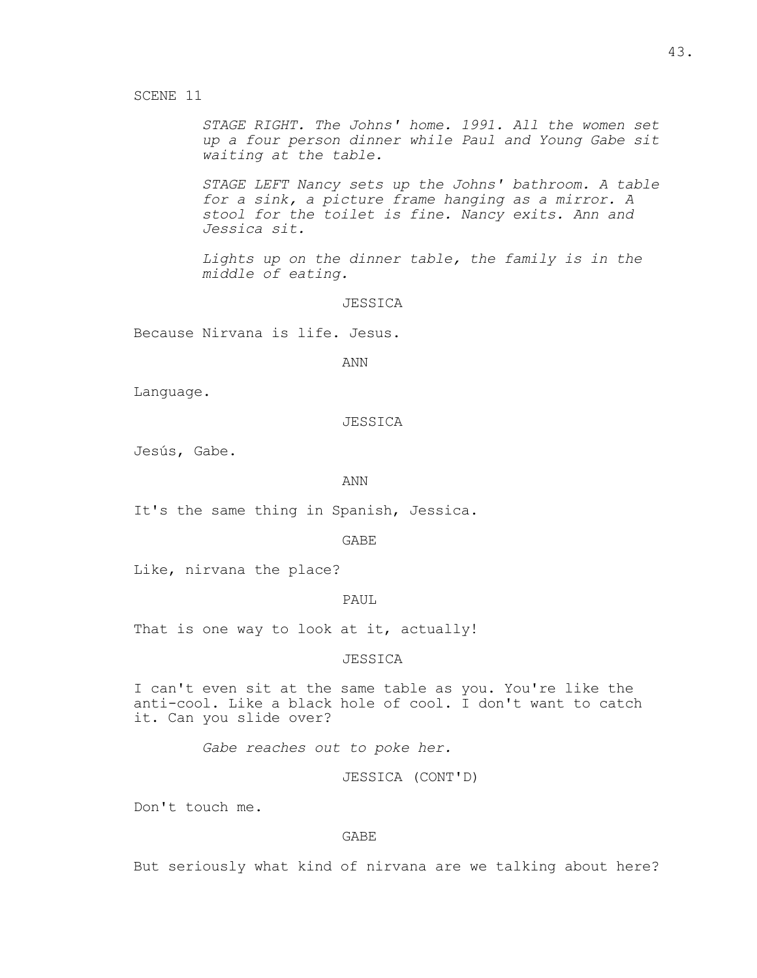# SCENE 11

*STAGE RIGHT. The Johns' home. 1991. All the women set up a four person dinner while Paul and Young Gabe sit waiting at the table.*

*STAGE LEFT Nancy sets up the Johns' bathroom. A table for a sink, a picture frame hanging as a mirror. A stool for the toilet is fine. Nancy exits. Ann and Jessica sit.*

*Lights up on the dinner table, the family is in the middle of eating.*

JESSICA

Because Nirvana is life. Jesus.

ANN

Language.

## JESSICA

Jesús, Gabe.

## ANN

It's the same thing in Spanish, Jessica.

GABE

Like, nirvana the place?

PAUL

That is one way to look at it, actually!

# JESSICA

I can't even sit at the same table as you. You're like the anti-cool. Like a black hole of cool. I don't want to catch it. Can you slide over?

*Gabe reaches out to poke her.*

JESSICA (CONT'D)

Don't touch me.

# GABE

But seriously what kind of nirvana are we talking about here?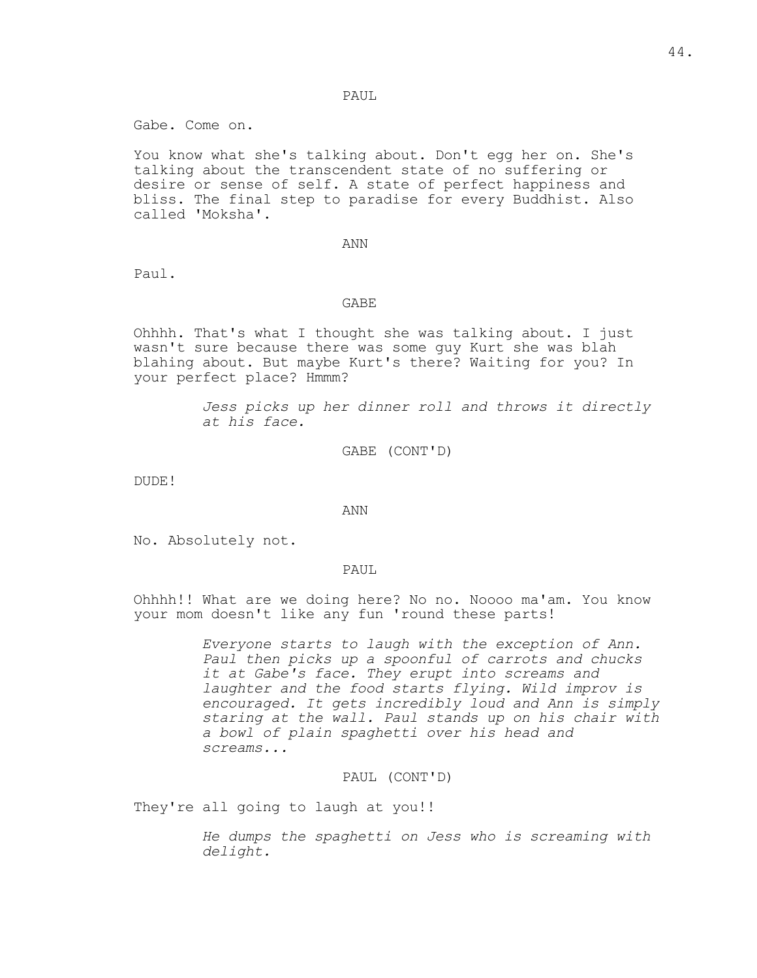PAUL

Gabe. Come on.

You know what she's talking about. Don't egg her on. She's talking about the transcendent state of no suffering or desire or sense of self. A state of perfect happiness and bliss. The final step to paradise for every Buddhist. Also called 'Moksha'.

### ANN

Paul.

### GABE

Ohhhh. That's what I thought she was talking about. I just wasn't sure because there was some guy Kurt she was blah blahing about. But maybe Kurt's there? Waiting for you? In your perfect place? Hmmm?

> *Jess picks up her dinner roll and throws it directly at his face.*

> > GABE (CONT'D)

DUDE!

ANN

No. Absolutely not.

### PAUL

Ohhhh!! What are we doing here? No no. Noooo ma'am. You know your mom doesn't like any fun 'round these parts!

> *Everyone starts to laugh with the exception of Ann. Paul then picks up a spoonful of carrots and chucks it at Gabe's face. They erupt into screams and laughter and the food starts flying. Wild improv is encouraged. It gets incredibly loud and Ann is simply staring at the wall. Paul stands up on his chair with a bowl of plain spaghetti over his head and screams...*

# PAUL (CONT'D)

They're all going to laugh at you!!

*He dumps the spaghetti on Jess who is screaming with delight.*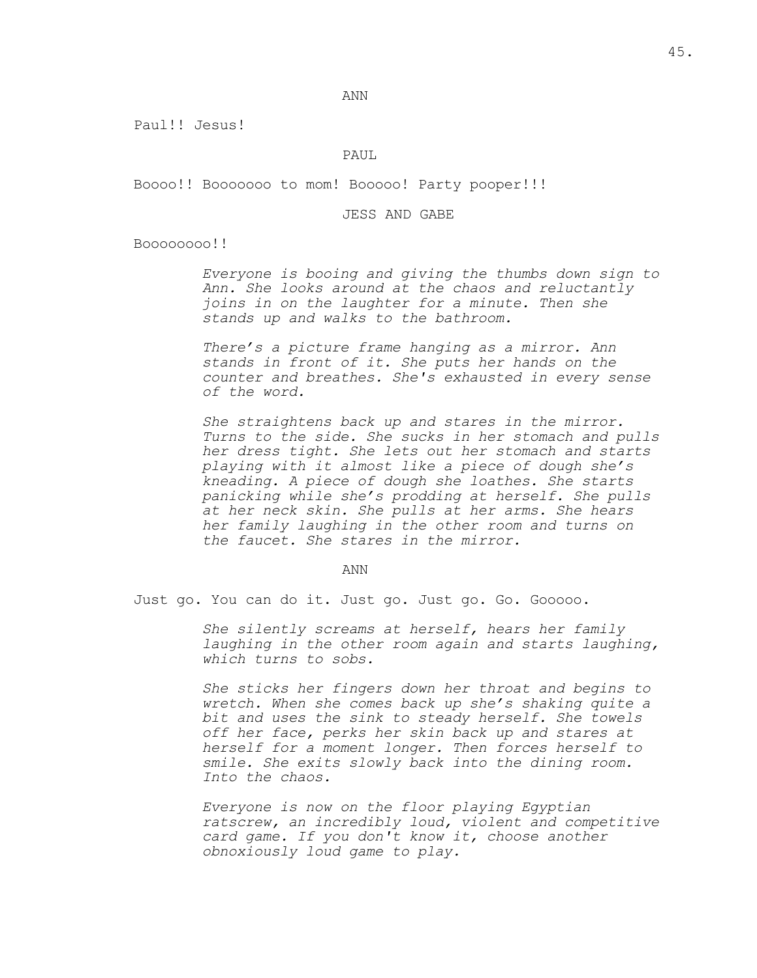## ANN

Paul!! Jesus!

### PAUL

Boooo!! Booooooo to mom! Booooo! Party pooper!!!

### JESS AND GABE

Booooooo!!

*Everyone is booing and giving the thumbs down sign to Ann. She looks around at the chaos and reluctantly joins in on the laughter for a minute. Then she stands up and walks to the bathroom.*

*There's a picture frame hanging as a mirror. Ann stands in front of it. She puts her hands on the counter and breathes. She's exhausted in every sense of the word.*

*She straightens back up and stares in the mirror. Turns to the side. She sucks in her stomach and pulls her dress tight. She lets out her stomach and starts playing with it almost like a piece of dough she's kneading. A piece of dough she loathes. She starts panicking while she's prodding at herself. She pulls at her neck skin. She pulls at her arms. She hears her family laughing in the other room and turns on the faucet. She stares in the mirror.*

#### ANN

Just go. You can do it. Just go. Just go. Go. Gooooo.

*She silently screams at herself, hears her family laughing in the other room again and starts laughing, which turns to sobs.*

*She sticks her fingers down her throat and begins to wretch. When she comes back up she's shaking quite a bit and uses the sink to steady herself. She towels off her face, perks her skin back up and stares at herself for a moment longer. Then forces herself to smile. She exits slowly back into the dining room. Into the chaos.*

*Everyone is now on the floor playing Egyptian ratscrew, an incredibly loud, violent and competitive card game. If you don't know it, choose another obnoxiously loud game to play.*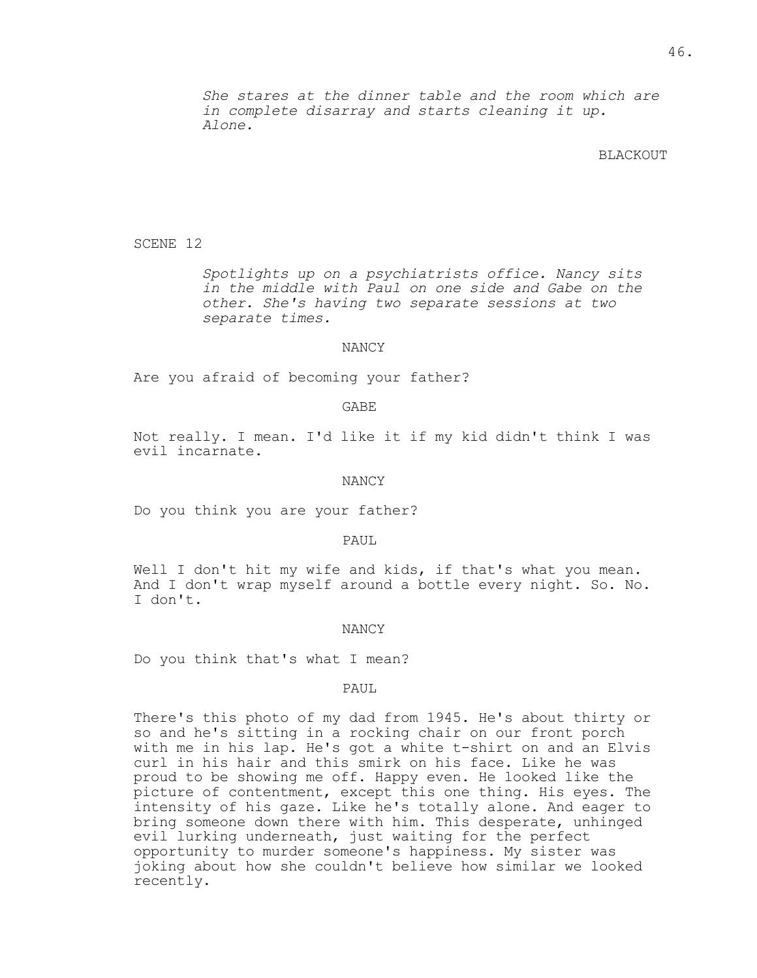*She stares at the dinner table and the room which are in complete disarray and starts cleaning it up. Alone.*

## BLACKOUT

## SCENE 12

*Spotlights up on a psychiatrists office. Nancy sits in the middle with Paul on one side and Gabe on the other. She's having two separate sessions at two separate times.*

### NANCY

Are you afraid of becoming your father?

#### GABE

Not really. I mean. I'd like it if my kid didn't think I was evil incarnate.

### NANCY

Do you think you are your father?

PAUL

Well I don't hit my wife and kids, if that's what you mean. And I don't wrap myself around a bottle every night. So. No. I don't.

#### NANCY

Do you think that's what I mean?

PAUL

There's this photo of my dad from 1945. He's about thirty or so and he's sitting in a rocking chair on our front porch with me in his lap. He's got a white t-shirt on and an Elvis curl in his hair and this smirk on his face. Like he was proud to be showing me off. Happy even. He looked like the picture of contentment, except this one thing. His eyes. The intensity of his gaze. Like he's totally alone. And eager to bring someone down there with him. This desperate, unhinged evil lurking underneath, just waiting for the perfect opportunity to murder someone's happiness. My sister was joking about how she couldn't believe how similar we looked recently.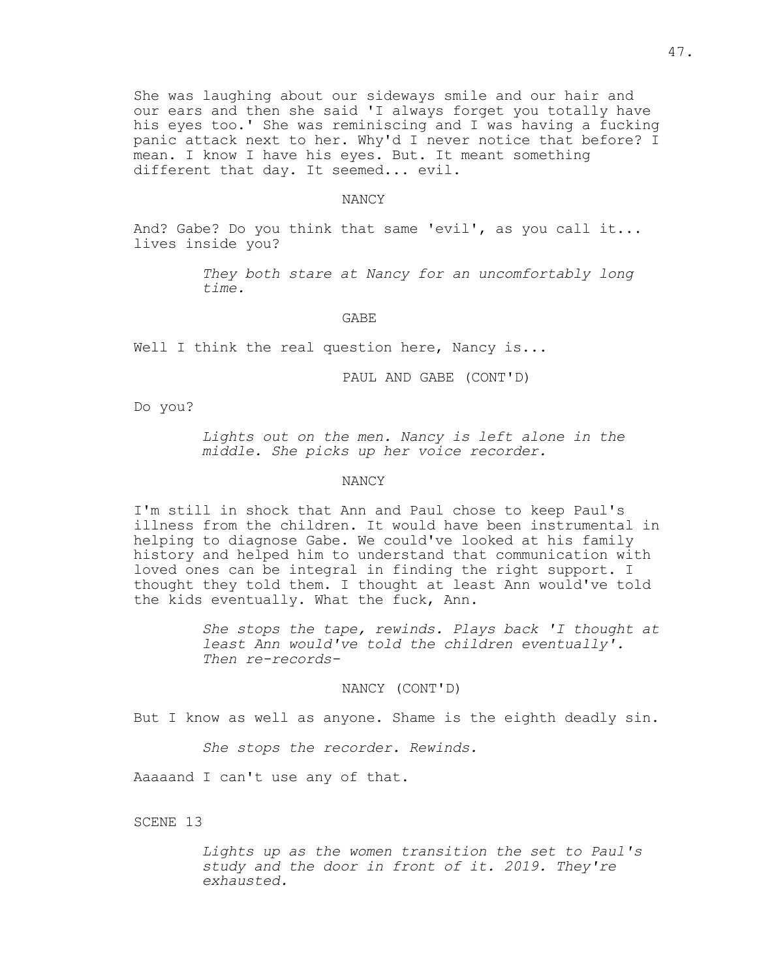She was laughing about our sideways smile and our hair and our ears and then she said 'I always forget you totally have his eyes too.' She was reminiscing and I was having a fucking panic attack next to her. Why'd I never notice that before? I mean. I know I have his eyes. But. It meant something different that day. It seemed... evil.

#### NANCY

And? Gabe? Do you think that same 'evil', as you call it... lives inside you?

> *They both stare at Nancy for an uncomfortably long time.*

> > GABE

Well I think the real question here, Nancy is...

PAUL AND GABE (CONT'D)

Do you?

*Lights out on the men. Nancy is left alone in the middle. She picks up her voice recorder.*

## NANCY

I'm still in shock that Ann and Paul chose to keep Paul's illness from the children. It would have been instrumental in helping to diagnose Gabe. We could've looked at his family history and helped him to understand that communication with loved ones can be integral in finding the right support. I thought they told them. I thought at least Ann would've told the kids eventually. What the fuck, Ann.

> *She stops the tape, rewinds. Plays back 'I thought at least Ann would've told the children eventually'. Then re-records-*

## NANCY (CONT'D)

But I know as well as anyone. Shame is the eighth deadly sin.

*She stops the recorder. Rewinds.*

Aaaaand I can't use any of that.

SCENE 13

*Lights up as the women transition the set to Paul's study and the door in front of it. 2019. They're exhausted.*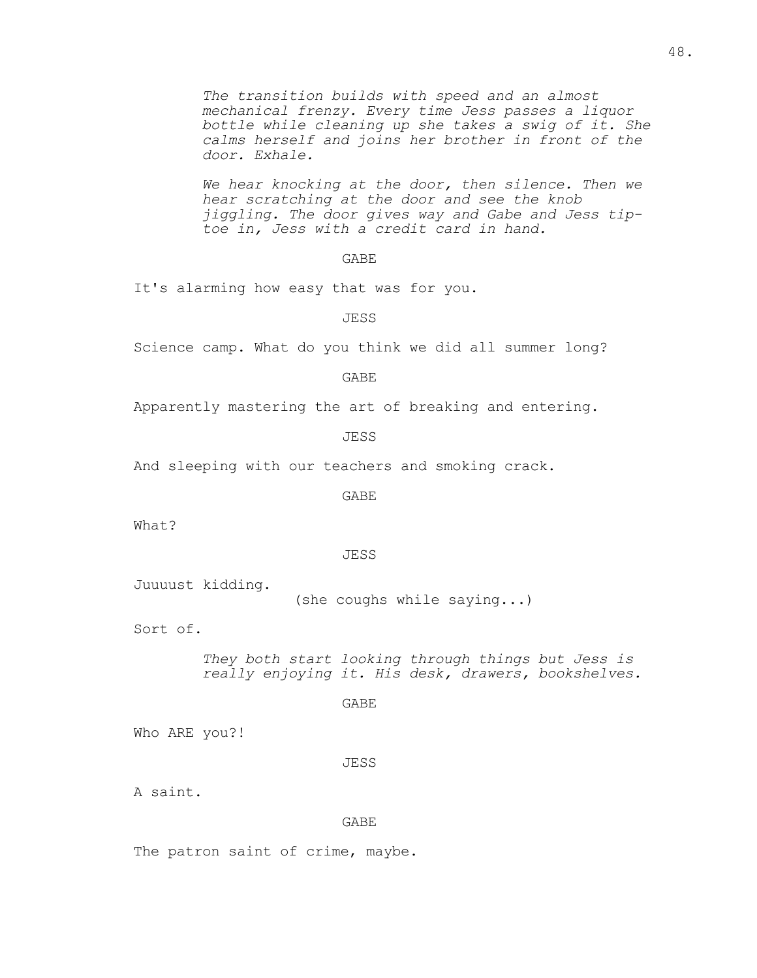*The transition builds with speed and an almost mechanical frenzy. Every time Jess passes a liquor bottle while cleaning up she takes a swig of it. She calms herself and joins her brother in front of the door. Exhale.*

*We hear knocking at the door, then silence. Then we hear scratching at the door and see the knob jiggling. The door gives way and Gabe and Jess tiptoe in, Jess with a credit card in hand.*

GABE

It's alarming how easy that was for you.

JESS

Science camp. What do you think we did all summer long?

GABE

Apparently mastering the art of breaking and entering.

JESS

And sleeping with our teachers and smoking crack.

GABE

What?

#### JESS

Juuuust kidding.

(she coughs while saying...)

Sort of.

*They both start looking through things but Jess is really enjoying it. His desk, drawers, bookshelves.*

#### GABE

Who ARE you?!

## JESS

A saint.

#### GABE

The patron saint of crime, maybe.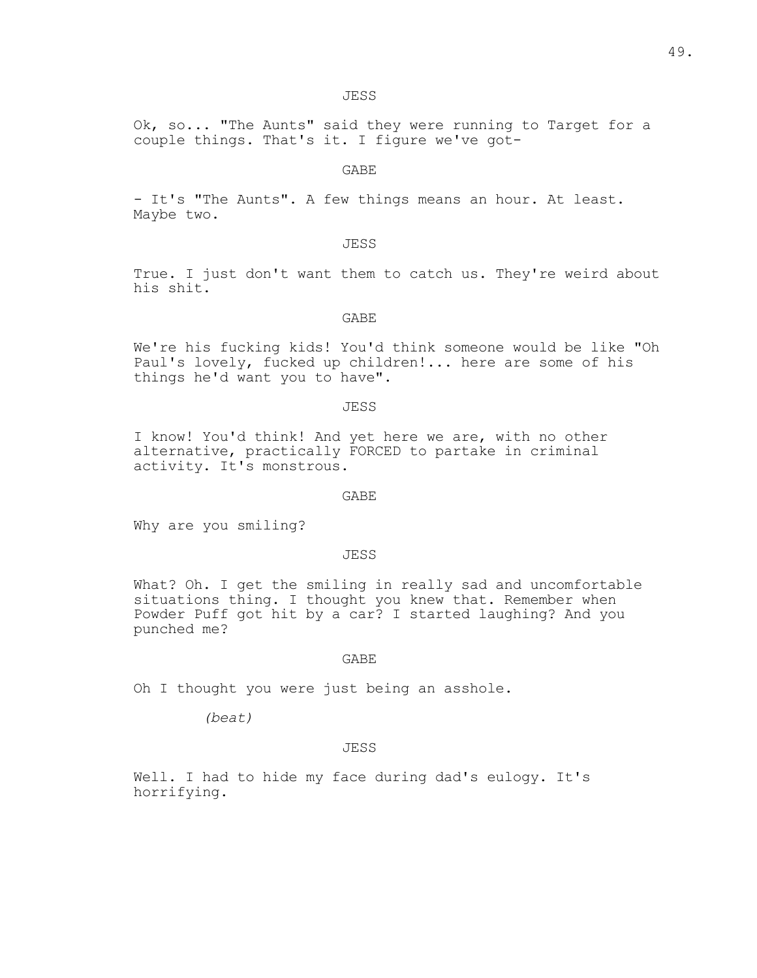Ok, so... "The Aunts" said they were running to Target for a couple things. That's it. I figure we've got-

# GABE

- It's "The Aunts". A few things means an hour. At least. Maybe two.

### JESS

True. I just don't want them to catch us. They're weird about his shit.

### GABE

We're his fucking kids! You'd think someone would be like "Oh Paul's lovely, fucked up children!... here are some of his things he'd want you to have".

JESS

I know! You'd think! And yet here we are, with no other alternative, practically FORCED to partake in criminal activity. It's monstrous.

## GABE

Why are you smiling?

## JESS

What? Oh. I get the smiling in really sad and uncomfortable situations thing. I thought you knew that. Remember when Powder Puff got hit by a car? I started laughing? And you punched me?

## GABE

Oh I thought you were just being an asshole.

*(beat)*

# **JESS**

Well. I had to hide my face during dad's eulogy. It's horrifying.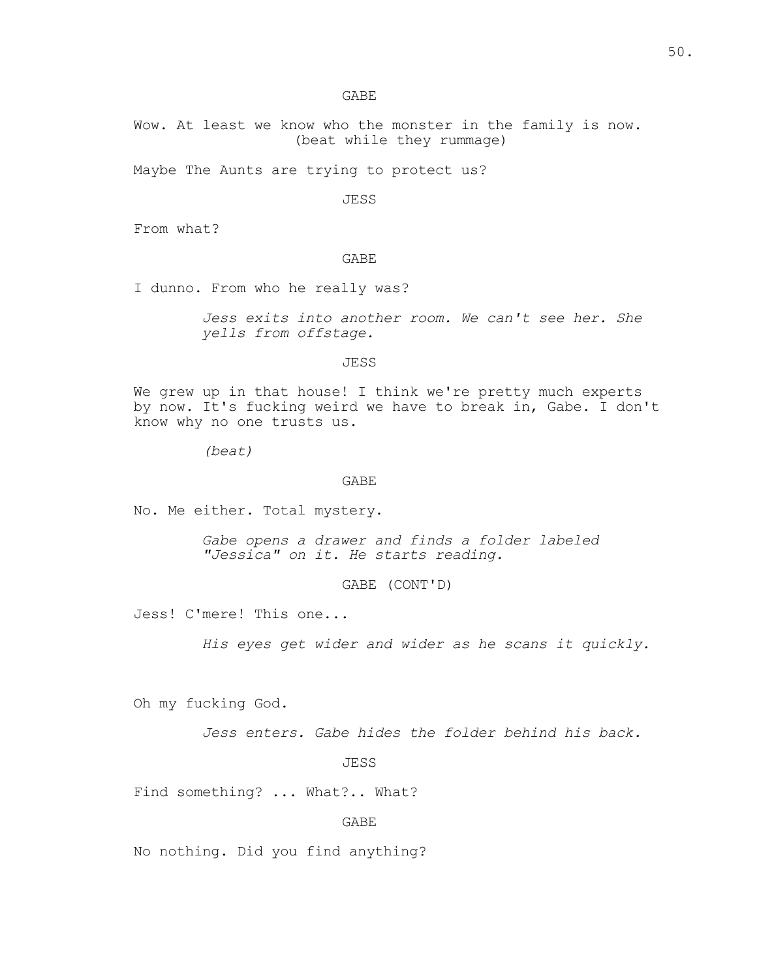GABE

Wow. At least we know who the monster in the family is now. (beat while they rummage)

Maybe The Aunts are trying to protect us?

JESS

From what?

GABE

I dunno. From who he really was?

*Jess exits into another room. We can't see her. She yells from offstage.*

JESS

We grew up in that house! I think we're pretty much experts by now. It's fucking weird we have to break in, Gabe. I don't know why no one trusts us.

*(beat)*

### GABE

No. Me either. Total mystery.

*Gabe opens a drawer and finds a folder labeled "Jessica" on it. He starts reading.*

GABE (CONT'D)

Jess! C'mere! This one...

*His eyes get wider and wider as he scans it quickly.*

Oh my fucking God.

*Jess enters. Gabe hides the folder behind his back.*

JESS

Find something? ... What?.. What?

GABE

No nothing. Did you find anything?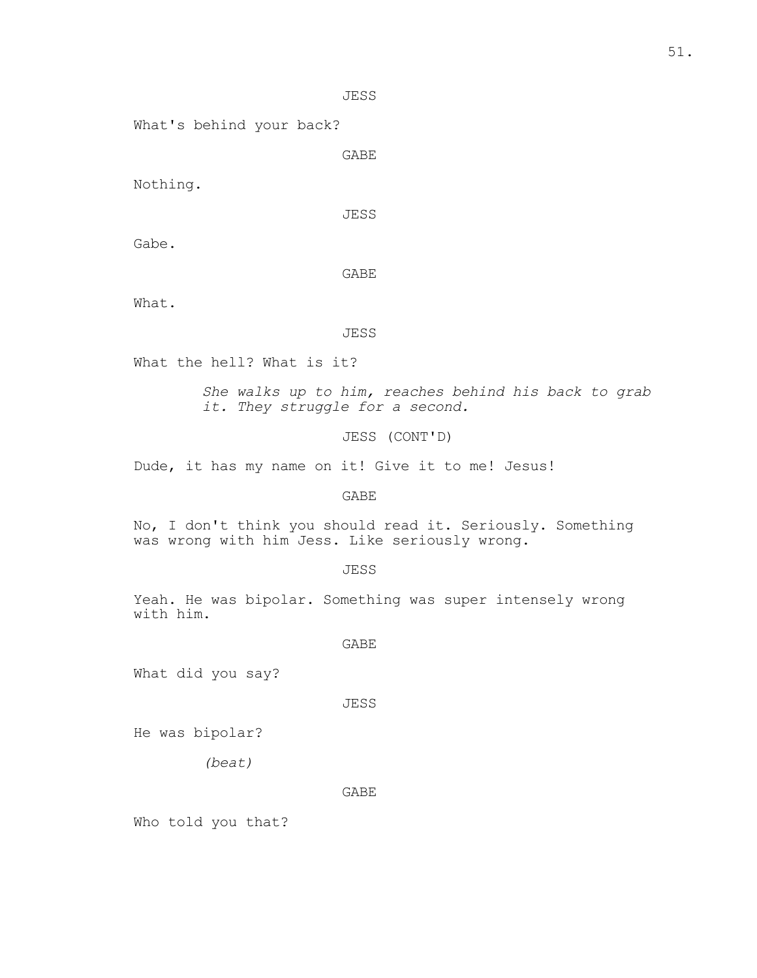JESS

What's behind your back?

GABE

Nothing.

JESS

Gabe.

GABE

What.

JESS

What the hell? What is it?

*She walks up to him, reaches behind his back to grab it. They struggle for a second.*

JESS (CONT'D)

Dude, it has my name on it! Give it to me! Jesus!

GABE

No, I don't think you should read it. Seriously. Something was wrong with him Jess. Like seriously wrong.

JESS

Yeah. He was bipolar. Something was super intensely wrong with him.

GABE

What did you say?

JESS

He was bipolar?

*(beat)*

GABE

Who told you that?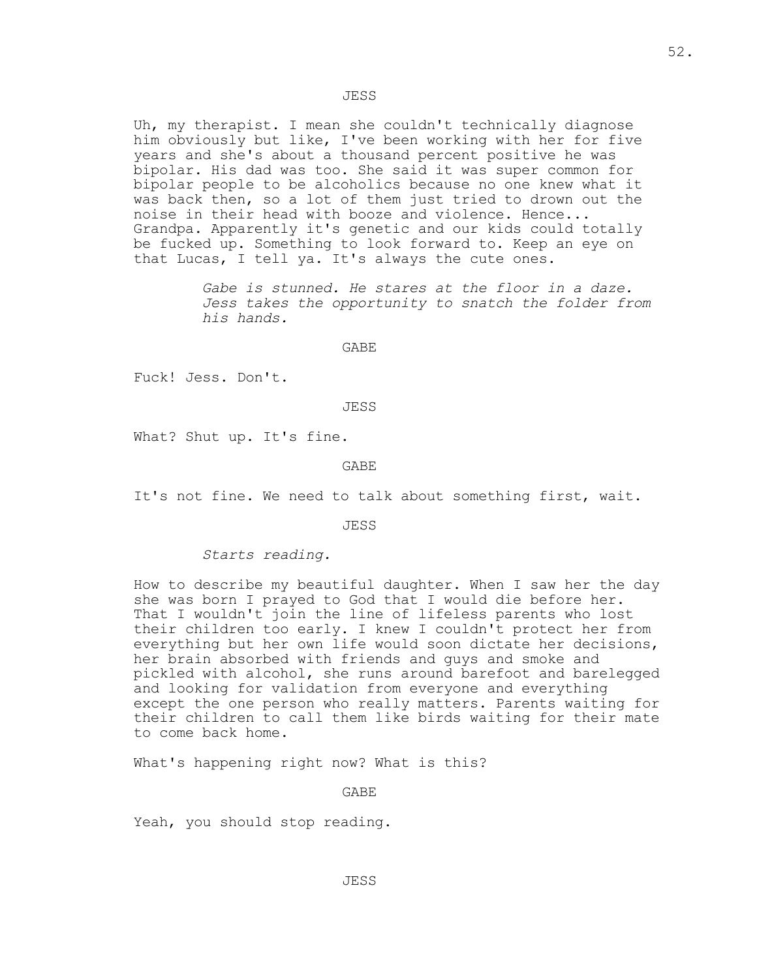Uh, my therapist. I mean she couldn't technically diagnose him obviously but like, I've been working with her for five years and she's about a thousand percent positive he was bipolar. His dad was too. She said it was super common for bipolar people to be alcoholics because no one knew what it was back then, so a lot of them just tried to drown out the noise in their head with booze and violence. Hence... Grandpa. Apparently it's genetic and our kids could totally be fucked up. Something to look forward to. Keep an eye on that Lucas, I tell ya. It's always the cute ones.

> *Gabe is stunned. He stares at the floor in a daze. Jess takes the opportunity to snatch the folder from his hands.*

> > GABE

Fuck! Jess. Don't.

JESS

What? Shut up. It's fine.

GABE

It's not fine. We need to talk about something first, wait.

JESS

*Starts reading.*

How to describe my beautiful daughter. When I saw her the day she was born I prayed to God that I would die before her. That I wouldn't join the line of lifeless parents who lost their children too early. I knew I couldn't protect her from everything but her own life would soon dictate her decisions, her brain absorbed with friends and guys and smoke and pickled with alcohol, she runs around barefoot and barelegged and looking for validation from everyone and everything except the one person who really matters. Parents waiting for their children to call them like birds waiting for their mate to come back home.

What's happening right now? What is this?

GABE

Yeah, you should stop reading.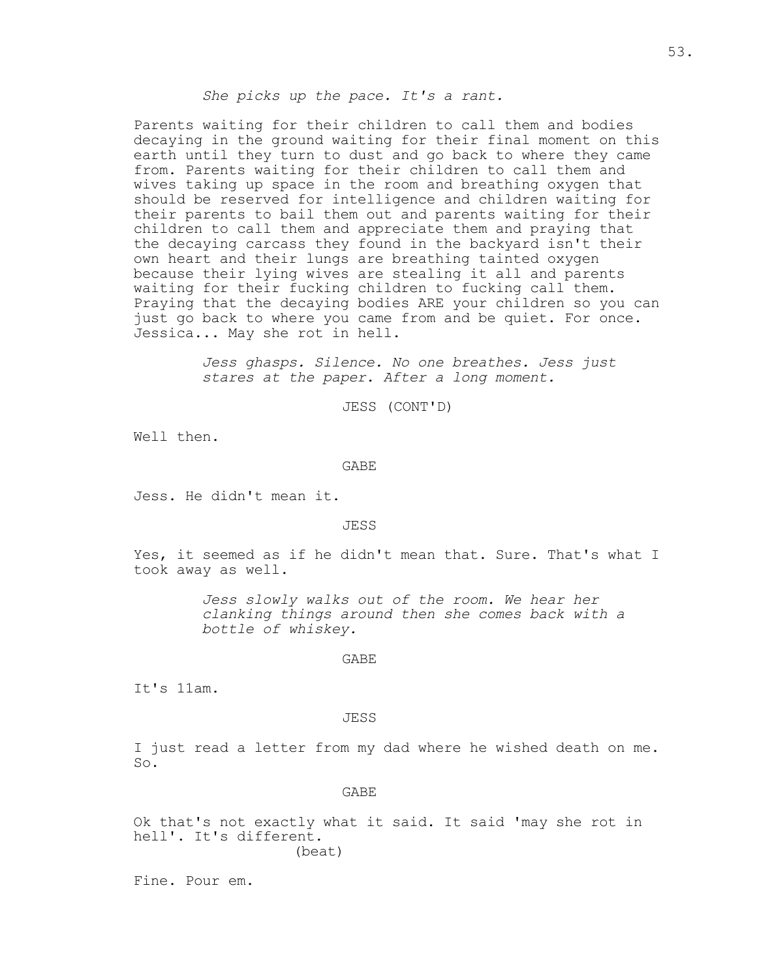# *She picks up the pace. It's a rant.*

Parents waiting for their children to call them and bodies decaying in the ground waiting for their final moment on this earth until they turn to dust and go back to where they came from. Parents waiting for their children to call them and wives taking up space in the room and breathing oxygen that should be reserved for intelligence and children waiting for their parents to bail them out and parents waiting for their children to call them and appreciate them and praying that the decaying carcass they found in the backyard isn't their own heart and their lungs are breathing tainted oxygen because their lying wives are stealing it all and parents waiting for their fucking children to fucking call them. Praying that the decaying bodies ARE your children so you can just go back to where you came from and be quiet. For once. Jessica... May she rot in hell.

> *Jess ghasps. Silence. No one breathes. Jess just stares at the paper. After a long moment.*

> > JESS (CONT'D)

Well then.

#### GABE

Jess. He didn't mean it.

#### JESS

Yes, it seemed as if he didn't mean that. Sure. That's what I took away as well.

> *Jess slowly walks out of the room. We hear her clanking things around then she comes back with a bottle of whiskey.*

## GABE

It's 11am.

#### JESS

I just read a letter from my dad where he wished death on me. So.

#### GABE

Ok that's not exactly what it said. It said 'may she rot in hell'. It's different. (beat)

Fine. Pour em.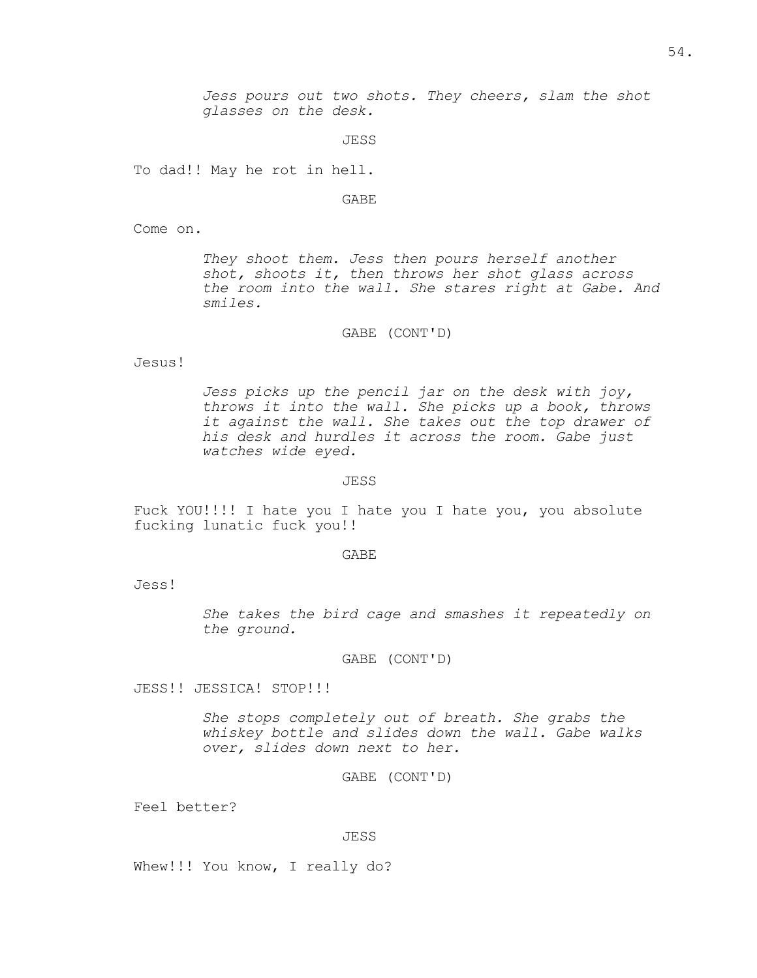*Jess pours out two shots. They cheers, slam the shot glasses on the desk.*

JESS

To dad!! May he rot in hell.

GABE

Come on.

*They shoot them. Jess then pours herself another shot, shoots it, then throws her shot glass across the room into the wall. She stares right at Gabe. And smiles.*

## GABE (CONT'D)

Jesus!

*Jess picks up the pencil jar on the desk with joy, throws it into the wall. She picks up a book, throws it against the wall. She takes out the top drawer of his desk and hurdles it across the room. Gabe just watches wide eyed.*

### JESS

Fuck YOU!!!! I hate you I hate you I hate you, you absolute fucking lunatic fuck you!!

### GABE

Jess!

*She takes the bird cage and smashes it repeatedly on the ground.*

## GABE (CONT'D)

JESS!! JESSICA! STOP!!!

*She stops completely out of breath. She grabs the whiskey bottle and slides down the wall. Gabe walks over, slides down next to her.*

GABE (CONT'D)

Feel better?

### JESS

Whew!!! You know, I really do?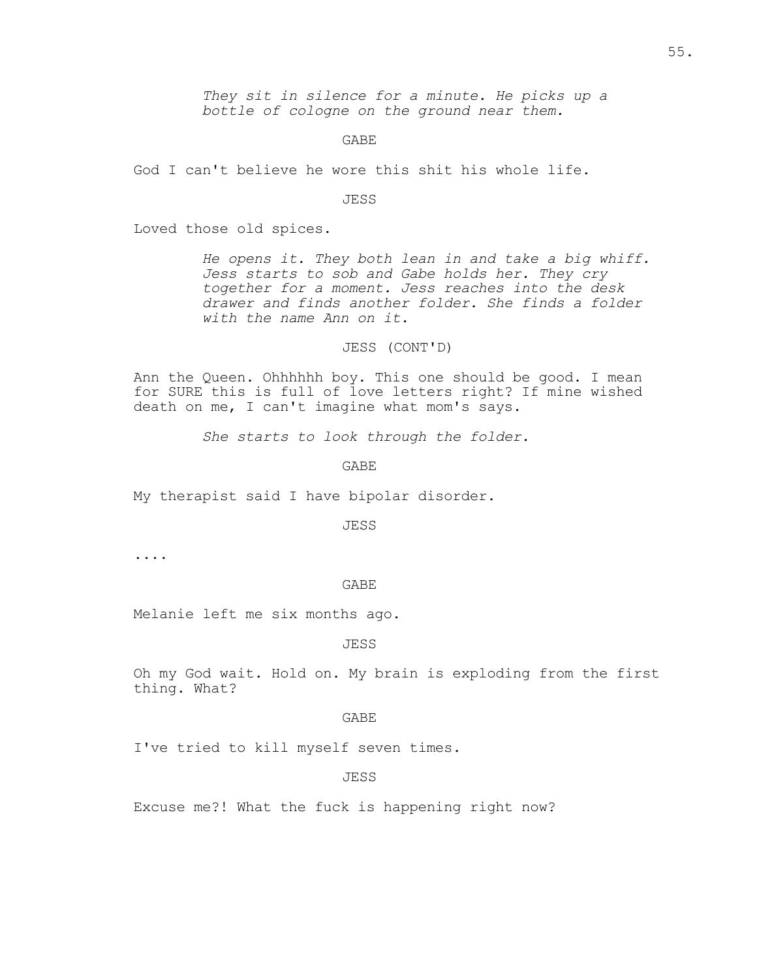*They sit in silence for a minute. He picks up a bottle of cologne on the ground near them.*

GABE

God I can't believe he wore this shit his whole life.

JESS

Loved those old spices.

*He opens it. They both lean in and take a big whiff. Jess starts to sob and Gabe holds her. They cry together for a moment. Jess reaches into the desk drawer and finds another folder. She finds a folder with the name Ann on it.*

# JESS (CONT'D)

Ann the Queen. Ohhhhhh boy. This one should be good. I mean for SURE this is full of love letters right? If mine wished death on me, I can't imagine what mom's says.

*She starts to look through the folder.*

GABE

My therapist said I have bipolar disorder.

JESS

....

GABE

Melanie left me six months ago.

JESS

Oh my God wait. Hold on. My brain is exploding from the first thing. What?

GABE

I've tried to kill myself seven times.

JESS

Excuse me?! What the fuck is happening right now?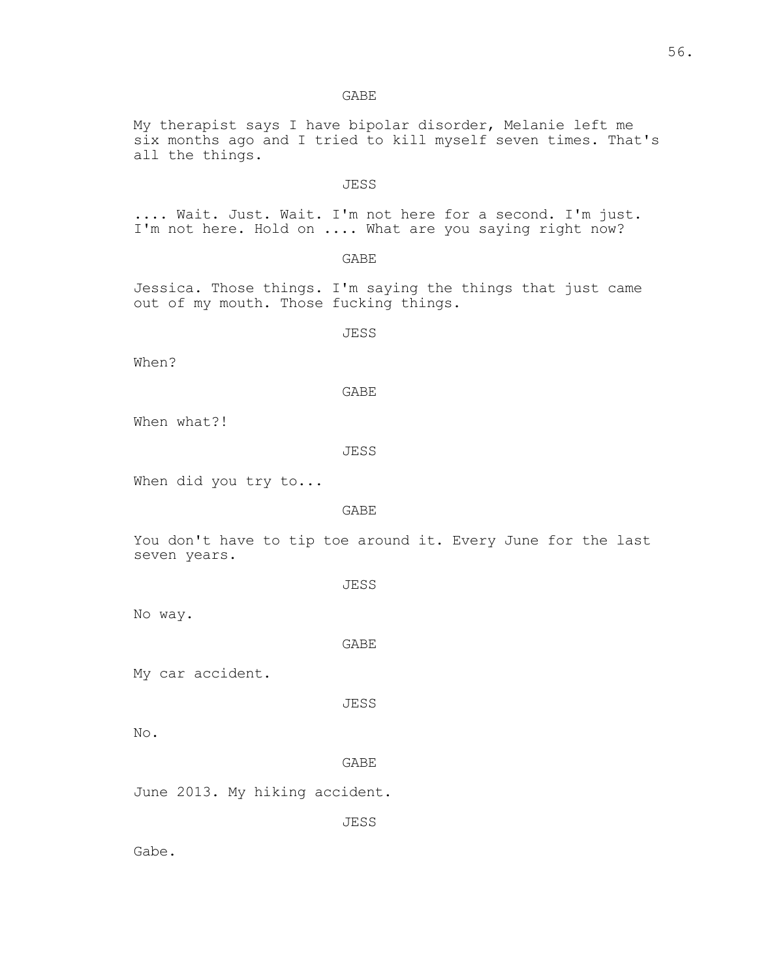GABE

My therapist says I have bipolar disorder, Melanie left me six months ago and I tried to kill myself seven times. That's all the things.

## JESS

.... Wait. Just. Wait. I'm not here for a second. I'm just. I'm not here. Hold on .... What are you saying right now?

GABE

Jessica. Those things. I'm saying the things that just came out of my mouth. Those fucking things.

JESS

When?

GABE

When what?!

JESS

When did you try to...

GABE

You don't have to tip toe around it. Every June for the last seven years.

JESS

No way.

GABE

My car accident.

JESS

No.

GABE

June 2013. My hiking accident.

JESS

Gabe.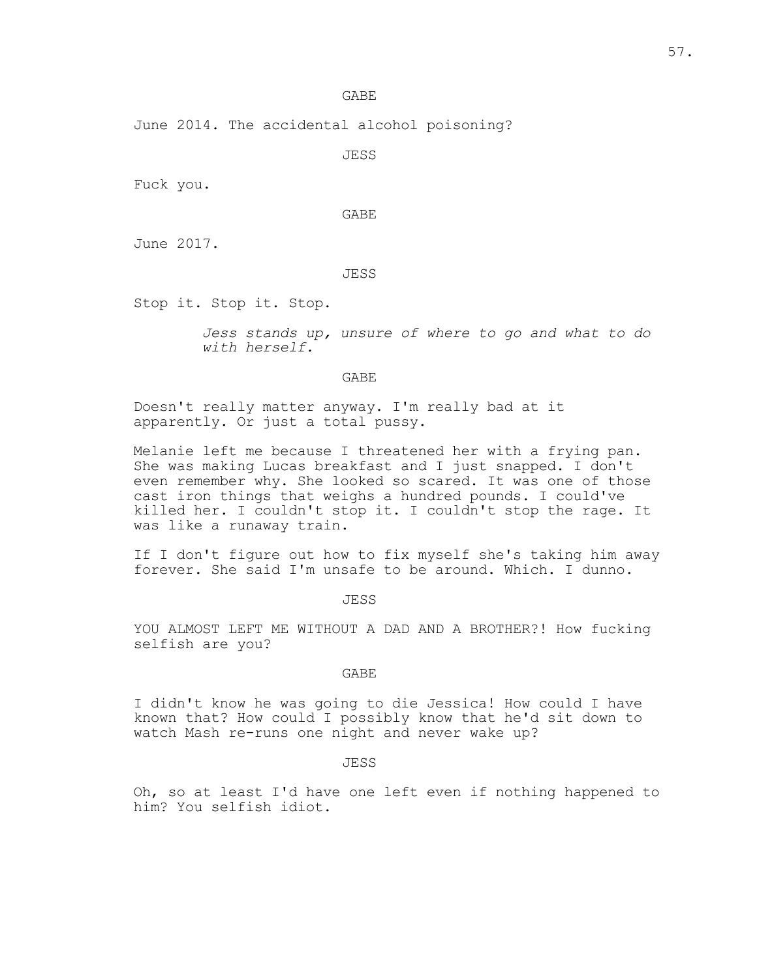## GABE

June 2014. The accidental alcohol poisoning?

JESS

Fuck you.

GABE

June 2017.

JESS

Stop it. Stop it. Stop.

*Jess stands up, unsure of where to go and what to do with herself.*

GABE

Doesn't really matter anyway. I'm really bad at it apparently. Or just a total pussy.

Melanie left me because I threatened her with a frying pan. She was making Lucas breakfast and I just snapped. I don't even remember why. She looked so scared. It was one of those cast iron things that weighs a hundred pounds. I could've killed her. I couldn't stop it. I couldn't stop the rage. It was like a runaway train.

If I don't figure out how to fix myself she's taking him away forever. She said I'm unsafe to be around. Which. I dunno.

JESS

YOU ALMOST LEFT ME WITHOUT A DAD AND A BROTHER?! How fucking selfish are you?

GABE

I didn't know he was going to die Jessica! How could I have known that? How could I possibly know that he'd sit down to watch Mash re-runs one night and never wake up?

JESS

Oh, so at least I'd have one left even if nothing happened to him? You selfish idiot.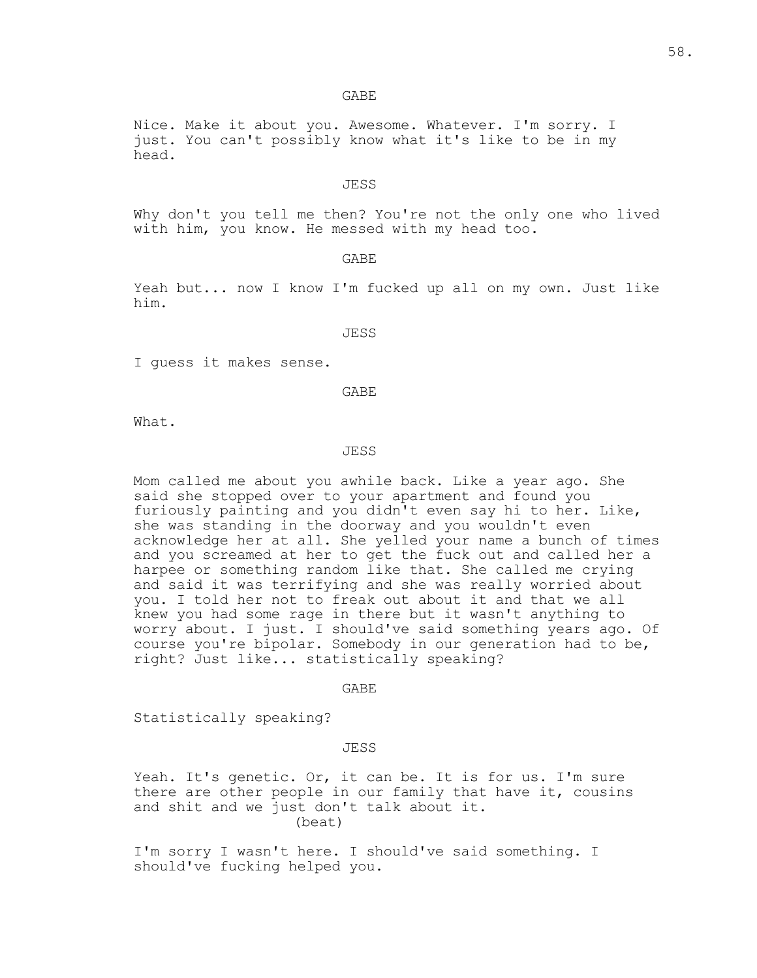Nice. Make it about you. Awesome. Whatever. I'm sorry. I just. You can't possibly know what it's like to be in my head.

### JESS

Why don't you tell me then? You're not the only one who lived with him, you know. He messed with my head too.

GABE

Yeah but... now I know I'm fucked up all on my own. Just like him.

## JESS

I guess it makes sense.

GABE

What.

### JESS

Mom called me about you awhile back. Like a year ago. She said she stopped over to your apartment and found you furiously painting and you didn't even say hi to her. Like, she was standing in the doorway and you wouldn't even acknowledge her at all. She yelled your name a bunch of times and you screamed at her to get the fuck out and called her a harpee or something random like that. She called me crying and said it was terrifying and she was really worried about you. I told her not to freak out about it and that we all knew you had some rage in there but it wasn't anything to worry about. I just. I should've said something years ago. Of course you're bipolar. Somebody in our generation had to be, right? Just like... statistically speaking?

GABE

Statistically speaking?

JESS

Yeah. It's genetic. Or, it can be. It is for us. I'm sure there are other people in our family that have it, cousins and shit and we just don't talk about it. (beat)

I'm sorry I wasn't here. I should've said something. I should've fucking helped you.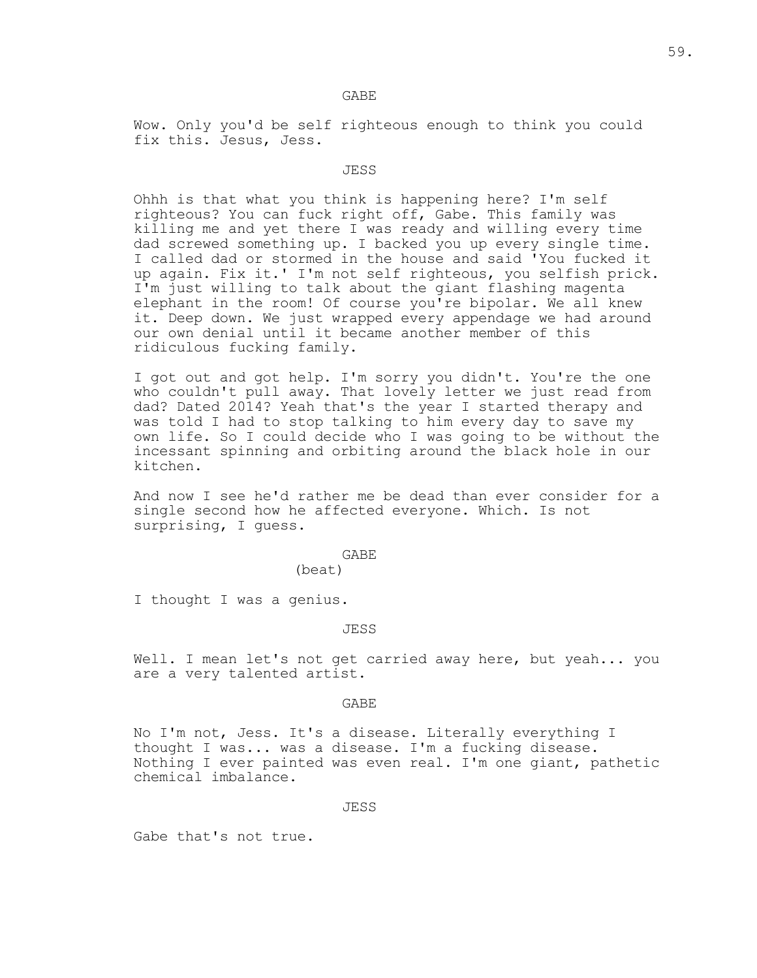GABE

Wow. Only you'd be self righteous enough to think you could fix this. Jesus, Jess.

# JESS

Ohhh is that what you think is happening here? I'm self righteous? You can fuck right off, Gabe. This family was killing me and yet there I was ready and willing every time dad screwed something up. I backed you up every single time. I called dad or stormed in the house and said 'You fucked it up again. Fix it.' I'm not self righteous, you selfish prick. I'm just willing to talk about the giant flashing magenta elephant in the room! Of course you're bipolar. We all knew it. Deep down. We just wrapped every appendage we had around our own denial until it became another member of this ridiculous fucking family.

I got out and got help. I'm sorry you didn't. You're the one who couldn't pull away. That lovely letter we just read from dad? Dated 2014? Yeah that's the year I started therapy and was told I had to stop talking to him every day to save my own life. So I could decide who I was going to be without the incessant spinning and orbiting around the black hole in our kitchen.

And now I see he'd rather me be dead than ever consider for a single second how he affected everyone. Which. Is not surprising, I guess.

#### GABE

(beat)

I thought I was a genius.

#### JESS

Well. I mean let's not get carried away here, but yeah... you are a very talented artist.

### GABE

No I'm not, Jess. It's a disease. Literally everything I thought I was... was a disease. I'm a fucking disease. Nothing I ever painted was even real. I'm one giant, pathetic chemical imbalance.

## JESS

Gabe that's not true.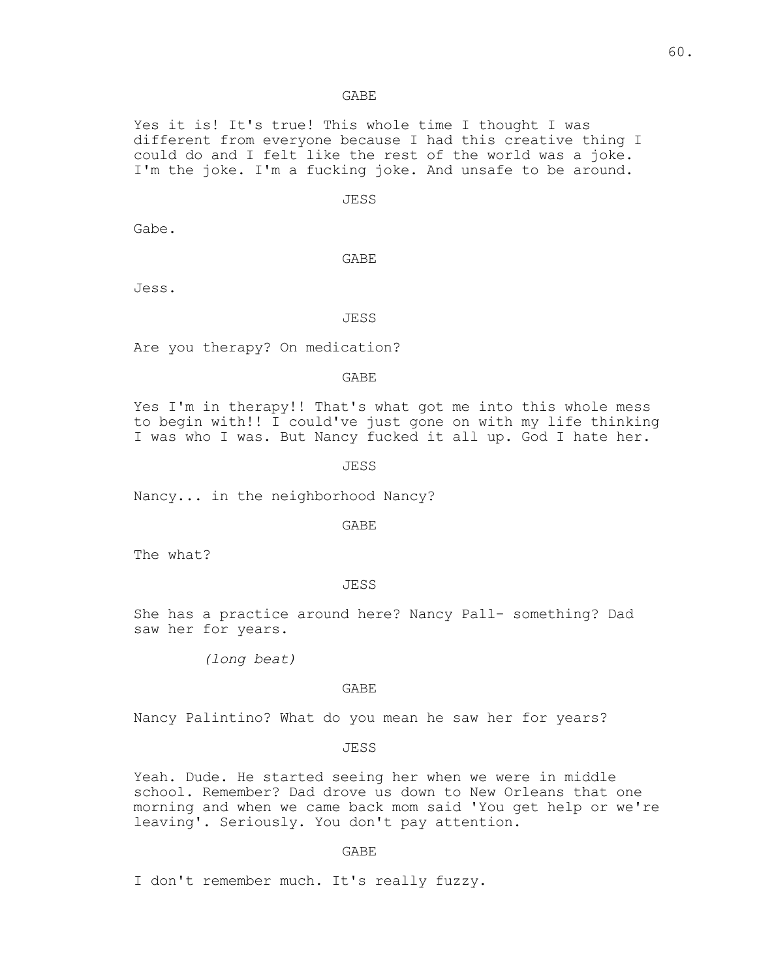# GABE

Yes it is! It's true! This whole time I thought I was different from everyone because I had this creative thing I could do and I felt like the rest of the world was a joke. I'm the joke. I'm a fucking joke. And unsafe to be around.

JESS

Gabe.

GABE

Jess.

## JESS

Are you therapy? On medication?

GABE

Yes I'm in therapy!! That's what got me into this whole mess to begin with!! I could've just gone on with my life thinking I was who I was. But Nancy fucked it all up. God I hate her.

JESS

Nancy... in the neighborhood Nancy?

GABE

The what?

JESS

She has a practice around here? Nancy Pall- something? Dad saw her for years.

*(long beat)*

## GABE

Nancy Palintino? What do you mean he saw her for years?

JESS

Yeah. Dude. He started seeing her when we were in middle school. Remember? Dad drove us down to New Orleans that one morning and when we came back mom said 'You get help or we're leaving'. Seriously. You don't pay attention.

GABE

I don't remember much. It's really fuzzy.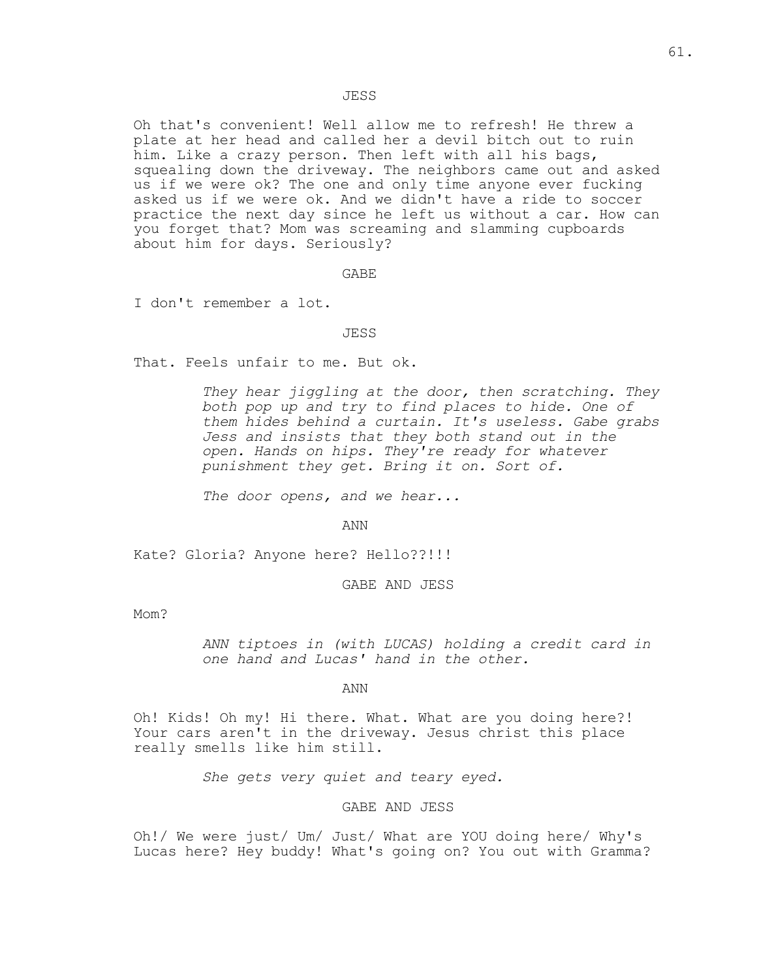## JESS

Oh that's convenient! Well allow me to refresh! He threw a plate at her head and called her a devil bitch out to ruin him. Like a crazy person. Then left with all his bags, squealing down the driveway. The neighbors came out and asked us if we were ok? The one and only time anyone ever fucking asked us if we were ok. And we didn't have a ride to soccer practice the next day since he left us without a car. How can you forget that? Mom was screaming and slamming cupboards about him for days. Seriously?

GABE

I don't remember a lot.

### JESS

That. Feels unfair to me. But ok.

*They hear jiggling at the door, then scratching. They both pop up and try to find places to hide. One of them hides behind a curtain. It's useless. Gabe grabs Jess and insists that they both stand out in the open. Hands on hips. They're ready for whatever punishment they get. Bring it on. Sort of.*

*The door opens, and we hear...*

ANN

Kate? Gloria? Anyone here? Hello??!!!

GABE AND JESS

Mom?

*ANN tiptoes in (with LUCAS) holding a credit card in one hand and Lucas' hand in the other.*

### ANN

Oh! Kids! Oh my! Hi there. What. What are you doing here?! Your cars aren't in the driveway. Jesus christ this place really smells like him still.

*She gets very quiet and teary eyed.*

GABE AND JESS

Oh!/ We were just/ Um/ Just/ What are YOU doing here/ Why's Lucas here? Hey buddy! What's going on? You out with Gramma?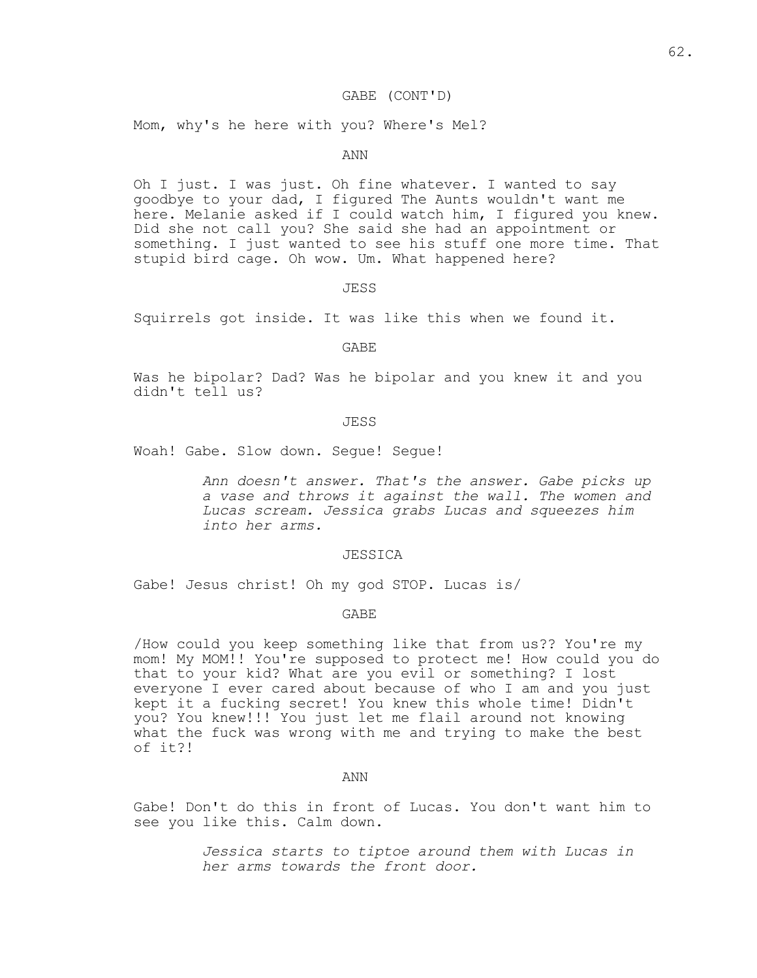# 62.

## GABE (CONT'D)

Mom, why's he here with you? Where's Mel?

### ANN

Oh I just. I was just. Oh fine whatever. I wanted to say goodbye to your dad, I figured The Aunts wouldn't want me here. Melanie asked if I could watch him, I figured you knew. Did she not call you? She said she had an appointment or something. I just wanted to see his stuff one more time. That stupid bird cage. Oh wow. Um. What happened here?

JESS

Squirrels got inside. It was like this when we found it.

GABE

Was he bipolar? Dad? Was he bipolar and you knew it and you didn't tell us?

## JESS

Woah! Gabe. Slow down. Segue! Segue!

*Ann doesn't answer. That's the answer. Gabe picks up a vase and throws it against the wall. The women and Lucas scream. Jessica grabs Lucas and squeezes him into her arms.*

#### JESSICA

Gabe! Jesus christ! Oh my god STOP. Lucas is/

GABE

/How could you keep something like that from us?? You're my mom! My MOM!! You're supposed to protect me! How could you do that to your kid? What are you evil or something? I lost everyone I ever cared about because of who I am and you just kept it a fucking secret! You knew this whole time! Didn't you? You knew!!! You just let me flail around not knowing what the fuck was wrong with me and trying to make the best of it?!

### ANN

Gabe! Don't do this in front of Lucas. You don't want him to see you like this. Calm down.

> *Jessica starts to tiptoe around them with Lucas in her arms towards the front door.*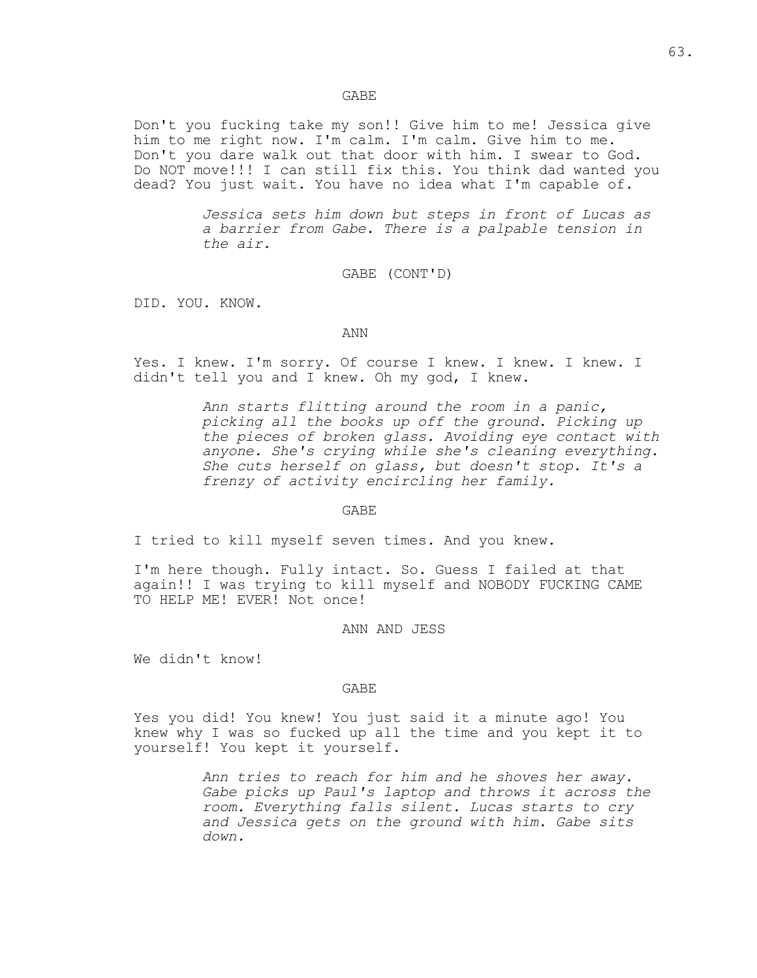## GABE

Don't you fucking take my son!! Give him to me! Jessica give him to me right now. I'm calm. I'm calm. Give him to me. Don't you dare walk out that door with him. I swear to God. Do NOT move!!! I can still fix this. You think dad wanted you dead? You just wait. You have no idea what I'm capable of.

> *Jessica sets him down but steps in front of Lucas as a barrier from Gabe. There is a palpable tension in the air.*

> > GABE (CONT'D)

DID. YOU. KNOW.

## ANN

Yes. I knew. I'm sorry. Of course I knew. I knew. I knew. I didn't tell you and I knew. Oh my god, I knew.

> *Ann starts flitting around the room in a panic, picking all the books up off the ground. Picking up the pieces of broken glass. Avoiding eye contact with anyone. She's crying while she's cleaning everything. She cuts herself on glass, but doesn't stop. It's a frenzy of activity encircling her family.*

> > GABE

I tried to kill myself seven times. And you knew.

I'm here though. Fully intact. So. Guess I failed at that again!! I was trying to kill myself and NOBODY FUCKING CAME TO HELP ME! EVER! Not once!

### ANN AND JESS

We didn't know!

### GABE

Yes you did! You knew! You just said it a minute ago! You knew why I was so fucked up all the time and you kept it to yourself! You kept it yourself.

> *Ann tries to reach for him and he shoves her away. Gabe picks up Paul's laptop and throws it across the room. Everything falls silent. Lucas starts to cry and Jessica gets on the ground with him. Gabe sits down.*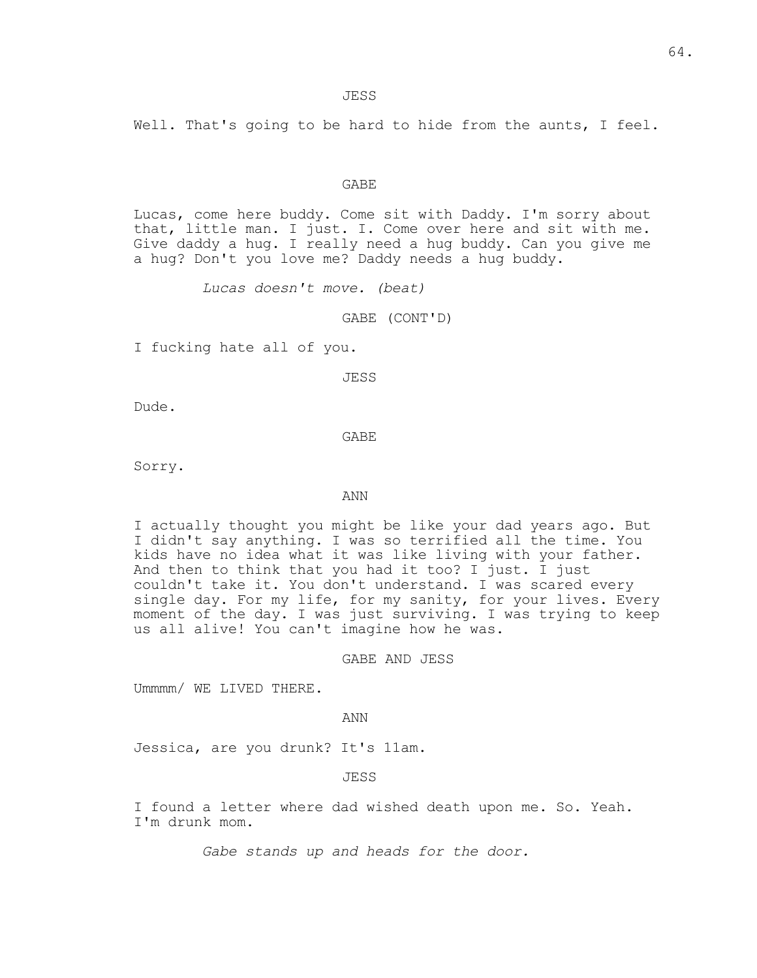Well. That's going to be hard to hide from the aunts, I feel.

### GABE

Lucas, come here buddy. Come sit with Daddy. I'm sorry about that, little man. I just. I. Come over here and sit with me. Give daddy a hug. I really need a hug buddy. Can you give me a hug? Don't you love me? Daddy needs a hug buddy.

*Lucas doesn't move. (beat)*

GABE (CONT'D)

I fucking hate all of you.

JESS

Dude.

GABE

Sorry.

## ANN

I actually thought you might be like your dad years ago. But I didn't say anything. I was so terrified all the time. You kids have no idea what it was like living with your father. And then to think that you had it too? I just. I just couldn't take it. You don't understand. I was scared every single day. For my life, for my sanity, for your lives. Every moment of the day. I was just surviving. I was trying to keep us all alive! You can't imagine how he was.

## GABE AND JESS

Ummmm/ WE LIVED THERE.

### ANN

Jessica, are you drunk? It's 11am.

JESS

I found a letter where dad wished death upon me. So. Yeah. I'm drunk mom.

*Gabe stands up and heads for the door.*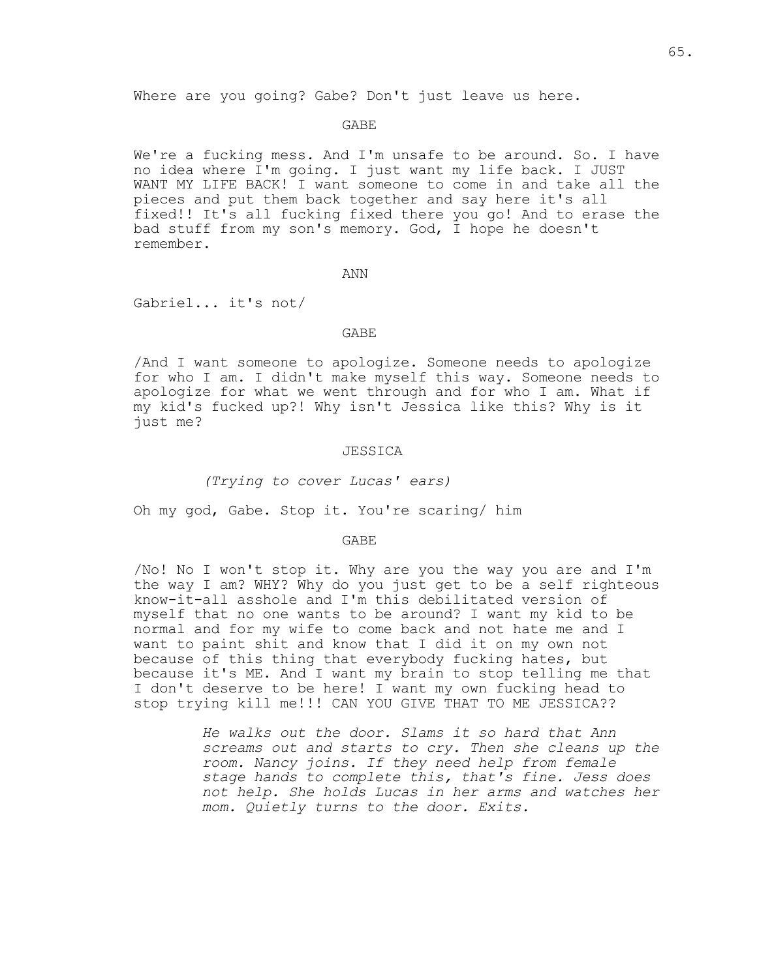### GABE

We're a fucking mess. And I'm unsafe to be around. So. I have no idea where I'm going. I just want my life back. I JUST WANT MY LIFE BACK! I want someone to come in and take all the pieces and put them back together and say here it's all fixed!! It's all fucking fixed there you go! And to erase the bad stuff from my son's memory. God, I hope he doesn't remember.

ANN

Gabriel... it's not/

## GABE

/And I want someone to apologize. Someone needs to apologize for who I am. I didn't make myself this way. Someone needs to apologize for what we went through and for who I am. What if my kid's fucked up?! Why isn't Jessica like this? Why is it just me?

#### JESSICA

## *(Trying to cover Lucas' ears)*

Oh my god, Gabe. Stop it. You're scaring/ him

### GABE

/No! No I won't stop it. Why are you the way you are and I'm the way I am? WHY? Why do you just get to be a self righteous know-it-all asshole and I'm this debilitated version of myself that no one wants to be around? I want my kid to be normal and for my wife to come back and not hate me and I want to paint shit and know that I did it on my own not because of this thing that everybody fucking hates, but because it's ME. And I want my brain to stop telling me that I don't deserve to be here! I want my own fucking head to stop trying kill me!!! CAN YOU GIVE THAT TO ME JESSICA??

> *He walks out the door. Slams it so hard that Ann screams out and starts to cry. Then she cleans up the room. Nancy joins. If they need help from female stage hands to complete this, that's fine. Jess does not help. She holds Lucas in her arms and watches her mom. Quietly turns to the door. Exits.*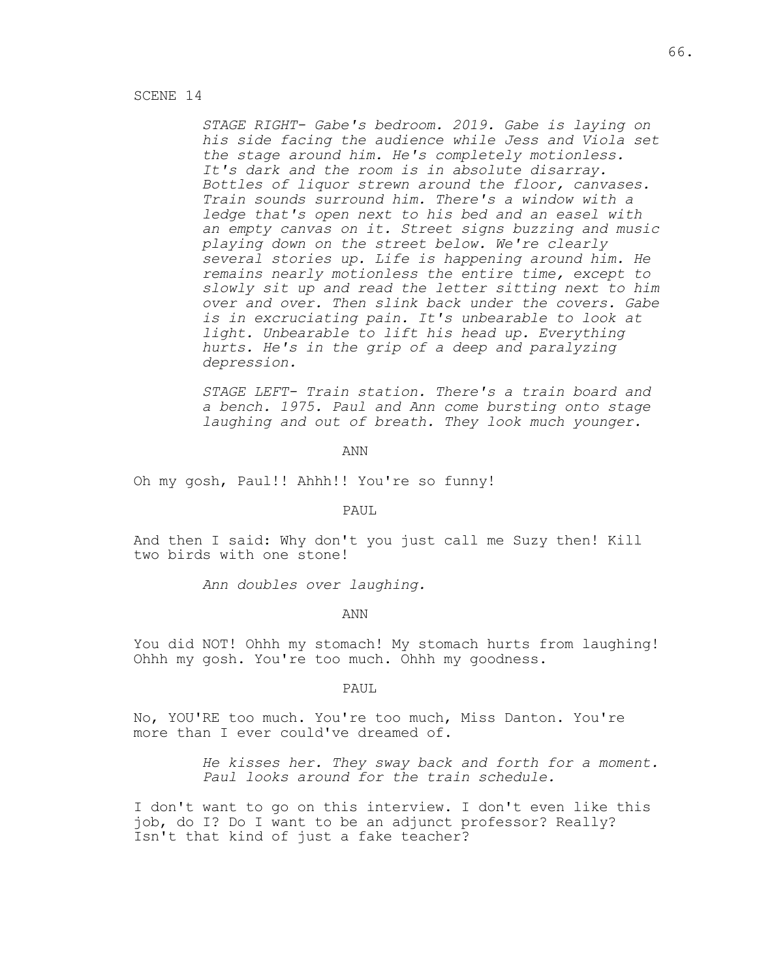# SCENE 14

*STAGE RIGHT- Gabe's bedroom. 2019. Gabe is laying on his side facing the audience while Jess and Viola set the stage around him. He's completely motionless. It's dark and the room is in absolute disarray. Bottles of liquor strewn around the floor, canvases. Train sounds surround him. There's a window with a ledge that's open next to his bed and an easel with an empty canvas on it. Street signs buzzing and music playing down on the street below. We're clearly several stories up. Life is happening around him. He remains nearly motionless the entire time, except to slowly sit up and read the letter sitting next to him over and over. Then slink back under the covers. Gabe is in excruciating pain. It's unbearable to look at light. Unbearable to lift his head up. Everything hurts. He's in the grip of a deep and paralyzing depression.*

*STAGE LEFT- Train station. There's a train board and a bench. 1975. Paul and Ann come bursting onto stage laughing and out of breath. They look much younger.*

ANN

Oh my gosh, Paul!! Ahhh!! You're so funny!

PAUL

And then I said: Why don't you just call me Suzy then! Kill two birds with one stone!

*Ann doubles over laughing.*

ANN

You did NOT! Ohhh my stomach! My stomach hurts from laughing! Ohhh my gosh. You're too much. Ohhh my goodness.

PAUL

No, YOU'RE too much. You're too much, Miss Danton. You're more than I ever could've dreamed of.

> *He kisses her. They sway back and forth for a moment. Paul looks around for the train schedule.*

I don't want to go on this interview. I don't even like this job, do I? Do I want to be an adjunct professor? Really? Isn't that kind of just a fake teacher?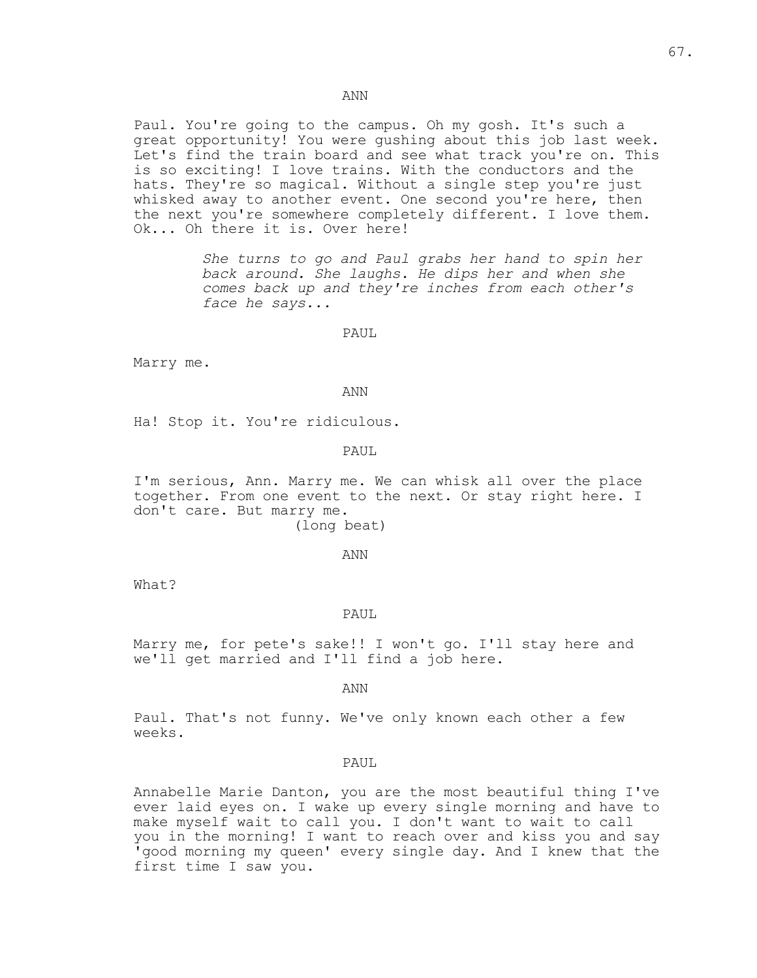Paul. You're going to the campus. Oh my gosh. It's such a great opportunity! You were gushing about this job last week. Let's find the train board and see what track you're on. This is so exciting! I love trains. With the conductors and the hats. They're so magical. Without a single step you're just whisked away to another event. One second you're here, then the next you're somewhere completely different. I love them. Ok... Oh there it is. Over here!

> *She turns to go and Paul grabs her hand to spin her back around. She laughs. He dips her and when she comes back up and they're inches from each other's face he says...*

### PAUL

Marry me.

#### ANN

Ha! Stop it. You're ridiculous.

PAUL

I'm serious, Ann. Marry me. We can whisk all over the place together. From one event to the next. Or stay right here. I don't care. But marry me. (long beat)

ANN

What?

### PAUL

Marry me, for pete's sake!! I won't go. I'll stay here and we'll get married and I'll find a job here.

ANN

Paul. That's not funny. We've only known each other a few weeks.

### PAUL

Annabelle Marie Danton, you are the most beautiful thing I've ever laid eyes on. I wake up every single morning and have to make myself wait to call you. I don't want to wait to call you in the morning! I want to reach over and kiss you and say 'good morning my queen' every single day. And I knew that the first time I saw you.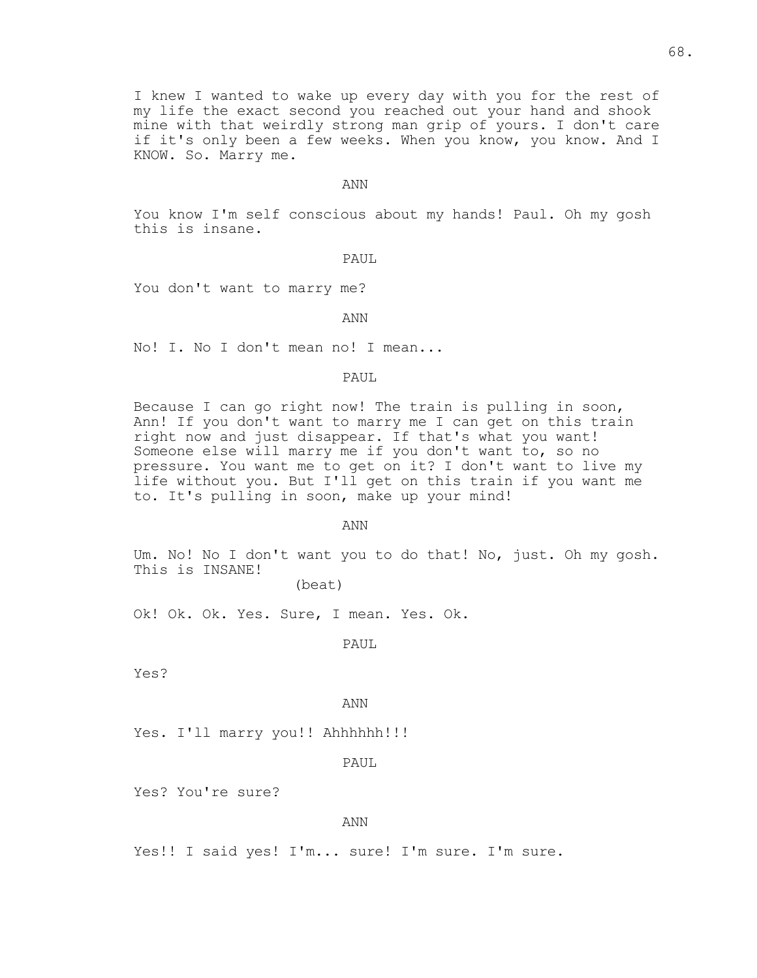I knew I wanted to wake up every day with you for the rest of my life the exact second you reached out your hand and shook mine with that weirdly strong man grip of yours. I don't care if it's only been a few weeks. When you know, you know. And I KNOW. So. Marry me.

## ANN

You know I'm self conscious about my hands! Paul. Oh my gosh this is insane.

## PAUL

You don't want to marry me?

ANN

No! I. No I don't mean no! I mean...

PAUL

Because I can go right now! The train is pulling in soon, Ann! If you don't want to marry me I can get on this train right now and just disappear. If that's what you want! Someone else will marry me if you don't want to, so no pressure. You want me to get on it? I don't want to live my life without you. But I'll get on this train if you want me to. It's pulling in soon, make up your mind!

ANN

Um. No! No I don't want you to do that! No, just. Oh my gosh. This is INSANE!

(beat)

Ok! Ok. Ok. Yes. Sure, I mean. Yes. Ok.

PAUL

Yes?

ANN

Yes. I'll marry you!! Ahhhhhh!!!

PAUL

Yes? You're sure?

### ANN

Yes!! I said yes! I'm... sure! I'm sure. I'm sure.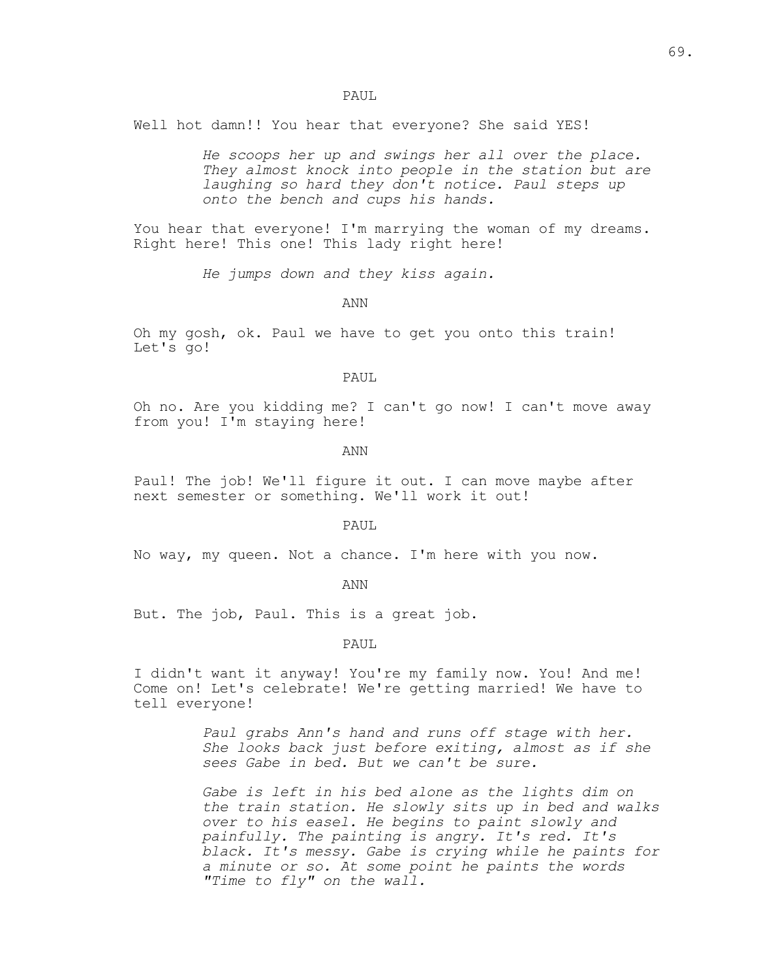PAUL.

Well hot damn!! You hear that everyone? She said YES!

*He scoops her up and swings her all over the place. They almost knock into people in the station but are laughing so hard they don't notice. Paul steps up onto the bench and cups his hands.*

You hear that everyone! I'm marrying the woman of my dreams. Right here! This one! This lady right here!

*He jumps down and they kiss again.*

ANN

Oh my gosh, ok. Paul we have to get you onto this train! Let's go!

PAUL

Oh no. Are you kidding me? I can't go now! I can't move away from you! I'm staying here!

ANN

Paul! The job! We'll figure it out. I can move maybe after next semester or something. We'll work it out!

PAUL

No way, my queen. Not a chance. I'm here with you now.

ANN

But. The job, Paul. This is a great job.

PAUL

I didn't want it anyway! You're my family now. You! And me! Come on! Let's celebrate! We're getting married! We have to tell everyone!

> *Paul grabs Ann's hand and runs off stage with her. She looks back just before exiting, almost as if she sees Gabe in bed. But we can't be sure.*

*Gabe is left in his bed alone as the lights dim on the train station. He slowly sits up in bed and walks over to his easel. He begins to paint slowly and painfully. The painting is angry. It's red. It's black. It's messy. Gabe is crying while he paints for a minute or so. At some point he paints the words "Time to fly" on the wall.*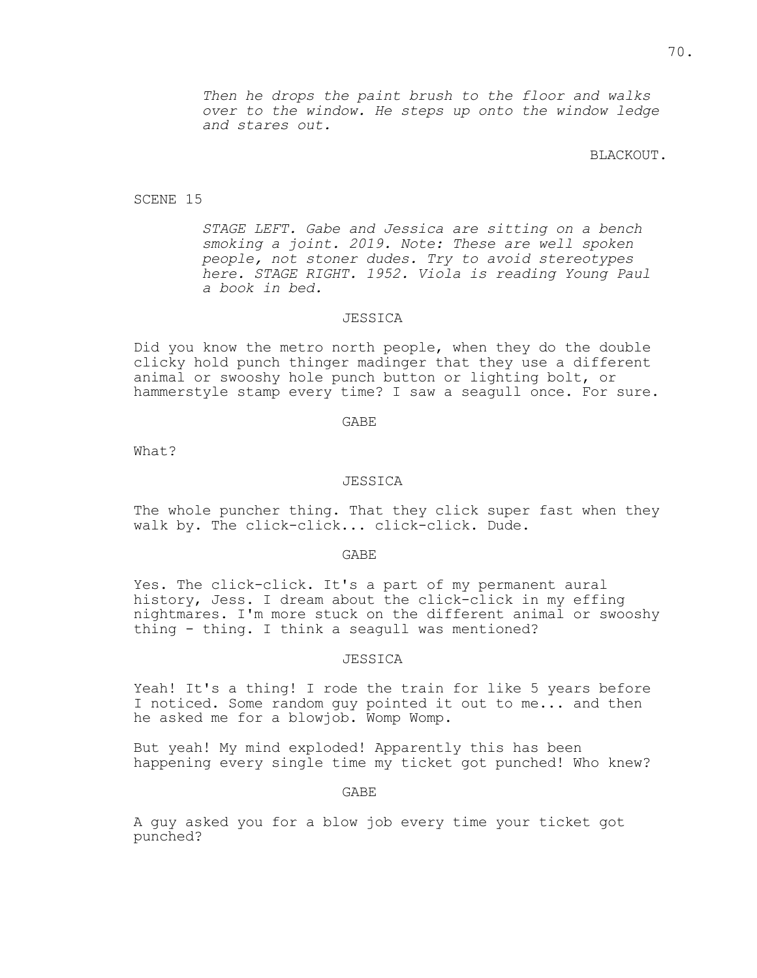*Then he drops the paint brush to the floor and walks over to the window. He steps up onto the window ledge and stares out.*

## BLACKOUT.

### SCENE 15

*STAGE LEFT. Gabe and Jessica are sitting on a bench smoking a joint. 2019. Note: These are well spoken people, not stoner dudes. Try to avoid stereotypes here. STAGE RIGHT. 1952. Viola is reading Young Paul a book in bed.*

## JESSICA

Did you know the metro north people, when they do the double clicky hold punch thinger madinger that they use a different animal or swooshy hole punch button or lighting bolt, or hammerstyle stamp every time? I saw a seagull once. For sure.

### GABE

What?

### JESSICA

The whole puncher thing. That they click super fast when they walk by. The click-click... click-click. Dude.

### GABE

Yes. The click-click. It's a part of my permanent aural history, Jess. I dream about the click-click in my effing nightmares. I'm more stuck on the different animal or swooshy thing - thing. I think a seagull was mentioned?

# JESSICA

Yeah! It's a thing! I rode the train for like 5 years before I noticed. Some random guy pointed it out to me... and then he asked me for a blowjob. Womp Womp.

But yeah! My mind exploded! Apparently this has been happening every single time my ticket got punched! Who knew?

GABE

A guy asked you for a blow job every time your ticket got punched?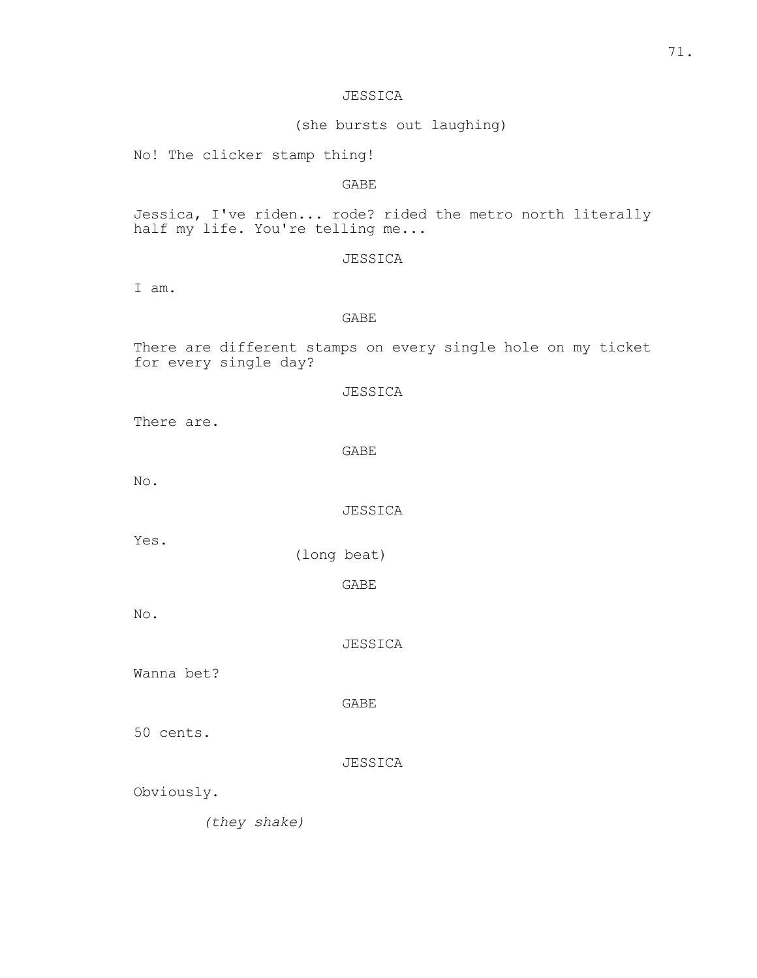# JESSICA

(she bursts out laughing)

No! The clicker stamp thing!

GABE

Jessica, I've riden... rode? rided the metro north literally half my life. You're telling me...

JESSICA

I am.

# GABE

There are different stamps on every single hole on my ticket for every single day?

JESSICA

There are.

GABE

No.

JESSICA

Yes.

(long beat)

GABE

No.

JESSICA

Wanna bet?

GABE

50 cents.

JESSICA

Obviously.

*(they shake)*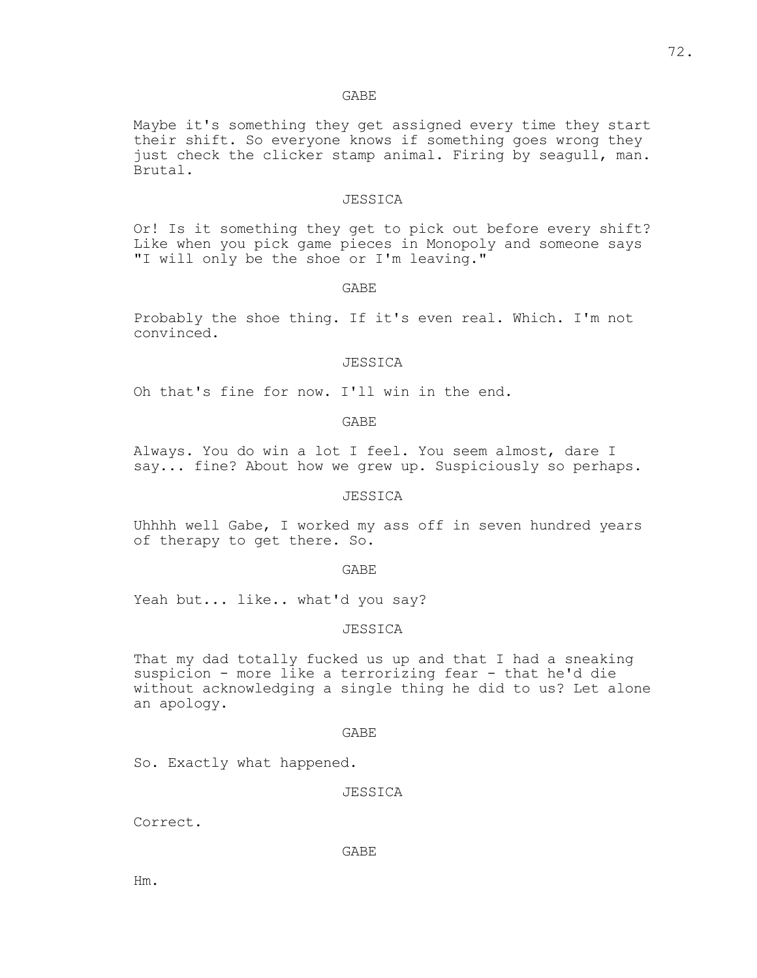GABE

Maybe it's something they get assigned every time they start their shift. So everyone knows if something goes wrong they just check the clicker stamp animal. Firing by seagull, man. Brutal.

# JESSICA

Or! Is it something they get to pick out before every shift? Like when you pick game pieces in Monopoly and someone says "I will only be the shoe or I'm leaving."

GABE

Probably the shoe thing. If it's even real. Which. I'm not convinced.

#### JESSICA

Oh that's fine for now. I'll win in the end.

GABE

Always. You do win a lot I feel. You seem almost, dare I say... fine? About how we grew up. Suspiciously so perhaps.

### JESSICA

Uhhhh well Gabe, I worked my ass off in seven hundred years of therapy to get there. So.

#### GABE

Yeah but... like.. what'd you say?

#### JESSICA

That my dad totally fucked us up and that I had a sneaking suspicion - more like a terrorizing fear - that he'd die without acknowledging a single thing he did to us? Let alone an apology.

#### GABE

So. Exactly what happened.

JESSICA

Correct.

GABE

Hm.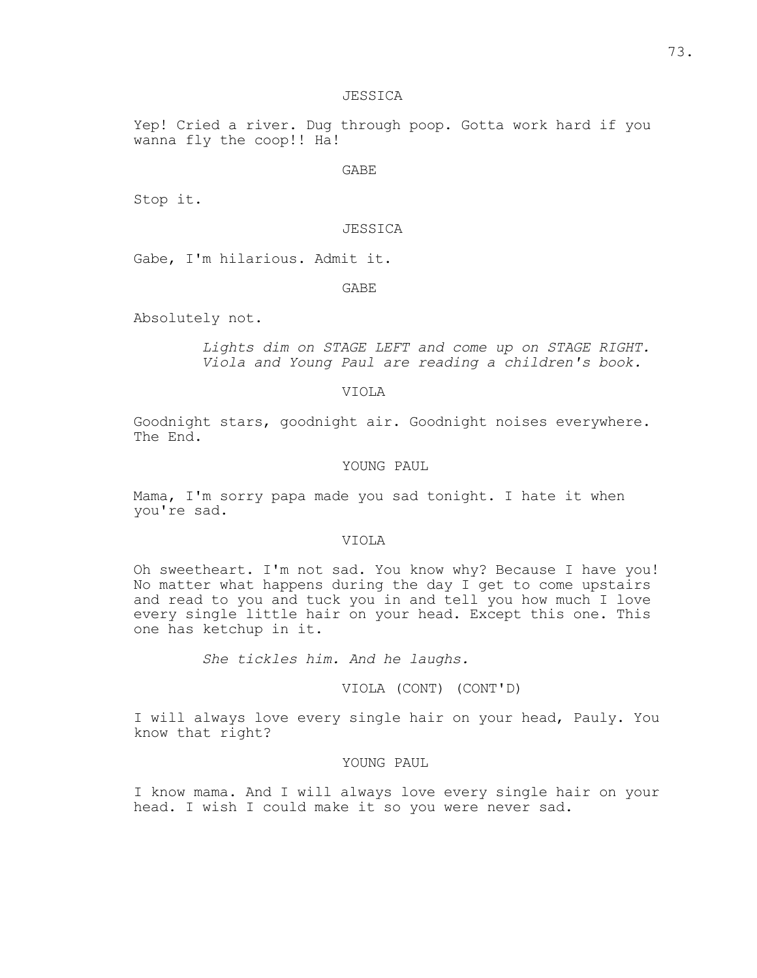# JESSICA

Yep! Cried a river. Dug through poop. Gotta work hard if you wanna fly the coop!! Ha!

# GABE

Stop it.

#### JESSICA

Gabe, I'm hilarious. Admit it.

GABE

Absolutely not.

*Lights dim on STAGE LEFT and come up on STAGE RIGHT. Viola and Young Paul are reading a children's book.*

### VIOLA

Goodnight stars, goodnight air. Goodnight noises everywhere. The End.

#### YOUNG PAUL

Mama, I'm sorry papa made you sad tonight. I hate it when you're sad.

### VIOLA

Oh sweetheart. I'm not sad. You know why? Because I have you! No matter what happens during the day I get to come upstairs and read to you and tuck you in and tell you how much I love every single little hair on your head. Except this one. This one has ketchup in it.

*She tickles him. And he laughs.*

### VIOLA (CONT) (CONT'D)

I will always love every single hair on your head, Pauly. You know that right?

# YOUNG PAUL

I know mama. And I will always love every single hair on your head. I wish I could make it so you were never sad.